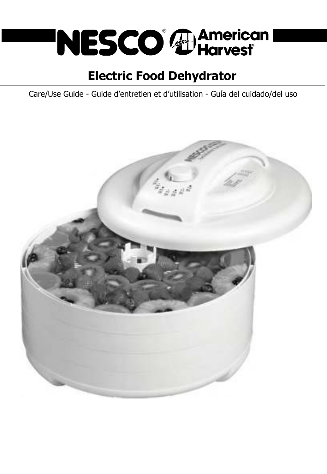

# **Electric Food Dehydrator**

Care/Use Guide - Guide d'entretien et d'utilisation - Guía del cuidado/del uso

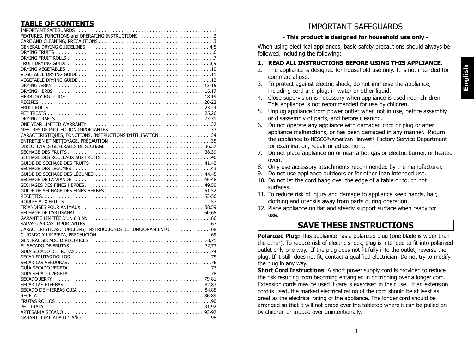| IMPORTANT SAFEGUARDS<br>FEATURES, FUNCTIONS and OPERATING INSTRUCTIONS<br>2                                    |
|----------------------------------------------------------------------------------------------------------------|
|                                                                                                                |
|                                                                                                                |
|                                                                                                                |
|                                                                                                                |
|                                                                                                                |
|                                                                                                                |
|                                                                                                                |
|                                                                                                                |
|                                                                                                                |
|                                                                                                                |
|                                                                                                                |
|                                                                                                                |
|                                                                                                                |
|                                                                                                                |
|                                                                                                                |
|                                                                                                                |
|                                                                                                                |
|                                                                                                                |
|                                                                                                                |
| CARACTÉRISTIQUES, FONCTIONS, INSTRUCTIONS D'UTILISATION 34                                                     |
|                                                                                                                |
|                                                                                                                |
|                                                                                                                |
|                                                                                                                |
|                                                                                                                |
|                                                                                                                |
|                                                                                                                |
|                                                                                                                |
|                                                                                                                |
|                                                                                                                |
|                                                                                                                |
|                                                                                                                |
| ROULÉS AUX FRUITS (and according to the control of the control of the control of the control of the control of |
|                                                                                                                |
|                                                                                                                |
|                                                                                                                |
|                                                                                                                |
| CARACTERÍSTICAS, FUNCIÓNS, INSTRUCCIONES DE FUNCIONAMIENTO 68                                                  |
|                                                                                                                |
|                                                                                                                |
|                                                                                                                |
|                                                                                                                |
|                                                                                                                |
|                                                                                                                |
|                                                                                                                |
|                                                                                                                |
|                                                                                                                |
|                                                                                                                |
|                                                                                                                |
|                                                                                                                |
|                                                                                                                |
|                                                                                                                |
|                                                                                                                |
|                                                                                                                |
|                                                                                                                |

# **TABLE OF CONTENTS IMPORTANT SAFEGUARDS**

#### **- This product is designed for household use only -**

When using electrical appliances, basic safety precautions should always be followed, including the following:

### **1. READ ALL INSTRUCTIONS BEFORE USING THIS APPLIANCE.**

- 2. The appliance is designed for household use only. It is not intended for commercial use.
- 3. To protect against electric shock, do not immerse the appliance, including cord and plug, in water or other liquid.
- 4. Close supervision is necessary when appliance is used near children. This appliance is not recommended for use by children.
- 5. Unplug appliance from power outlet when not in use, before assembly or disassembly of parts, and before cleaning.
- 6. Do not operate any appliance with damaged cord or plug or after appliance malfunctions, or has been damaged in any manner. Return the appliance to NESCO®/American Harvest® Factory Service Department for examination, repair or adjustment.
- 7. Do not place appliance on or near a hot gas or electric burner, or heated oven.
- 8. Only use accessory attachments recommended by the manufacturer.
- 9. Do not use appliance outdoors or for other than intended use.
- 10. Do not let the cord hang over the edge of a table or touch hot surfaces.
- 11. To reduce risk of injury and damage to appliance keep hands, hair, clothing and utensils away from parts during operation.
- 12. Place appliance on flat and steady support surface when ready for use.

# **SAVE THESE INSTRUCTIONS**

**Polarized Plug:** This appliance has a polarized plug (one blade is wider than the other). To reduce risk of electric shock, plug is intended to fit into polarized outlet only one way. If the plug does not fit fully into the outlet, reverse the plug. If it still does not fit, contact a qualified electrician. Do not try to modify the plug in any way.

**Short Cord Instructions:** A short power supply cord is provided to reduce the risk resulting from becoming entangled in or tripping over a longer cord. Extension cords may be used if care is exercised in their use. If an extension cord is used, the marked electrical rating of the cord should be at least as great as the electrical rating of the appliance. The longer cord should be arranged so that it will not drape over the tabletop where it can be pulled on by children or tripped over unintentionally.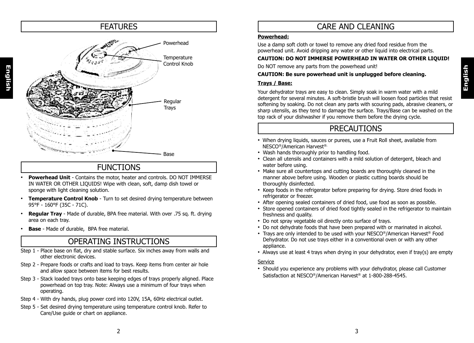# **English**

# FEATURES 
and the contract of the contract of the contract of the care and cleaning Powerhead **Temperature** Control Knob **Regular Trays** Base

# FUNCTIONS

- **Powerhead Unit** Contains the motor, heater and controls. DO NOT IMMERSE IN WATER OR OTHER LIQUIDS! Wipe with clean, soft, damp dish towel or sponge with light cleaning solution.
- **Temperature Control Knob** Turn to set desired drying temperature between 95°F - 160°F (35C - 71C).
- **Regular Tray**  Made of durable, BPA free material. With over .75 sq. ft. drying area on each tray.
- **Base** Made of durable, BPA free material.

**English**

## OPERATING INSTRUCTIONS

- Step 1 Place base on flat, dry and stable surface. Six inches away from walls and other electronic devices.
- Step 2 Prepare foods or crafts and load to trays. Keep items from center air hole and allow space between items for best results.
- Step 3 Stack loaded trays onto base keeping edges of trays properly aligned. Place powerhead on top tray. Note: Always use a minimum of four trays when operating.
- Step 4 With dry hands, plug power cord into 120V, 15A, 60Hz electrical outlet.
- Step 5 Set desired drying temperature using temperature control knob. Refer to Care/Use guide or chart on appliance.

#### **Powerhead:**

Use a damp soft cloth or towel to remove any dried food residue from the powerhead unit. Avoid dripping any water or other liquid into electrical parts.

#### **CAUTION: DO NOT IMMERSE POWERHEAD IN WATER OR OTHER LIQUID!**

Do NOT remove any parts from the powerhead unit!

#### **CAUTION: Be sure powerhead unit is unplugged before cleaning.**

#### **Trays / Base:**

Your dehydrator trays are easy to clean. Simply soak in warm water with a mild detergent for several minutes. A soft-bristle brush will loosen food particles that resist softening by soaking. Do not clean any parts with scouring pads, abrasive cleaners, or sharp utensils, as they tend to damage the surface. Trays/Base can be washed on the top rack of your dishwasher if you remove them before the drying cycle.

# PRECAUTIONS

- When drying liquids, sauces or purees, use a Fruit Roll sheet, available from NESCO®/American Harvest®.
- Wash hands thoroughly prior to handling food.
- Clean all utensils and containers with a mild solution of detergent, bleach and water before using.
- Make sure all countertops and cutting boards are thoroughly cleaned in the manner above before using. Wooden or plastic cutting boards should be thoroughly disinfected.
- Keep foods in the refrigerator before preparing for drying. Store dried foods in refrigerator or freezer.
- After opening sealed containers of dried food, use food as soon as possible.
- Store opened containers of dried food tightly sealed in the refrigerator to maintain freshness and quality.
- Do not spray vegetable oil directly onto surface of trays.
- Do not dehydrate foods that have been prepared with or marinated in alcohol.
- Trays are only intended to be used with your NESCO®/American Harvest® Food Dehydrator. Do not use trays either in a conventional oven or with any other appliance.
- Always use at least 4 trays when drying in your dehydrator, even if tray(s) are empty

#### Service

• Should you experience any problems with your dehydrator, please call Customer Satisfaction at NESCO®/American Harvest® at 1-800-288-4545.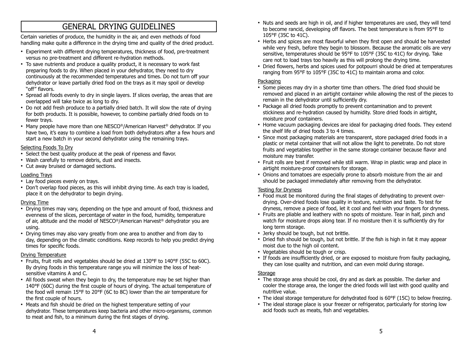# GENERAL DRYING GUIDELINES

Certain varieties of produce, the humidity in the air, and even methods of food handling make quite a difference in the drying time and quality of the dried product.

- Experiment with different drying temperatures, thickness of food, pre-treatment versus no pre-treatment and different re-hydration methods.
- To save nutrients and produce a quality product, it is necessary to work fast preparing foods to dry. When placed in your dehydrator, they need to dry continuously at the recommended temperatures and times. Do not turn off your dehydrator or leave partially dried food on the trays as it may spoil or develop "off" flavors.
- Spread all foods evenly to dry in single layers. If slices overlap, the areas that are overlapped will take twice as long to dry.
- Do not add fresh produce to a partially dried batch. It will slow the rate of drying for both products. It is possible, however, to combine partially dried foods on to fewer trays.
- Many people have more than one NESCO®/American Harvest® dehydrator. If you have two, it's easy to combine a load from both dehydrators after a few hours and start a new batch in your second dehydrator using the remaining trays.

#### Selecting Foods To Dry

- Select the best quality produce at the peak of ripeness and flavor.
- Wash carefully to remove debris, dust and insects.
- Cut away bruised or damaged sections.

#### Loading Trays

- Lay food pieces evenly on trays.
- Don't overlap food pieces, as this will inhibit drying time. As each tray is loaded, place it on the dehydrator to begin drying.

#### Drying Time

- Drying times may vary, depending on the type and amount of food, thickness and evenness of the slices, percentage of water in the food, humidity, temperature of air, altitude and the model of NESCO®/American Harvest® dehydrator you are using.
- Drying times may also vary greatly from one area to another and from day to day, depending on the climatic conditions. Keep records to help you predict drying times for specific foods.

#### Drying Temperature

- Fruits, fruit rolls and vegetables should be dried at 130°F to 140°F (55C to 60C). By drying foods in this temperature range you will minimize the loss of heatsensitive vitamins A and C.
- All foods sweat when they begin to dry, the temperature may be set higher than 140°F (60C) during the first couple of hours of drying. The actual temperature of the food will remain 15°F to 20°F (6C to 8C) lower than the air temperature for the first couple of hours.
- Meats and fish should be dried on the highest temperature setting of your dehydrator. These temperatures keep bacteria and other micro-organisms, common to meat and fish, to a minimum during the first stages of drying.
- Nuts and seeds are high in oil, and if higher temperatures are used, they will tend to become rancid, developing off flavors. The best temperature is from 95°F to 105°F (35C to 41C).
- Herbs and spices are most flavorful when they first open and should be harvested while very fresh, before they begin to blossom. Because the aromatic oils are very sensitive, temperatures should be 95°F to 105°F (35C to 41C) for drying. Take care not to load trays too heavily as this will prolong the drying time.
- Dried flowers, herbs and spices used for potpourri should be dried at temperatures ranging from 95°F to 105°F (35C to 41C) to maintain aroma and color.

#### **Packaging**

- Some pieces may dry in a shorter time than others. The dried food should be removed and placed in an airtight container while allowing the rest of the pieces to remain in the dehydrator until sufficiently dry.
- Package all dried foods promptly to prevent contamination and to prevent stickiness and re-hydration caused by humidity. Store dried foods in airtight, moisture proof containers.
- Home vacuum packaging devices are ideal for packaging dried foods. They extend the shelf life of dried foods 3 to 4 times.
- Since most packaging materials are transparent, store packaged dried foods in a plastic or metal container that will not allow the light to penetrate. Do not store fruits and vegetables together in the same storage container because flavor and moisture may transfer.
- Fruit rolls are best if removed while still warm. Wrap in plastic wrap and place in airtight moisture-proof containers for storage.
- Onions and tomatoes are especially prone to absorb moisture from the air and should be packaged immediately after removing from the dehydrator.

#### Testing for Dryness

- Food must be monitored during the final stages of dehydrating to prevent overdrying. Over-dried foods lose quality in texture, nutrition and taste. To test for dryness, remove a piece of food, let it cool and feel with your fingers for dryness.
- Fruits are pliable and leathery with no spots of moisture. Tear in half, pinch and watch for moisture drops along tear. If no moisture then it is sufficiently dry for long term storage.
- Jerky should be tough, but not brittle.
- Dried fish should be tough, but not brittle. If the fish is high in fat it may appear moist due to the high oil content.
- Vegetables should be tough or crisp.
- If foods are insufficiently dried, or are exposed to moisture from faulty packaging, they can lose quality and nutrition, and can even mold during storage.

#### **Storage**

- The storage area should be cool, dry and as dark as possible. The darker and cooler the storage area, the longer the dried foods will last with good quality and nutritive value.
- The ideal storage temperature for dehydrated food is 60°F (15C) to below freezing.
- The ideal storage place is your freezer or refrigerator, particularly for storing low acid foods such as meats, fish and vegetables.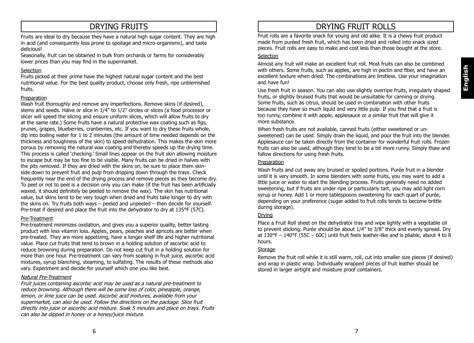# DRYING FRUITS

Fruits are ideal to dry because they have a natural high sugar content. They are high in acid (and consequently less prone to spoilage and micro-organisms), and taste delicious!

Seasonally, fruit can be obtained in bulk from orchards or farms for considerably lower prices than you may find in the supermarket.

#### Selection

Fruits picked at their prime have the highest natural sugar content and the best nutritional value. For the best quality product, choose only fresh, ripe unblemished fruits.

#### Preparation

Wash fruit thoroughly and remove any imperfections. Remove skins (if desired), stems and seeds. Halve or slice in 1/4" to 1/2" circles or slices (a food processor or slicer will speed the slicing and ensure uniform slices, which will allow fruits to dry at the same rate.) Some fruits have a natural protective wax coating such as figs, prunes, grapes, blueberries, cranberries, etc. If you want to dry these fruits whole, dip into boiling water for 1 to 2 minutes (the amount of time needed depends on the thickness and toughness of the skin) to speed dehydration. This makes the skin more porous by removing the natural wax coating and thereby speeds up the drying time. This process is called 'checking.' Small lines appear on the fruit skin allowing moisture to escape but may be too fine to be visible. Many fruits can be dried in halves with the pits removed. If they are dried with the skins on, be sure to place them skinside down to prevent fruit and pulp from dripping down through the trays. Check frequently near the end of the drying process and remove pieces as they become dry. To peel or not to peel is a decision only you can make (if the fruit has been artificially waxed, it should definitely be peeled to remove the wax). The skin has nutritional value, but skins tend to be very tough when dried and fruits take longer to dry with the skins on. Try fruits both ways – peeled and unpeeled – then decide for yourself. Pre-treat if desired and place the fruit into the dehydrator to dry at 135°F (57C).

#### Pre-Treatment

Pre-treatment minimizes oxidation, and gives you a superior quality, better tasting product with less vitamin loss. Apples, pears, peaches and apricots are better when pre-treated. They are more appetizing, have a longer shelf life and higher nutritional value. Place cut fruits that tend to brown in a holding solution of ascorbic acid to reduce browning during preparation. Do not keep cut fruit in a holding solution for more than one hour. Pre-treatment can vary from soaking in fruit juice, ascorbic acid mixtures, syrup blanching, steaming, to sulfating. The results of these methods also vary. Experiment and decide for yourself which one you like best.

#### Natural Pre-Treatment

Fruit juices containing ascorbic acid may be used as a natural pre-treatment to reduce browning. Although there will be some loss of color, pineapple, orange, lemon, or lime juice can be used. Ascorbic acid mixtures, available from your supermarket, can also be used. Follow the directions on the package. Slice fruit directly into juice or ascorbic acid mixture. Soak 5 minutes and place on trays. Fruits can also be dipped in honey or a honey/juice mixture.

# DRYING FRUIT ROLLS

Fruit rolls are a favorite snack for young and old alike. It is a chewy fruit product made from puréed fresh fruit, which has been dried and rolled into snack sized pieces. Fruit rolls are easy to make and cost less than those bought at the store.

#### Selection

Almost any fruit will make an excellent fruit roll. Most fruits can also be combined with others. Some fruits, such as apples, are high in pectin and fiber, and have an excellent texture when dried. The combinations are limitless. Use your imagination and have fun!

Use fresh fruit in season. You can also use slightly overripe fruits, irregularly shaped fruits, or slightly bruised fruits that would be unsuitable for canning or drying. Some fruits, such as citrus, should be used in combination with other fruits because they have so much liquid and very little pulp. If you find that a fruit is too runny, combine it with apple, applesauce or a similar fruit that will give it more substance.

When fresh fruits are not available, canned fruits (either sweetened or unsweetened) can be used. Simply drain the liquid, and pour the fruit into the blender. Applesauce can be taken directly from the container for wonderful fruit rolls. Frozen fruits can also be used, although they tend to be a bit more runny. Simply thaw and follow directions for using fresh fruits.

#### **Preparation**

Wash fruits and cut away any bruised or spoiled portions. Purée fruit in a blender until it is very smooth. In some blenders with some fruits, you may want to add a little juice or water to start the blending process. Fruits generally need no added sweetening, but if fruits are under ripe or particularly tart, you may add light corn syrup or honey. Add 1 or more tablespoons sweetening for each quart of purée, depending on your preference (sugar added to fruit rolls tends to become brittle during storage).

#### Drying

Place a Fruit Roll sheet on the dehydrator tray and wipe lightly with a vegetable oil to prevent sticking. Purée should be about 1/4" to 3/8" thick and evenly spread. Dry at 130°F – 140°F (55C – 60C) until fruit feels leather-like and is pliable, about 4 to 8 hours.

#### **Storage**

Remove the fruit roll while it is still warm, roll, cut into smaller size pieces (if desired) and wrap in plastic wrap. Individually wrapped pieces of fruit leather should be stored in larger airtight and moisture proof containers.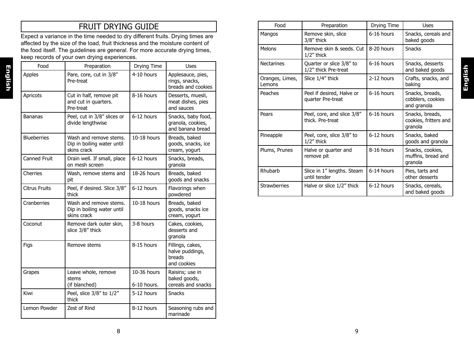# FRUIT DRYING GUIDE

Expect a variance in the time needed to dry different fruits. Drying times are affected by the size of the load, fruit thickness and the moisture content of the food itself. The guidelines are general. For more accurate drying times, keep records of your own drying experiences.

| Food                 | Preparation                                                         | Drying Time                | Uses                                                         |
|----------------------|---------------------------------------------------------------------|----------------------------|--------------------------------------------------------------|
| <b>Apples</b>        | Pare, core, cut in 3/8"<br>Pre-treat                                | 4-10 hours                 | Applesauce, pies,<br>rings, snacks,<br>breads and cookies    |
| Apricots             | Cut in half, remove pit<br>and cut in quarters.<br>Pre-treat        | 8-16 hours                 | Desserts, muesli,<br>meat dishes, pies<br>and sauces         |
| <b>Bananas</b>       | Peel, cut in 3/8" slices or<br>divide lengthwise                    | 6-12 hours                 | Snacks, baby food,<br>granola, cookies,<br>and banana bread  |
| <b>Blueberries</b>   | Wash and remove stems.<br>Dip in boiling water until<br>skins crack | 10-18 hours                | Breads, baked<br>goods, snacks, ice<br>cream, yogurt         |
| <b>Canned Fruit</b>  | Drain well. If small, place<br>on mesh screen                       | 6-12 hours                 | Snacks, breads,<br>granola                                   |
| Cherries             | Wash, remove stems and<br>pit                                       | 18-26 hours                | Breads, baked<br>goods and snacks                            |
| <b>Citrus Fruits</b> | Peel, if desired. Slice 3/8"<br>thick                               | 6-12 hours                 | Flavorings when<br>powdered                                  |
| Cranberries          | Wash and remove stems.<br>Dip in boiling water until<br>skins crack | 10-18 hours                | Breads, baked<br>goods, snacks ice<br>cream, yogurt          |
| Coconut              | Remove dark outer skin,<br>slice 3/8" thick                         | 3-8 hours                  | Cakes, cookies,<br>desserts and<br>granola                   |
| Figs                 | Remove stems                                                        | 8-15 hours                 | Fillings, cakes,<br>halve puddings,<br>breads<br>and cookies |
| Grapes               | Leave whole, remove<br>stems<br>(if blanched)                       | 10-36 hours<br>6-10 hours. | Raisins; use in<br>baked goods,<br>cereals and snacks        |
| Kiwi                 | Peel, slice 3/8" to 1/2"<br>thick                                   | 5-12 hours                 | <b>Snacks</b>                                                |
| Lemon Powder         | Zest of Rind                                                        | 8-12 hours                 | Seasoning rubs and<br>marinade                               |

| Food                      | Preparation                                      | Drying Time | Uses                                                |
|---------------------------|--------------------------------------------------|-------------|-----------------------------------------------------|
| Mangos                    | Remove skin, slice<br>$3/8$ " thick              | 6-16 hours  | Snacks, cereals and<br>baked goods                  |
| <b>Melons</b>             | Remove skin & seeds. Cut<br>$1/2$ " thick        | 8-20 hours  | <b>Snacks</b>                                       |
| <b>Nectarines</b>         | Quarter or slice 3/8" to<br>1/2" thick Pre-treat | 6-16 hours  | Snacks, desserts<br>and baked goods                 |
| Oranges, Limes,<br>Lemons | Slice 1/4" thick                                 | 2-12 hours  | Crafts, snacks, and<br>baking                       |
| Peaches                   | Peel if desired, Halve or<br>quarter Pre-treat   | 6-16 hours  | Snacks, breads,<br>cobblers, cookies<br>and granola |
| Pears                     | Peel, core, and slice 3/8"<br>thick. Pre-treat   | 6-16 hours  | Snacks, breads,<br>cookies, fritters and<br>granola |
| Pineapple                 | Peel, core, slice 3/8" to<br>$1/2$ " thick       | 6-12 hours  | Snacks, baked<br>goods and granola                  |
| Plums, Prunes             | Halve or quarter and<br>remove pit               | 8-16 hours  | Snacks, cookies,<br>muffins, bread and<br>granola   |
| Rhubarb                   | Slice in 1" lengths. Steam<br>until tender       | 6-14 hours  | Pies, tarts and<br>other desserts                   |
| <b>Strawberries</b>       | Halve or slice 1/2" thick                        | 6-12 hours  | Snacks, cereals,<br>and baked goods                 |

**English**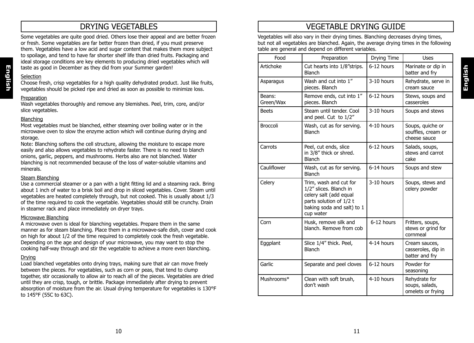## DRYING VEGETABLES

Some vegetables are quite good dried. Others lose their appeal and are better frozen or fresh. Some vegetables are far better frozen than dried, if you must preserve them. Vegetables have a low acid and sugar content that makes them more subject to spoilage, and tend to have far shorter shelf life than dried fruits. Packaging and ideal storage conditions are key elements to producing dried vegetables which will taste as good in December as they did from your Summer garden!

#### **Selection**

**English**

Choose fresh, crisp vegetables for a high quality dehydrated product. Just like fruits, vegetables should be picked ripe and dried as soon as possible to minimize loss.

#### Preparation

Wash vegetables thoroughly and remove any blemishes. Peel, trim, core, and/or slice vegetables.

#### Blanching

Most vegetables must be blanched, either steaming over boiling water or in the microwave oven to slow the enzyme action which will continue during drying and storage.

Note: Blanching softens the cell structure, allowing the moisture to escape more easily and also allows vegetables to rehydrate faster. There is no need to blanch onions, garlic, peppers, and mushrooms. Herbs also are not blanched. Water blanching is not recommended because of the loss of water-soluble vitamins and minerals.

#### Steam Blanching

Use a commercial steamer or a pan with a tight fitting lid and a steaming rack. Bring about 1 inch of water to a brisk boil and drop in sliced vegetables. Cover. Steam until vegetables are heated completely through, but not cooked. This is usually about 1/3 of the time required to cook the vegetable. Vegetables should still be crunchy. Drain in steamer rack and place immediately on dryer trays.

#### Microwave Blanching

A microwave oven is ideal for blanching vegetables. Prepare them in the same manner as for steam blanching. Place them in a microwave-safe dish, cover and cook on high for about 1/2 of the time required to completely cook the fresh vegetable. Depending on the age and design of your microwave, you may want to stop the cooking half-way through and stir the vegetable to achieve a more even blanching.

#### Drying

Load blanched vegetables onto drying trays, making sure that air can move freely between the pieces. For vegetables, such as corn or peas, that tend to clump together, stir occasionally to allow air to reach all of the pieces. Vegetables are dried until they are crisp, tough, or brittle. Package immediately after drying to prevent absorption of moisture from the air. Usual drying temperature for vegetables is 130°F to 145°F (55C to 63C).

# VEGETABLE DRYING GUIDE

Vegetables will also vary in their drying times. Blanching decreases drying times, but not all vegetables are blanched. Again, the average drying times in the following table are general and depend on different variables.

| Food                | Preparation                                                                                                                                      | Drying Time | Uses                                                   |
|---------------------|--------------------------------------------------------------------------------------------------------------------------------------------------|-------------|--------------------------------------------------------|
| Artichoke           | Cut hearts into 1/8"strips.<br><b>Blanch</b>                                                                                                     | 6-12 hours  | Marinate or dip in<br>batter and fry                   |
| Asparagus           | Wash and cut into 1"<br>pieces. Blanch                                                                                                           | 3-10 hours  | Rehydrate, serve in<br>cream sauce                     |
| Beans:<br>Green/Wax | Remove ends, cut into 1"<br>pieces. Blanch                                                                                                       | 6-12 hours  | Stews, soups and<br>casseroles                         |
| <b>Beets</b>        | Steam until tender. Cool<br>and peel. Cut to 1/2"                                                                                                | 3-10 hours  | Soups and stews                                        |
| Broccoli            | Wash, cut as for serving.<br><b>Blanch</b>                                                                                                       | 4-10 hours  | Soups, quiche or<br>souffles, cream or<br>cheese sauce |
| Carrots             | Peel, cut ends, slice<br>in 3/8" thick or shred.<br><b>Blanch</b>                                                                                | 6-12 hours  | Salads, soups,<br>stews and carrot<br>cake             |
| Cauliflower         | Wash, cut as for serving.<br><b>Blanch</b>                                                                                                       | 6-14 hours  | Soups and stew                                         |
| Celery              | Trim, wash and cut for<br>1/2" slices. Blanch in<br>celery salt (add equal<br>parts solution of 1/2 t<br>baking soda and salt) to 1<br>cup water | 3-10 hours  | Soups, stews and<br>celery powder                      |
| Corn                | Husk, remove silk and<br>blanch. Remove from cob                                                                                                 | 6-12 hours  | Fritters, soups,<br>stews or grind for<br>cornmeal     |
| Eggplant            | Slice 1/4" thick. Peel,<br><b>Blanch</b>                                                                                                         | 4-14 hours  | Cream sauces,<br>casseroles, dip in<br>batter and fry  |
| Garlic              | Separate and peel cloves                                                                                                                         | 6-12 hours  | Powder for<br>seasoning                                |
| Mushrooms*          | Clean with soft brush,<br>don't wash                                                                                                             | 4-10 hours  | Rehydrate for<br>soups, salads,<br>omelets or frying   |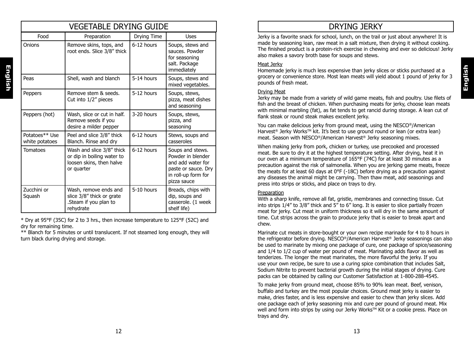| VEGETABLE DRYING GUIDE           |                                                                                                   |             |                                                                                                                         |  |
|----------------------------------|---------------------------------------------------------------------------------------------------|-------------|-------------------------------------------------------------------------------------------------------------------------|--|
| Food                             | Preparation                                                                                       | Drying Time | <b>Uses</b>                                                                                                             |  |
| Onions                           | Remove skins, tops, and<br>root ends. Slice 3/8" thick                                            | 6-12 hours  | Soups, stews and<br>sauces. Powder<br>for seasoning<br>salt. Package<br>immediately                                     |  |
| Peas                             | Shell, wash and blanch                                                                            | 5-14 hours  | Soups, stews and<br>mixed vegetables.                                                                                   |  |
| Peppers                          | Remove stem & seeds.<br>Cut into 1/2" pieces                                                      | 5-12 hours  | Soups, stews,<br>pizza, meat dishes<br>and seasoning                                                                    |  |
| Peppers (hot)                    | Wash, slice or cut in half.<br>Remove seeds if you<br>desire a milder pepper                      | 3-20 hours  | Soups, stews,<br>pizza, and<br>seasoning                                                                                |  |
| Potatoes** Use<br>white potatoes | Peel and slice 3/8" thick<br>Blanch. Rinse and dry                                                | 6-12 hours  | Stews, soups and<br>casseroles                                                                                          |  |
| <b>Tomatoes</b>                  | Wash and slice 3/8" thick<br>or dip in boiling water to<br>loosen skins, then halve<br>or quarter | 6-12 hours  | Soups and stews.<br>Powder in blender<br>and add water for<br>paste or sauce. Dry<br>in roll-up form for<br>pizza sauce |  |
| Zucchini or<br>Squash            | Wash, remove ends and<br>slice 3/8" thick or grate<br>Steam if you plan to<br>rehydrate           | 5-10 hours  | Breads, chips with<br>dip, soups and<br>casserole. (1 week<br>shelf life)                                               |  |

\* Dry at 95°F (35C) for 2 to 3 hrs., then increase temperature to 125°F (52C) and dry for remaining time.

\*\* Blanch for 5 minutes or until translucent. If not steamed long enough, they will turn black during drying and storage.

# DRYING JERKY

Jerky is a favorite snack for school, lunch, on the trail or just about anywhere! It is made by seasoning lean, raw meat in a salt mixture, then drying it without cooking. The finished product is a protein-rich exercise in chewing and ever so delicious! Jerky also makes a savory broth base for soups and stews.

#### Meat Jerky

Homemade jerky is much less expensive than jerky slices or sticks purchased at a grocery or convenience store. Most lean meats will yield about 1 pound of jerky for 3 pounds of fresh meat.

**English**

#### Drying Meat

Jerky may be made from a variety of wild game meats, fish and poultry. Use filets of fish and the breast of chicken. When purchasing meats for jerky, choose lean meats with minimal marbling (fat), as fat tends to get rancid during storage. A lean cut of flank steak or round steak makes excellent jerky.

You can make delicious jerky from ground meat, using the NESCO®/American Harvest<sup>®</sup> Jerky Works<sup>™</sup> kit. It's best to use ground round or lean (or extra lean) meat. Season with NESCO®/American Harvest® Jerky seasoning mixes.

When making jerky from pork, chicken or turkey, use precooked and processed meat. Be sure to dry it at the highest temperature setting. After drying, heat it in our oven at a minimum temperature of 165°F (74C) for at least 30 minutes as a precaution against the risk of salmonella. When you are jerking game meats, freeze the meats for at least 60 days at 0°F (-18C) before drying as a precaution against any diseases the animal might be carrying. Then thaw meat, add seasonings and press into strips or sticks, and place on trays to dry.

#### Preparation

With a sharp knife, remove all fat, gristle, membranes and connecting tissue. Cut into strips 1/4" to 3/8" thick and 5" to 6" long. It is easier to slice partially frozen meat for jerky. Cut meat in uniform thickness so it will dry in the same amount of time. Cut strips across the grain to produce jerky that is easier to break apart and chew.

Marinate cut meats in store-bought or your own recipe marinade for 4 to 8 hours in the refrigerator before drying. NESCO®/American Harvest® Jerky seasonings can also be used to marinate by mixing one package of cure, one package of spice/seasoning and 1/4 to 1/2 cup of water per pound of meat. Marinating adds flavor as well as tenderizes. The longer the meat marinates, the more flavorful the jerky. If you use your own recipe, be sure to use a curing spice combination that includes Salt, Sodium Nitrite to prevent bacterial growth during the initial stages of drying. Cure packs can be obtained by calling our Customer Satisfaction at 1-800-288-4545.

To make jerky from ground meat, choose 85% to 90% lean meat. Beef, venison, buffalo and turkey are the most popular choices. Ground meat jerky is easier to make, dries faster, and is less expensive and easier to chew than jerky slices. Add one package each of jerky seasoning mix and cure per pound of ground meat. Mix well and form into strips by using our Jerky Works™ Kit or a cookie press. Place on trays and dry.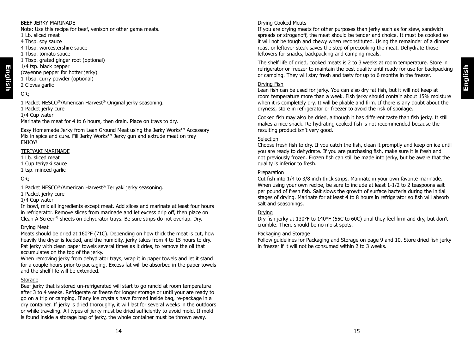# **English**

#### BEEF JERKY MARINADE

Note: Use this recipe for beef, venison or other game meats. 1 Lb. sliced meat

4 Tbsp. soy sauce

4 Tbsp. worcestershire sauce

1 Tbsp. tomato sauce

1 Tbsp. grated ginger root (optional)

1/4 tsp. black pepper

(cayenne pepper for hotter jerky)

- 1 Tbsp. curry powder (optional)
- 2 Cloves garlic

OR;

**English**

1 Packet NESCO®/American Harvest® Original jerky seasoning.

1 Packet jerky cure

1/4 Cup water

Marinate the meat for 4 to 6 hours, then drain. Place on trays to dry.

Easy Homemade Jerky from Lean Ground Meat using the Jerky Works™ Accessory Mix in spice and cure. Fill Jerky Works™ Jerky gun and extrude meat on tray ENJOY!

#### TERIYAKI MARINADE

1 Lb. sliced meat

- 1 Cup teriyaki sauce
- 1 tsp. minced garlic

#### OR;

1 Packet NESCO®/American Harvest® Teriyaki jerky seasoning.

1 Packet jerky cure

1/4 Cup water

In bowl, mix all ingredients except meat. Add slices and marinate at least four hours in refrigerator. Remove slices from marinade and let excess drip off, then place on Clean-A-Screen® sheets on dehydrator trays. Be sure strips do not overlap. Dry.

#### Drying Meat

Meats should be dried at 160°F (71C). Depending on how thick the meat is cut, how heavily the dryer is loaded, and the humidity, jerky takes from 4 to 15 hours to dry. Pat jerky with clean paper towels several times as it dries, to remove the oil that accumulates on the top of the jerky.

When removing jerky from dehydrator trays, wrap it in paper towels and let it stand for a couple hours prior to packaging. Excess fat will be absorbed in the paper towels and the shelf life will be extended.

#### Storage

Beef jerky that is stored un-refrigerated will start to go rancid at room temperature after 3 to 4 weeks. Refrigerate or freeze for longer storage or until your are ready to go on a trip or camping. If any ice crystals have formed inside bag, re-package in a dry container. If jerky is dried thoroughly, it will last for several weeks in the outdoors or while traveling. All types of jerky must be dried sufficiently to avoid mold. If mold is found inside a storage bag of jerky, the whole container must be thrown away.

#### Drying Cooked Meats

If you are drying meats for other purposes than jerky such as for stew, sandwich spreads or stroganoff, the meat should be tender and choice. It must be cooked so it will not be tough and chewy when reconstituted. Using the remainder of a dinner roast or leftover steak saves the step of precooking the meat. Dehydrate those leftovers for snacks, backpacking and camping meals.

The shelf life of dried, cooked meats is 2 to 3 weeks at room temperature. Store in refrigerator or freezer to maintain the best quality until ready for use for backpacking or camping. They will stay fresh and tasty for up to 6 months in the freezer.

#### Drying Fish

Lean fish can be used for jerky. You can also dry fat fish, but it will not keep at room temperature more than a week. Fish jerky should contain about 15% moisture when it is completely dry. It will be pliable and firm. If there is any doubt about the dryness, store in refrigerator or freezer to avoid the risk of spoilage.

Cooked fish may also be dried, although it has different taste than fish jerky. It still makes a nice snack. Re-hydrating cooked fish is not recommended because the resulting product isn't very good.

#### **Selection**

Choose fresh fish to dry. If you catch the fish, clean it promptly and keep on ice until you are ready to dehydrate. If you are purchasing fish, make sure it is fresh and not previously frozen. Frozen fish can still be made into jerky, but be aware that the quality is inferior to fresh.

#### Preparation

Cut fish into 1/4 to 3/8 inch thick strips. Marinate in your own favorite marinade. When using your own recipe, be sure to include at least 1-1/2 to 2 teaspoons salt per pound of fresh fish. Salt slows the growth of surface bacteria during the initial stages of drying. Marinate for at least 4 to 8 hours in refrigerator so fish will absorb salt and seasonings.

#### **Drying**

Dry fish jerky at 130°F to 140°F (55C to 60C) until they feel firm and dry, but don't crumble. There should be no moist spots.

#### Packaging and Storage

Follow guidelines for Packaging and Storage on page 9 and 10. Store dried fish jerky in freezer if it will not be consumed within 2 to 3 weeks.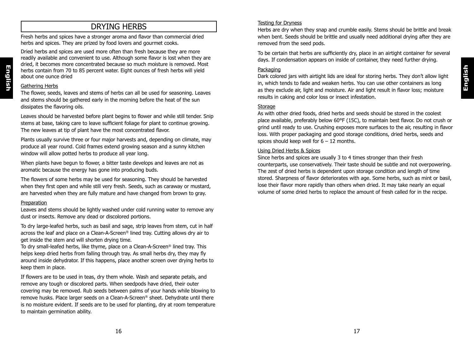# DRYING HERBS

Fresh herbs and spices have a stronger aroma and flavor than commercial dried herbs and spices. They are prized by food lovers and gourmet cooks.

Dried herbs and spices are used more often than fresh because they are more readily available and convenient to use. Although some flavor is lost when they are dried, it becomes more concentrated because so much moisture is removed. Most herbs contain from 70 to 85 percent water. Eight ounces of fresh herbs will yield about one ounce dried

#### Gathering Herbs

**English**

The flower, seeds, leaves and stems of herbs can all be used for seasoning. Leaves and stems should be gathered early in the morning before the heat of the sun dissipates the flavoring oils.

Leaves should be harvested before plant begins to flower and while still tender. Snip stems at base, taking care to leave sufficient foliage for plant to continue growing. The new leaves at tip of plant have the most concentrated flavor.

Plants usually survive three or four major harvests and, depending on climate, may produce all year round. Cold frames extend growing season and a sunny kitchen window will allow potted herbs to produce all year long.

When plants have begun to flower, a bitter taste develops and leaves are not as aromatic because the energy has gone into producing buds.

The flowers of some herbs may be used for seasoning. They should be harvested when they first open and while still very fresh. Seeds, such as caraway or mustard, are harvested when they are fully mature and have changed from brown to gray.

#### Preparation

Leaves and stems should be lightly washed under cold running water to remove any dust or insects. Remove any dead or discolored portions.

To dry large-leafed herbs, such as basil and sage, strip leaves from stem, cut in half across the leaf and place on a Clean-A-Screen® lined tray. Cutting allows dry air to get inside the stem and will shorten drying time.

To dry small-leafed herbs, like thyme, place on a Clean-A-Screen® lined tray. This helps keep dried herbs from falling through tray. As small herbs dry, they may fly around inside dehydrator. If this happens, place another screen over drying herbs to keep them in place.

If flowers are to be used in teas, dry them whole. Wash and separate petals, and remove any tough or discolored parts. When seedpods have dried, their outer covering may be removed. Rub seeds between palms of your hands while blowing to remove husks. Place larger seeds on a Clean-A-Screen® sheet. Dehydrate until there is no moisture evident. If seeds are to be used for planting, dry at room temperature to maintain germination ability.

#### Testing for Dryness

Herbs are dry when they snap and crumble easily. Stems should be brittle and break when bent. Seeds should be brittle and usually need additional drying after they are removed from the seed pods.

To be certain that herbs are sufficiently dry, place in an airtight container for several days. If condensation appears on inside of container, they need further drying.

#### Packaging

Dark colored jars with airtight lids are ideal for storing herbs. They don't allow light in, which tends to fade and weaken herbs. You can use other containers as long as they exclude air, light and moisture. Air and light result in flavor loss; moisture results in caking and color loss or insect infestation.

#### **Storage**

As with other dried foods, dried herbs and seeds should be stored in the coolest place available, preferably below 60°F (15C), to maintain best flavor. Do not crush or grind until ready to use. Crushing exposes more surfaces to the air, resulting in flavor loss. With proper packaging and good storage conditions, dried herbs, seeds and spices should keep well for  $6 - 12$  months.

#### Using Dried Herbs & Spices

Since herbs and spices are usually 3 to 4 times stronger than their fresh counterparts, use conservatively. Their taste should be subtle and not overpowering. The zest of dried herbs is dependent upon storage condition and length of time stored. Sharpness of flavor deteriorates with age. Some herbs, such as mint or basil, lose their flavor more rapidly than others when dried. It may take nearly an equal volume of some dried herbs to replace the amount of fresh called for in the recipe.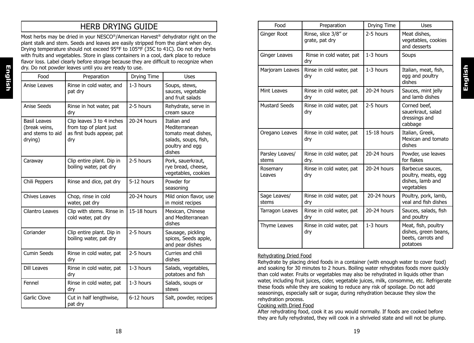# HERB DRYING GUIDE

Most herbs may be dried in your NESCO<sup>®</sup>/American Harvest<sup>®</sup> dehydrator right on the plant stalk and stem. Seeds and leaves are easily stripped from the plant when dry. Drying temperature should not exceed 95°F to 105°F (35C to 41C). Do not dry herbs with fruits and vegetables. Store in glass containers in a cool, dark place to reduce flavor loss. Label clearly before storage because they are difficult to recognize when dry. Do not powder leaves until you are ready to use.

| Food                                                                | Preparation                                                                             | Drying Time   | <b>Uses</b>                                                                                              |
|---------------------------------------------------------------------|-----------------------------------------------------------------------------------------|---------------|----------------------------------------------------------------------------------------------------------|
| Anise Leaves                                                        | Rinse in cold water, and<br>pat dry                                                     | $1-3$ hours   | Soups, stews,<br>sauces, vegetable<br>and fruit salads                                                   |
| Anise Seeds                                                         | Rinse in hot water, pat<br>dry                                                          | 2-5 hours     | Rehydrate, serve in<br>cream sauce                                                                       |
| <b>Basil Leaves</b><br>(break veins,<br>and stems to aid<br>drying) | Clip leaves 3 to 4 inches<br>from top of plant just<br>as first buds appear, pat<br>dry | 20-24 hours   | Italian and<br>Mediterranean<br>tomato meat dishes.<br>salads, soups, fish,<br>poultry and egg<br>dishes |
| Caraway                                                             | Clip entire plant. Dip in<br>boiling water, pat dry                                     | 2-5 hours     | Pork, sauerkraut,<br>rye bread, cheese,<br>vegetables, cookies                                           |
| Chili Peppers                                                       | Rinse and dice, pat dry                                                                 | 5-12 hours    | Powder for<br>seasoning                                                                                  |
| <b>Chives Leaves</b>                                                | Chop, rinse in cold<br>water, pat dry                                                   | 20-24 hours   | Mild onion flavor, use<br>in moist recipes                                                               |
| Cilantro Leaves                                                     | Clip with stems. Rinse in<br>cold water, pat dry                                        | $15-18$ hours | Mexican, Chinese<br>and Mediterranean<br>dishes                                                          |
| Coriander                                                           | Clip entire plant. Dip in<br>boiling water, pat dry                                     | 2-5 hours     | Sausage, pickling<br>spices, Seeds apple,<br>and pear dishes                                             |
| <b>Cumin Seeds</b>                                                  | Rinse in cold water, pat<br>dry                                                         | 2-5 hours     | Curries and chili<br>dishes                                                                              |
| <b>Dill Leaves</b>                                                  | Rinse in cold water, pat<br>dry                                                         | $1-3$ hours   | Salads, vegetables,<br>potatoes and fish                                                                 |
| Fennel                                                              | Rinse in cold water, pat<br>dry                                                         | 1-3 hours     | Salads, soups or<br>stews                                                                                |
| Garlic Clove                                                        | Cut in half lengthwise,<br>pat dry                                                      | 6-12 hours    | Salt, powder, recipes                                                                                    |

| Food                     | Preparation                            | Drying Time | Uses                                                                          |
|--------------------------|----------------------------------------|-------------|-------------------------------------------------------------------------------|
| Ginger Root              | Rinse, slice 3/8" or<br>grate, pat dry | 2-5 hours   | Meat dishes,<br>vegetables, cookies<br>and desserts                           |
| Ginger Leaves            | Rinse in cold water, pat<br>dry        | 1-3 hours   | Soups                                                                         |
| Marjoram Leaves          | Rinse in cold water, pat<br>dry        | 1-3 hours   | Italian, meat, fish,<br>egg and poultry<br>dishes                             |
| Mint Leaves              | Rinse in cold water, pat<br>dry        | 20-24 hours | Sauces, mint jelly<br>and lamb dishes                                         |
| <b>Mustard Seeds</b>     | Rinse in cold water, pat<br>dry        | 2-5 hours   | Corned beef,<br>sauerkraut, salad<br>dressings and<br>cabbage                 |
| Oregano Leaves           | Rinse in cold water, pat<br>dry        | 15-18 hours | Italian, Greek,<br>Mexican and tomato<br>dishes                               |
| Parsley Leaves/<br>stems | Rinse in cold water, pat<br>dry.       | 20-24 hours | Powder, use leaves<br>for flakes                                              |
| Rosemary<br>Leaves       | Rinse in cold water, pat<br>dry        | 20-24 hours | Barbecue sauces,<br>poultry, meats, egg<br>dishes, lamb and<br>vegetables     |
| Sage Leaves/<br>stems    | Rinse in cold water, pat<br>dry        | 20-24 hours | Poultry, pork, lamb,<br>veal and fish dishes                                  |
| Tarragon Leaves          | Rinse in cold water, pat<br>dry        | 20-24 hours | Sauces, salads, fish<br>and poultry                                           |
| Thyme Leaves             | Rinse in cold water, pat<br>dry        | 1-3 hours   | Meat, fish, poultry<br>dishes, green beans,<br>beets, carrots and<br>potatoes |

**English**

#### Rehydrating Dried Food

Rehydrate by placing dried foods in a container (with enough water to cover food) and soaking for 30 minutes to 2 hours. Boiling water rehydrates foods more quickly than cold water. Fruits or vegetables may also be rehydrated in liquids other than water, including fruit juices, cider, vegetable juices, milk, consomme, etc. Refrigerate these foods while they are soaking to reduce any risk of spoilage. Do not add seasonings, especially salt or sugar, during rehydration because they slow the rehydration process.

#### Cooking with Dried Food

After rehydrating food, cook it as you would normally. If foods are cooked before they are fully rehydrated, they will cook in a shriveled state and will not be plump.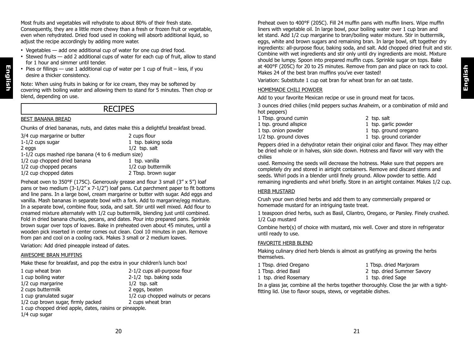**English**

Most fruits and vegetables will rehydrate to about 80% of their fresh state. Consequently, they are a little more chewy than a fresh or frozen fruit or vegetable, even when rehydrated. Dried food used in cooking will absorb additional liquid, so adjust the recipe accordingly by adding more water.

- Vegetables add one additional cup of water for one cup dried food.
- Stewed fruits add 2 additional cups of water for each cup of fruit, allow to stand for 1 hour and simmer until tender.
- Pies or fillings  $-$  use 1 additional cup of water per 1 cup of fruit  $-$  less, if you desire a thicker consistency.

Note: When using fruits in baking or for ice cream, they may be softened by covering with boiling water and allowing them to stand for 5 minutes. Then chop or blend, depending on use.

## RECIPES

#### BEST BANANA BREAD

**English**

Chunks of dried bananas, nuts, and dates make this a delightful breakfast bread.

| 3/4 cup margarine or butter                        | 2 cups flour        |
|----------------------------------------------------|---------------------|
| $1-1/2$ cups sugar                                 | 1 tsp. baking soda  |
| 2 eggs                                             | $1/2$ tsp. salt     |
| 1-1/2 cups mashed ripe banana (4 to 6 medium size) |                     |
| 1/2 cup chopped dried banana                       | 1 tsp. vanilla      |
| 1/2 cup chopped pecans                             | 1/2 cup buttermilk  |
| 1/2 cup chopped dates                              | 2 Tbsp. brown sugar |

Preheat oven to 350°F (175C). Generously grease and flour 3 small (3" x 5") loaf pans or two medium  $(3-1/2" \times 7-1/2")$  loaf pans. Cut parchment paper to fit bottoms and line pans. In a large bowl, cream margarine or butter with sugar. Add eggs and vanilla. Mash bananas in separate bowl with a fork. Add to margarine/egg mixture. In a separate bowl, combine flour, soda, and salt. Stir until well mixed. Add flour to creamed mixture alternately with 1/2 cup buttermilk, blending just until combined. Fold in dried banana chunks, pecans, and dates. Pour into prepared pans. Sprinkle brown sugar over tops of loaves. Bake in preheated oven about 45 minutes, until a wooden pick inserted in center comes out clean. Cool 10 minutes in pan. Remove from pan and cool on a cooling rack. Makes 3 small or 2 medium loaves.

Variation: Add dried pineapple instead of dates.

#### AWESOME BRAN MUFFINS

Make these for breakfast, and pop the extra in your children's lunch box!

| 1 cup wheat bran                                        | 2-1/2 cups all-purpose flour      |
|---------------------------------------------------------|-----------------------------------|
| 1 cup boiling water                                     | 2-1/2 tsp. baking soda            |
| 1/2 cup margarine                                       | $1/2$ tsp. salt                   |
| 2 cups buttermilk                                       | 2 eggs, beaten                    |
| 1 cup granulated sugar                                  | 1/2 cup chopped walnuts or pecans |
| 1/2 cup brown sugar, firmly packed                      | 2 cups wheat bran                 |
| 1 cup chopped dried apple, dates, raisins or pineapple. |                                   |
| 1/4 cup sugar                                           |                                   |

Preheat oven to 400°F (205C). Fill 24 muffin pans with muffin liners. Wipe muffin liners with vegetable oil. In large bowl, pour boiling water over 1 cup bran and let stand. Add 1/2 cup margarine to bran/boiling water mixture. Stir in buttermilk, eggs, white and brown sugars and remaining bran. In large bowl, sift together dry ingredients: all-purpose flour, baking soda, and salt. Add chopped dried fruit and stir. Combine with wet ingredients and stir only until dry ingredients are moist. Mixture should be lumpy. Spoon into prepared muffin cups. Sprinkle sugar on tops. Bake at 400°F (205C) for 20 to 25 minutes. Remove from pan and place on rack to cool. Makes 24 of the best bran muffins you've ever tasted!

Variation: Substitute 1 cup oat bran for wheat bran for an oat taste.

#### HOMEMADE CHILI POWDER

Add to your favorite Mexican recipe or use in ground meat for tacos.

3 ounces dried chilies (mild peppers suchas Anaheim, or a combination of mild and hot peppers)

1 Tbsp. ground cumin 2 tsp. salt 1 tsp. ground allspice and the 1 tsp. garlic powder<br>1 tsp. ground powder 1 tsp. ground oregar  $1/2$  tsp. ground cloves

- 
- 
- 1 tsp. ground oregano<br>1 tsp. ground coriander

Peppers dried in a dehydrator retain their original color and flavor. They may either be dried whole or in halves, skin side down. Hotness and flavor will vary with the chilies

used. Removing the seeds will decrease the hotness. Make sure that peppers are completely dry and stored in airtight containers. Remove and discard stems and seeds. Whirl pods in a blender until finely ground. Allow powder to settle. Add remaining ingredients and whirl briefly. Store in an airtight container. Makes 1/2 cup.

#### HERB MUSTARD

Crush your own dried herbs and add them to any commercially prepared or homemade mustard for an intriguing taste treat.

1 teaspoon dried herbs, such as Basil, Cilantro, Oregano, or Parsley. Finely crushed. 1/2 Cup mustard

Combine herb(s) of choice with mustard, mix well. Cover and store in refrigerator until ready to use.

#### FAVORITE HERB BLEND

Making culinary dried herb blends is almost as gratifying as growing the herbs themselves.

- 1 Tbsp. dried Oregano 1 Tbsp. dried Marjoram
- 1 Tbsp. dried Basil 2 tsp. dried Summer Savory
- -
- 1 tsp. dried Rosemary 1 tsp. dried Sage

In a glass jar, combine all the herbs together thoroughly. Close the jar with a tightfitting lid. Use to flavor soups, stews, or vegetable dishes.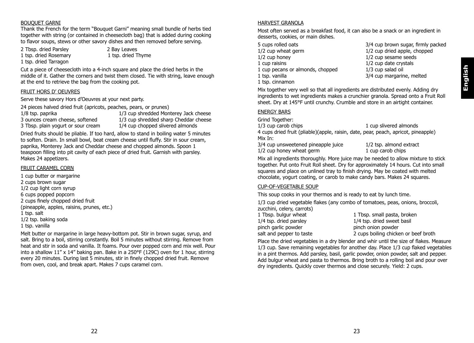# **English**

#### BOUQUET GARNI

Thank the French for the term "Bouquet Garni" meaning small bundle of herbs tied together with string (or contained in cheesecloth bag) that is added during cooking to flavor soups, stews or other savory dishes and then removed before serving.

2 Tbsp. dried Parsley 2 Bay Leaves 1 tsp. dried Rosemary 1 tsp. dried Thyme 1 tsp. dried Tarragon

Cut a piece of cheesecloth into a 4-inch square and place the dried herbs in the middle of it. Gather the corners and twist them closed. Tie with string, leave enough at the end to retrieve the bag from the cooking pot.

#### FRUIT HORS D' OEUVRES

Serve these savory Hors d'Oeuvres at your next party.

24 pieces halved dried fruit (apricots, peaches, pears, or prunes)

1/8 tsp. paprika 1/3 cup shredded Monterey Jack cheese<br>3 ounces cream cheese, softened 1/3 cup shredded sharp Cheddar cheese

3 Tbsp. plain yogurt or sour cream

 $1/3$  cup shredded sharp Cheddar cheese,  $1/4$  cup chopped slivered almonds

Dried fruits should be pliable. If too hard, allow to stand in boiling water 5 minutes to soften. Drain. In small bowl, beat cream cheese until fluffy. Stir in sour cream, paprika, Monterey Jack and Cheddar cheese and chopped almonds. Spoon 1 teaspoon filling into pit cavity of each piece of dried fruit. Garnish with parsley. Makes 24 appetizers.

#### FRUIT CARAMEL CORN

- 1 cup butter or margarine 2 cups brown sugar 1/2 cup light corn syrup 6 cups popped popcorn 2 cups finely chopped dried fruit (pineapple, apples, raisins, prunes, etc.) 1 tsp. salt 1/2 tsp. baking soda
- 1 tsp. vanilla

Melt butter or margarine in large heavy-bottom pot. Stir in brown sugar, syrup, and salt. Bring to a boil, stirring constantly. Boil 5 minutes without stirring. Remove from heat and stir in soda and vanilla. It foams. Pour over popped corn and mix well. Pour into a shallow  $11''$  x  $14''$  baking pan. Bake in a 250°F (129C) oven for 1 hour, stirring every 20 minutes. During last 5 minutes, stir in finely chopped dried fruit. Remove from oven, cool, and break apart. Makes 7 cups caramel corn.

#### HARVEST GRANOLA

Most often served as a breakfast food, it can also be a snack or an ingredient in desserts, cookies, or main dishes.

- 1/2 cup honey 1/2 cup sesame seeds 1 cup raisins 1/2 cup date crystals<br>1 cup pecans or almonds, chopped 1/3 cup salad oil 1 cup pecans or almonds, chopped 1 tsp. vanilla 3/4 cup margarine, melted 1 tsp. cinnamon
- 5 cups rolled oats 3/4 cup brown sugar, firmly packed 1/2 cup wheat germ 1/2 cup dried apple, chopped
	-

Mix together very well so that all ingredients are distributed evenly. Adding dry ingredients to wet ingredients makes a crunchier granola. Spread onto a Fruit Roll sheet. Dry at 145°F until crunchy. Crumble and store in an airtight container.

#### ENERGY BARS

Grind Together:

1/3 cup carob chips 1 cup slivered almonds

4 cups dried fruit (pliable)(apple, raisin, date, pear, peach, apricot, pineapple) Mix In:

3/4 cup unsweetened pineapple juice 1/2 tsp. almond extract 1/2 cup honey wheat germ 1 cup carob chips

Mix all ingredients thoroughly. More juice may be needed to allow mixture to stick together. Put onto Fruit Roll sheet. Dry for approximately 14 hours. Cut into small squares and place on unlined tray to finish drying. May be coated with melted chocolate, yogurt coating, or carob to make candy bars. Makes 24 squares.

#### CUP-OF-VEGETABLE SOUP

This soup cooks in your thermos and is ready to eat by lunch time.

1/3 cup dried vegetable flakes (any combo of tomatoes, peas, onions, broccoli,

zucchini, celery, carrots)<br>1 Tbsp. bulgur wheat pinch garlic powder

1 Tbsp. small pasta, broken 1/4 tsp. dried parsley 1/4 tsp. dried sweet basil<br>
pinch garlic powder basil pinch onion powder salt and pepper to taste 2 cups boiling chicken or beef broth

Place the dried vegetables in a dry blender and whir until the size of flakes. Measure 1/3 cup. Save remaining vegetables for another day. Place 1/3 cup flaked vegetables in a pint thermos. Add parsley, basil, garlic powder, onion powder, salt and pepper. Add bulgur wheat and pasta to thermos. Bring broth to a rolling boil and pour over dry ingredients. Quickly cover thermos and close securely. Yield: 2 cups.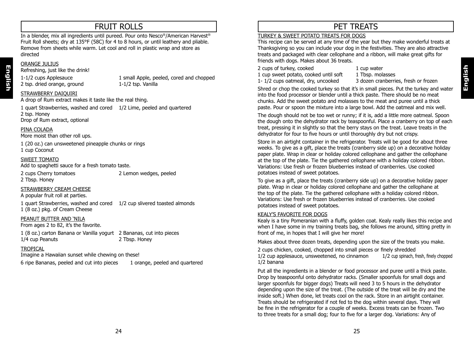# FRUIT ROLLS

In a blender, mix all ingredients until pureed. Pour onto Nesco®/American Harvest® Fruit Roll sheets; dry at 135°F (58C) for 4 to 8 hours, or until leathery and pliable. Remove from sheets while warm. Let cool and roll in plastic wrap and store as directed

#### ORANGE JULIUS

**English**

Refreshing, just like the drink!

2 tsp. dried orange, ground

1-1/2 cups Applesauce 1 small Apple, peeled, cored and chopped<br>
2 tsp. dried orange, ground 1-1/2 tsp. Vanilla

#### STRAWBERRY DAIQUIRI

A drop of Rum extract makes it taste like the real thing.

1 quart Strawberries, washed and cored 1/2 Lime, peeled and quartered 2 tsp. Honey Drop of Rum extract, optional

#### PINA COLADA

More moist than other roll ups.

1 (20 oz.) can unsweetened pineapple chunks or rings 1 cup Coconut

#### SWEET TOMATO

Add to spaghetti sauce for a fresh tomato taste.

2 cups Cherry tomatoes 2 Lemon wedges, peeled 2 Tbsp. Honey

STRAWBERRY CREAM CHEESE

A popular fruit roll at parties.

1 quart Strawberries, washed and cored 1/2 cup slivered toasted almonds 1 (8 oz.) pkg. of Cream Cheese

#### PEANUT BUTTER AND 'NILA

From ages 2 to 82, it's the favorite.

1 (8 oz.) carton Banana or Vanilla yogurt 2 Bananas, cut into pieces 1/4 cup Peanuts 2 Tbsp. Honey

#### TROPICAL

Imagine a Hawaiian sunset while chewing on these! 6 ripe Bananas, peeled and cut into pieces 1 orange, peeled and quartered

# PET TREATS

#### TURKEY & SWEET POTATO TREATS FOR DOGS

This recipe can be served at any time of the year but they make wonderful treats at Thanksgiving so you can include your dog in the festivities. They are also attractive treats and packaged with clear cellophane and a ribbon, will make great gifts for friends with dogs. Makes about 36 treats.

2 cups of turkey, cooked 1 cup water<br>1 cup sweet potato. cooked until soft 1 Tbsp. molasses

1 cup sweet potato, cooked until soft 1 Tbsp. molasses<br>1-1/2 cups oatmeal, drv. uncooked 3 dozen cranberries, fresh or frozen 1-  $1/2$  cups oatmeal, dry, uncooked

Shred or chop the cooked turkey so that it's in small pieces. Put the turkey and water into the food processor or blender until a thick paste. There should be no meat chunks. Add the sweet potato and molasses to the meat and puree until a thick paste. Pour or spoon the mixture into a large bowl. Add the oatmeal and mix well.

The dough should not be too wet or runny; if it is, add a little more oatmeal. Spoon the dough onto the dehydrator rack by teaspoonful. Place a cranberry on top of each treat, pressing it in slightly so that the berry stays on the treat. Leave treats in the dehydrator for four to five hours or until thoroughly dry but not crispy.

Store in an airtight container in the refrigerator. Treats will be good for about three weeks. To give as a gift, place the treats (cranberry side up) on a decorative holiday paper plate. Wrap in clear or holiday colored cellophane and gather the cellophane at the top of the plate. Tie the gathered cellophane with a holiday colored ribbon. Variations: Use fresh or frozen blueberries instead of cranberries. Use cooked potatoes instead of sweet potatoes.

To give as a gift, place the treats (cranberry side up) on a decorative holiday paper plate. Wrap in clear or holiday colored cellophane and gather the cellophane at the top of the plate. Tie the gathered cellophane with a holiday colored ribbon. Variations: Use fresh or frozen blueberries instead of cranberries. Use cooked potatoes instead of sweet potatoes.

#### KEALY'S FAVORITE FOR DOGS

Kealy is a tiny Pomeranian with a fluffy, golden coat. Kealy really likes this recipe and when I have some in my training treats bag, she follows me around, sitting pretty in front of me, in hopes that I will give her more!

Makes about three dozen treats, depending upon the size of the treats you make.

2 cups chicken, cooked, chopped into small pieces or finely shredded 1/2 cup applesauce, unsweetened, no cinnamon 1/2 cup spinach, fresh, finely chopped 1/2 banana

Put all the ingredients in a blender or food processor and puree until a thick paste. Drop by teaspoonful onto dehydrator racks. (Smaller spoonfuls for small dogs and larger spoonfuls for bigger dogs) Treats will need 3 to 5 hours in the dehydrator depending upon the size of the treat. (The outside of the treat will be dry and the inside soft.) When done, let treats cool on the rack. Store in an airtight container. Treats should be refrigerated if not fed to the dog within several days. They will be fine in the refrigerator for a couple of weeks. Excess treats can be frozen. Two to three treats for a small dog; four to five for a larger dog. Variations: Any of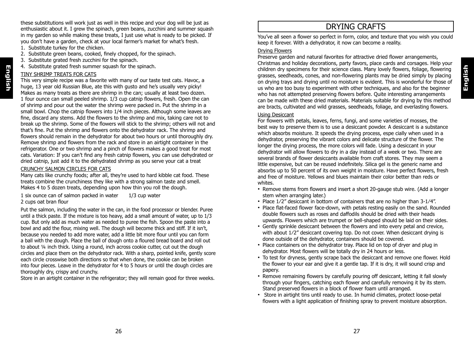these substitutions will work just as well in this recipe and your dog will be just as enthusiastic about it. I grew the spinach, green beans, zucchini and summer squash in my garden so while making these treats, I just use what is ready to be picked. If you don't have a garden, check at your local farmer's market for what's fresh.

- 1. Substitute turkey for the chicken.
- 2. Substitute green beans, cooked, finely chopped, for the spinach.
- 3. Substitute grated fresh zucchini for the spinach.
- 4. Substitute grated fresh summer squash for the spinach.

#### TINY SHRIMP TREATS FOR CATS

This very simple recipe was a favorite with many of our taste test cats. Havoc, a huge, 13 year old Russian Blue, ate this with gusto and he's usually very picky! Makes as many treats as there are shrimp in the can; usually at least two dozen. 1 four ounce can small peeled shrimp. 1/3 cup catnip flowers, fresh. Open the can of shrimp and pour out the water the shrimp were packed in. Put the shrimp in a small bowl. Chop the catnip flowers into 1/4 inch pieces. Although some leaves are fine, discard any stems. Add the flowers to the shrimp and mix, taking care not to break up the shrimp. Some of the flowers will stick to the shrimp; others will not and that's fine. Put the shrimp and flowers onto the dehydrator rack. The shrimp and flowers should remain in the dehydrator for about two hours or until thoroughly dry. Remove shrimp and flowers from the rack and store in an airtight container in the refrigerator. One or two shrimp and a pinch of flowers makes a good treat for most cats. Variation: If you can't find any fresh catnip flowers, you can use dehydrated or dried catnip, just add it to the dehydrated shrimp as you serve your cat a treat

#### CRUNCHY SALMON CIRCLES FOR CATS

Many cats like crunchy foods; after all, they're used to hard kibble cat food. These treats combine the crunchiness they like with a strong salmon taste and smell. Makes 4 to 5 dozen treats, depending upon how thin you roll the dough.

1 six ounce can of salmon packed in water 1/3 cup water 2 cups oat bran flour

Put the salmon, including the water in the can, in the food processor or blender. Puree until a thick paste. If the mixture is too heavy, add a small amount of water, up to 1/3 cup. But only add as much water as needed to puree the fish. Spoon the paste into a bowl and add the flour, mixing well. The dough will become thick and stiff. If it isn't, because you needed to add more water, add a little bit more flour until you can form a ball with the dough. Place the ball of dough onto a floured bread board and roll out to about ¼ inch thick. Using a round, inch across cookie cutter, cut out the dough circles and place them on the dehydrator rack. With a sharp, pointed knife, gently score each circle crosswise both directions so that when done, the cookie can be broken into four pieces. Leave in the dehydrator for 4 to 5 hours or until the dough circles are thoroughly dry, crispy and crunchy.

Store in an airtight container in the refrigerator; they will remain good for three weeks.

# DRYING CRAFTS

You've all seen a flower so perfect in form, color, and texture that you wish you could keep it forever. With a dehydrator, it now can become a reality.

#### Drying Flowers

Preserve garden and natural favorites for attractive dried flower arrangements, Christmas and holiday decorations, party favors, place cards and corsages. Help your children dry specimens for their science class. Many lovely flowers, foliage, flowering grasses, seedheads, cones, and non-flowering plants may be dried simply by placing on drying trays and drying until no moisture is evident. This is wonderful for those of us who are too busy to experiment with other techniques, and also for the beginner who has not attempted preserving flowers before. Quite interesting arrangements can be made with these dried materials. Materials suitable for drying by this method are bracts, cultivated and wild grasses, seedheads, foliage, and everlasting flowers.

#### Using Desiccant

For flowers with petals, leaves, ferns, fungi, and some varieties of mosses, the best way to preserve them is to use a desiccant powder. A desiccant is a substance which absorbs moisture. It speeds the drying process, espe cially when used in a dehydrator, preserving the vibrant colors and delicate structure of the flower. The longer the drying process, the more colors will fade. Using a desiccant in your dehydrator will allow flowers to dry in a day instead of a week or two. There are several brands of flower desiccants available from craft stores. They may seem a little expensive, but can be reused indefinitely. Silica gel is the generic name and absorbs up to 50 percent of its own weight in moisture. Have perfect flowers, fresh and free of moisture. Yellows and blues maintain their color better than reds or whites.

- Remove stems from flowers and insert a short 20-gauge stub wire. (Add a longer stem when arranging later.)
- Place 1⁄2" desiccant in bottom of containers that are no higher than 3-1⁄4".
- Place flat-faced flower face-down, with petals resting easily on the sand. Rounded double flowers such as roses and daffodils should be dried with their heads upwards. Flowers which are trumpet or bell-shaped should be laid on their sides.
- Gently sprinkle desiccant between the flowers and into every petal and crevice, with about  $1/2$ " desiccant covering top. Do not cover. When desiccant drying is done outside of the dehydrator, containers should be covered.
- Place containers on the dehydrator tray. Place lid on top of dryer and plug in dehydrator. Most flowers will be totally dry in 24 hours or less.
- To test for dryness, gently scrape back the desiccant and remove one flower. Hold the flower to your ear and give it a gentle tap. If it is dry, it will sound crisp and papery.
- Remove remaining flowers by carefully pouring off desiccant, letting it fall slowly through your fingers, catching each flower and carefully removing it by its stem. Stand preserved flowers in a block of flower foam until arranged.
- Store in airtight tins until ready to use. In humid climates, protect loose-petal flowers with a light application of finishing spray to prevent moisture absorption.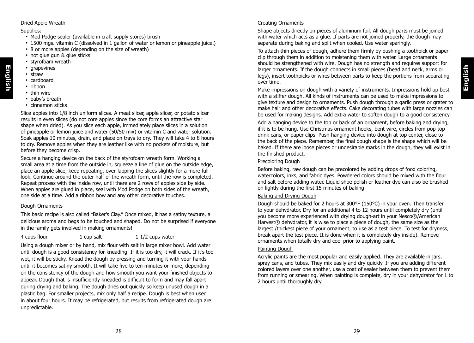# **English**

#### Dried Apple Wreath

#### Supplies:

- Mod Podge sealer (available in craft supply stores) brush
- 1500 mgs. vitamin C (dissolved in 1 gallon of water or lemon or pineapple juice.)
- 8 or more apples (depending on the size of wreath)
- hot glue gun & glue sticks
- styrofoam wreath
- grapevines
- straw

**English**

- cardboard
- ribbon
- thin wire
- baby's breath
- cinnamon sticks

Slice apples into 1/8 inch uniform slices. A meat slicer, apple slicer, or potato slicer results in even slices (do not core apples since the core forms an attractive star shape when dried). As you slice each apple, immediately place slices in a solution of pineapple or lemon juice and water (50/50 mix) or vitamin C and water solution. Soak apples 10 minutes, drain, and place on trays to dry. They will take 4 to 8 hours to dry. Remove apples when they are leather like with no pockets of moisture, but before they become crisp.

Secure a hanging device on the back of the styrofoam wreath form. Working a small area at a time from the outside in, squeeze a line of glue on the outside edge, place an apple slice, keep repeating, over-lapping the slices slightly for a more full look. Continue around the outer half of the wreath form, until the row is completed. Repeat process with the inside row, until there are 2 rows of apples side by side. When apples are glued in place, seal with Mod Podge on both sides of the wreath, one side at a time. Add a ribbon bow and any other decorative touches.

#### Dough Ornaments

This basic recipe is also called "Baker's Clay." Once mixed, it has a satiny texture, a delicious aroma and begs to be touched and shaped. Do not be surprised if everyone in the family gets involved in making ornaments!

#### 4 cups flour 1 cup salt 1-1/2 cups water

Using a dough mixer or by hand, mix flour with salt in large mixer bowl. Add water until dough is a good consistency for kneading. If it is too dry, it will crack. If it's too wet, it will be sticky. Knead the dough by pressing and turning it with your hands until it becomes satiny smooth. It will take five to ten minutes or more, depending on the consistency of the dough and how smooth you want your finished objects to appear. Dough that is insufficiently kneaded is difficult to form and may fall apart during drying and baking. The dough dries out quickly so keep unused dough in a plastic bag. For smaller projects, mix only half a recipe. Dough is best when used in about four hours. It may be refrigerated, but results from refrigerated dough are unpredictable.

#### Creating Ornaments

Shape objects directly on pieces of aluminum foil. All dough parts must be joined with water which acts as a glue. If parts are not joined properly, the dough may separate during baking and split when cooled. Use water sparingly.

To attach thin pieces of dough, adhere them firmly by pushing a toothpick or paper clip through them in addition to moistening them with water. Large ornaments should be strengthened with wire. Dough has no strength and requires support for larger ornaments. If the dough connects in small pieces (head and neck, arms or legs), insert toothpicks or wires between parts to keep the portions from separating over time.

Make impressions on dough with a variety of instruments. Impressions hold up best with a stiffer dough. All kinds of instruments can be used to make impressions to give texture and design to ornaments. Push dough through a garlic press or grater to make hair and other decorative effects. Cake decorating tubes with large nozzles can be used for making designs. Add extra water to soften dough to a good consistency.

Add a hanging device to the top or back of an ornament, before baking and drying, if it is to be hung. Use Christmas ornament hooks, bent wire, circles from pop-top drink cans, or paper clips. Push hanging device into dough at top center, close to the back of the piece. Remember, the final dough shape is the shape which will be baked. If there are loose pieces or undesirable marks in the dough, they will exist in the finished product.

#### Precoloring Dough

Before baking, raw dough can be precolored by adding drops of food coloring, watercolors, inks, and fabric dyes. Powdered colors should be mixed with the flour and salt before adding water. Liquid shoe polish or leather dye can also be brushed on lightly during the first 15 minutes of baking.

#### Baking and Drying Dough

Dough should be baked for 2 hours at 300°F (150°C) in your oven. Then transfer to your dehydrator. Dry for an additional 4 to 12 hours until completely dry (until you become more experienced with drying dough-art in your Nesco®/American Harvest® dehydrator, it is wise to place a piece of dough, the same size as the largest /thickest piece of your ornament, to use as a test piece. To test for dryness, break apart the test piece. It is done when it is completely dry inside). Remove ornaments when totally dry and cool prior to applying paint.

#### Painting Dough

Acrylic paints are the most popular and easily applied. They are available in jars, spray cans, and tubes. They mix easily and dry quickly. If you are adding different colored layers over one another, use a coat of sealer between them to prevent them from running or smearing. When painting is complete, dry in your dehydrator for 1 to 2 hours until thoroughly dry.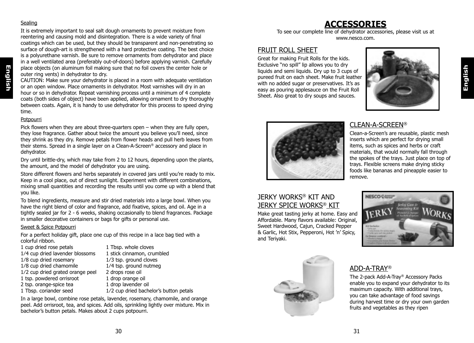#### Sealing

**English**

It is extremely important to seal salt dough ornaments to prevent moisture from reentering and causing mold and disintegration. There is a wide variety of final coatings which can be used, but they should be transparent and non-penetrating so surface of dough-art is strengthened with a hard protective coating. The best choice is a polyurethane varnish. Be sure to remove ornaments from dehydrator and place in a well ventilated area (preferably out-of-doors) before applying varnish. Carefully place objects (on aluminum foil making sure that no foil covers the center hole or outer ring vents) in dehydrator to dry.

CAUTION: Make sure your dehydrator is placed in a room with adequate ventilation or an open window. Place ornaments in dehydrator. Most varnishes will dry in an hour or so in dehydrator. Repeat varnishing process until a minimum of 4 complete coats (both sides of object) have been applied, allowing ornament to dry thoroughly between coats. Again, it is handy to use dehydrator for this process to speed drying time.

#### **Potpourri**

Pick flowers when they are about three-quarters open – when they are fully open, they lose fragrance. Gather about twice the amount you believe you'll need, since they shrink as they dry. Remove petals from flower heads and pull herb leaves from their stems. Spread in a single layer on a Clean-A-Screen® accessory and place in dehydrator.

Dry until brittle-dry, which may take from 2 to 12 hours, depending upon the plants, the amount, and the model of dehydrator you are using.

Store different flowers and herbs separately in covered jars until you're ready to mix. Keep in a cool place, out of direct sunlight. Experiment with different combinations, mixing small quantities and recording the results until you come up with a blend that you like.

To blend ingredients, measure and stir dried materials into a large bowl. When you have the right blend of color and fragrance, add fixative, spices, and oil. Age in a tightly sealed jar for 2 - 6 weeks, shaking occasionally to blend fragrances. Package in smaller decorative containers or bags for gifts or personal use.

#### Sweet & Spice Potpourri

For a perfect holiday gift, place one cup of this recipe in a lace bag tied with a colorful ribbon.

| 1 cup dried rose petals          | 1 Tbsp    |
|----------------------------------|-----------|
| 1/4 cup dried lavender blossoms  | 1 stick   |
| 1/8 cup dried rosemary           | $1/3$ tsp |
| 1/8 cup dried chamomile          | $1/4$ tsp |
| 1/2 cup dried grated orange peel | 2 drops   |
| 1 tsp. powdered orrisroot        | 1 drop    |
| 2 tsp. orange-spice tea          | 1 drop    |
| 1 Tbsp. coriander seed           | $1/2$ cu  |

whole cloves cinnamon, crumbled p. ground cloves p. ground nutmeg vs rose oil orange oil lavender oil I dried bachelor's button petals

In a large bowl, combine rose petals, lavender, rosemary, chamomile, and orange peel. Add orrisroot, tea, and spices. Add oils, sprinkling lightly over mixture. Mix in bachelor's button petals. Makes about 2 cups potpourri.

# **ACCESSORIES**

To see our complete line of dehydrator accessories, please visit us at www.nesco.com.

### FRUIT ROLL SHEET

Great for making Fruit Rolls for the kids. Exclusive "no spill" lip allows you to dry liquids and semi liquids. Dry up to 3 cups of pureed fruit on each sheet. Make fruit leather with no added sugar or preservatives. It's as easy as pouring applesauce on the Fruit Roll Sheet. Also great to dry soups and sauces.





## CLEAN-A-SCREEN®

Clean-a-Screen's are reusable, plastic mesh inserts which are perfect for drying small items, such as spices and herbs or craft materials, that would normally fall through the spokes of the trays. Just place on top of trays. Flexible screens make drying sticky foods like bananas and pineapple easier to remove.

## JERKY WORKS® KIT AND JERKY SPICE WORKS® KIT

Make great tasting jerky at home. Easy and Affordable. Many flavors available: Original, Sweet Hardwood, Cajun, Cracked Pepper & Garlic, Hot Stix, Pepperoni, Hot 'n' Spicy, and Teriyaki.





## ADD-A-TRAY®

The 2-pack Add-A-Tray® Accessory Packs enable you to expand your dehydrator to its maximum capacity. With additional trays, you can take advantage of food savings during harvest time or dry your own garden fruits and vegetables as they ripen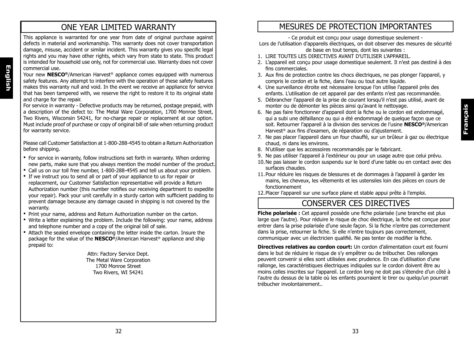# ONE YEAR LIMITED WARRANTY

This appliance is warranted for one year from date of original purchase against defects in material and workmanship. This warranty does not cover transportation damage, misuse, accident or similar incident. This warranty gives you specific legal rights and you may have other rights, which vary from state to state. This product is intended for household use only, not for commercial use. Warranty does not cover commercial use.

Your new **NESCO®**/American Harvest® appliance comes equipped with numerous safety features. Any attempt to interfere with the operation of these safety features makes this warranty null and void. In the event we receive an appliance for service that has been tampered with, we reserve the right to restore it to its original state and charge for the repair.

**English**

For service in warranty - Defective products may be returned, postage prepaid, with a description of the defect to: The Metal Ware Corporation, 1700 Monroe Street, Two Rivers, Wisconsin 54241, for no-charge repair or replacement at our option. Must include proof of purchase or copy of original bill of sale when returning product for warranty service.

Please call Customer Satisfaction at 1-800-288-4545 to obtain a Return Authorization before shipping.

- For service in warranty, follow instructions set forth in warranty. When ordering new parts, make sure that you always mention the model number of the product.
- Call us on our toll free number, 1-800-288-4545 and tell us about your problem.
- If we instruct you to send all or part of your appliance to us for repair or replacement, our Customer Satisfaction representative will provide a Return Authorization number (this number notifies our receiving department to expedite your repair). Pack your unit carefully in a sturdy carton with sufficient padding to prevent damage because any damage caused in shipping is not covered by the warranty.
- Print your name, address and Return Authorization number on the carton.
- Write a letter explaining the problem. Include the following: your name, address and telephone number and a copy of the original bill of sale.
- Attach the sealed envelope containing the letter inside the carton. Insure the package for the value of the **NESCO®**/American Harvest® appliance and ship prepaid to:

Attn: Factory Service Dept. The Metal Ware Corporation 1700 Monroe Street Two Rivers, WI 54241

# MESURES DE PROTECTION IMPORTANTES

- Ce produit est conçu pour usage domestique seulement -

Lors de l'utilisation d'appareils électriques, on doit observer des mesures de sécurité de base en tout temps, dont les suivantes :

- 1. LIRE TOUTES LES DIRECTIVES AVANT D'UTILISER L'APPAREIL.
- 2. L'appareil est conçu pour usage domestique seulement. Il n'est pas destiné à des fins commerciales.
- 3. Aux fins de protection contre les chocs électriques, ne pas plonger l'appareil, y compris le cordon et la fiche, dans l'eau ou tout autre liquide.
- 4. Une surveillance étroite est nécessaire lorsque l'on utilise l'appareil près des enfants. L'utilisation de cet appareil par des enfants n'est pas recommandée.
- 5. Débrancher l'appareil de la prise de courant lorsqu'il n'est pas utilisé, avant de monter ou de démonter les pièces ainsi qu'avant le nettoyage.
- 6. Ne pas faire fonctionner d'appareil dont la fiche ou le cordon est endommagé, qui a subi une défaillance ou qui a été endommagé de quelque façon que ce soit. Retourner l'appareil à la division des services de l'usine **NESCO®**/American Harvest® aux fins d'examen, de réparation ou d'ajustement.
- 7. Ne pas placer l'appareil dans un four chauffé, sur un brûleur à gaz ou électrique chaud, ni dans les environs.
- 8. N'utiliser que les accessoires recommandés par le fabricant.
- 9. Ne pas utiliser l'appareil à l'extérieur ou pour un usage autre que celui prévu.
- 10. Ne pas laisser le cordon suspendu sur le bord d'une table ou en contact avec des surfaces chaudes.
- 11. Pour réduire les risques de blessures et de dommages à l'appareil à garder les mains, les cheveux, les vêtements et les ustensiles loin des pièces en cours de fonctionnement
- 12. Placer l'appareil sur une surface plane et stable appui prête à l'emploi.

# CONSERVER CES DIRECTIVES

**Fiche polarisée :** Cet appareil possède une fiche polarisée (une branche est plus large que l'autre). Pour réduire le risque de choc électrique, la fiche est conçue pour entrer dans la prise polarisée d'une seule façon. Si la fiche n'entre pas correctement dans la prise, retourner la fiche. Si elle n'entre toujours pas correctement, communiquer avec un électricien qualifié. Ne pas tenter de modifier la fiche.

**Directives relatives au cordon court:** Un cordon d'alimentation court est fourni dans le but de réduire le risque de s'y empêtrer ou de trébucher. Des rallonges peuvent convenir si elles sont utilisées avec prudence. En cas d'utilisation d'une rallonge, les caractéristiques électriques indiquées sur le cordon doivent être au moins celles inscrites sur l'appareil. Le cordon long ne doit pas s'étendre d'un côté à l'autre du dessus de la table où les enfants pourraient le tirer ou quelqu'un pourrait trébucher involontairement..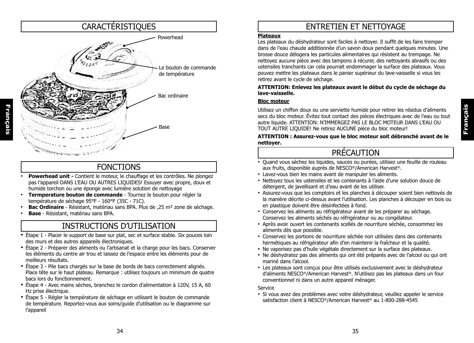

# FONCTIONS

- **Powerhead unit -** Contient le moteur, le chauffage et les contrôles. Ne plongez pas l'appareil DANS L'EAU OU AUTRES LIQUIDES! Essuyer avec propre, doux et humide torchon ou une éponge avec lumière solution de nettoyage
- **Termperature bouton de commande** Tournez le bouton pour régler la température de séchage 95°F - 160°F (35C - 71C).
- **Bac Ordinaire**  Résistant, matériau sans BPA. Plus de ,25 m² zone de séchage.
- **Base** Résistant, matériau sans BPA.

# INSTRUCTIONS D'UTILISATION

- Étape 1 Placer le support de base sur plat, sec et surface stable. Six pouces loin des murs et des autres appareils électroniques.
- Étape 2 Préparer des aliments ou l'artisanat et la charge pour les bacs. Conserver les éléments du centre air trou et laissez de l'espace entre les éléments pour de meilleurs résultats.
- Étape 3 Pile bacs chargés sur la base de bords de bacs correctement alignés. Place tête sur le haut plateau. Remarque : utilisez toujours un minimum de quatre bacs lors du fonctionnement.
- Étape 4 Avec mains sèches, branchez le cordon d'alimentation à 120V, 15 A, 60 Hz prise électrique.
- Étape 5 Régler la température de séchage en utilisant le bouton de commande de température. Reportez-vous aux soins/guide d'utilisation ou le diagramme sur l'appareil

# ENTRETIEN ET NETTOYAGE

#### **Plateaux**

Les plateaux du déshydrateur sont faciles à nettoyer. Il suffit de les faire tremper dans de l'eau chaude additionnée d'un savon doux pendant quelques minutes. Une brosse douce délogera les particules alimentaires qui résistent au trempage. Ne nettoyez aucune pièce avec des tampons à récurer, des nettoyants abrasifs ou des ustensiles tranchants car cela pourrait endommager la surface des plateaux. Vous pouvez mettre les plateaux dans le panier supérieur du lave-vaisselle si vous les retirez avant le cycle de séchage.

#### **ATTENTION: Enlevez les plateaux avant le début du cycle de séchage du lave-vaisselle.**

#### **Bloc moteur**

Utilisez un chiffon doux ou une serviette humide pour retirer les résidus d'aliments secs du bloc moteur. Évitez tout contact des pièces électriques avec de l'eau ou tout autre liquide. ATTENTION: N'IMMERGEZ PAS LE BLOC MOTEUR DANS L'EAU OU TOUT AUTRE LIQUIDE! Ne retirez AUCUNE pièce du bloc moteur!

#### **ATTENTION : Assurez-vous que le bloc moteur soit débranché avant de le nettoyer.**

# PRÉCAUTION

- Quand vous séchez les liquides, sauces ou purées, utilisez une feuille de rouleau aux fruits, disponible auprès de NESCO®/American Harvest®.
- Lavez-vous bien les mains avant de manipuler les aliments.
- Nettoyez tous les ustensiles et les contenants à l'aide d'une solution douce de détergent, de javellisant et d'eau avant de les utiliser.
- Assurez-vous que les comptoirs et les planches à découper soient bien nettoyés de la manière décrite ci-dessus avant l'utilisation. Les planches à découper en bois ou en plastique doivent être désinfectées à fond.
- Conservez les aliments au réfrigérateur avant de les préparer au séchage. Conservez les aliments séchés au réfrigérateur ou au congélateur.
- Après avoir ouvert les contenants scellés de nourriture séchée, consommez les aliments dès que possible.
- Conservez les portions de nourriture séchée non utilisées dans des contenants hermétiques au réfrigérateur afin d'en maintenir la fraîcheur et la qualité.
- Ne vaporisez pas d'huile végétale directement sur la surface des plateaux.
- Ne déshydratez pas des aliments qui ont été préparés avec de l'alcool ou qui ont mariné dans l'alcool.
- Les plateaux sont conçus pour être utilisés exclusivement avec le déshydrateur d'aliments NESCO®/American Harvest®. N'utilisez pas les plateaux dans un four conventionnel ni dans un autre appareil ménager.

Service

• Si vous avez des problèmes avec votre déshydrateur, veuillez appeler le service satisfaction client à NESCO®/American Harvest® au 1-800-288-4545

**Français**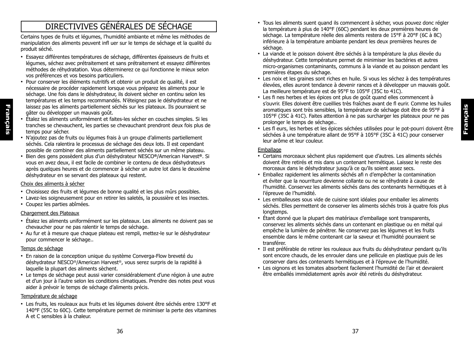# DIRECTIVIVES GÉNÉRALES DE SÉCHAGE

Certains types de fruits et légumes, l'humidité ambiante et même les méthodes de manipulation des aliments peuvent infl uer sur le temps de séchage et la qualité du produit séché.

- Essayez différentes températures de séchage, différentes épaisseurs de fruits et légumes, séchez avec prétraitement et sans prétraitement et essayez différentes méthodes de réhydratation. Vous déterminerez ce qui fonctionne le mieux selon vos préférences et vos besoins particuliers.
- Pour conserver les éléments nutritifs et obtenir un produit de qualité, il est nécessaire de procéder rapidement lorsque vous préparez les aliments pour le séchage. Une fois dans le déshydrateur, ils doivent sécher en continu selon les températures et les temps recommandés. N'éteignez pas le déshydrateur et ne laissez pas les aliments partiellement séchés sur les plateaux. Ils pourraient se gâter ou développer un mauvais goût.
- Étalez les aliments uniformément et faites-les sécher en couches simples. Si les tranches se chevauchent, les parties se chevauchant prendront deux fois plus de temps pour sécher.
- N'ajoutez pas de fruits ou légumes frais à un groupe d'aliments partiellement séchés. Cela ralentira le processus de séchage des deux lots. Il est cependant possible de combiner des aliments partiellement séchés sur un même plateau.
- Bien des gens possèdent plus d'un déshydrateur NESCO**®**/American Harvest**®**. Si vous en avez deux, il est facile de combiner le contenu de deux déshydrateurs après quelques heures et de commencer à sécher un autre lot dans le deuxième déshydrateur en se servant des plateaux qui restent.

#### Choix des aliments à sécher

**Français**

Français

- Choisissez des fruits et légumes de bonne qualité et les plus mûrs possibles.
- Lavez-les soigneusement pour en retirer les saletés, la poussière et les insectes.
- Coupez les parties abîmées.

#### Chargement des Plateaux

- Étalez les aliments uniformément sur les plateaux. Les aliments ne doivent pas se chevaucher pour ne pas ralentir le temps de séchage.
- Au fur et à mesure que chaque plateau est rempli, mettez-le sur le déshydrateur pour commencer le séchage..

#### Temps de séchage

- En raison de la conception unique du système Converga-Flow breveté du déshydrateur NESCO®/American Harvest®, vous serez surpris de la rapidité à laquelle la plupart des aliments sèchent.
- Le temps de séchage peut aussi varier considérablement d'une région à une autre et d'un jour à l'autre selon les conditions climatiques. Prendre des notes peut vous aider à prévoir le temps de séchage d'aliments précis.

#### Température de séchage

• Les fruits, les rouleaux aux fruits et les légumes doivent être séchés entre 130°F et 140°F (55C to 60C). Cette température permet de minimiser la perte des vitamines A et C sensibles à la chaleur.

- Tous les aliments suent quand ils commencent à sécher, vous pouvez donc régler la température à plus de 140°F (60C) pendant les deux premières heures de séchage. La température réelle des aliments restera de 15°F à 20°F (6C à 8C) inférieure à la température ambiante pendant les deux premières heures de séchage.
- La viande et le poisson doivent être séchés à la température la plus élevée du déshydrateur. Cette température permet de minimiser les bactéries et autres micro-organismes contaminants, communs à la viande et au poisson pendant les premières étapes du séchage.
- Les noix et les graines sont riches en huile. Si vous les séchez à des températures élevées, elles auront tendance à devenir rances et à développer un mauvais goût. La meilleure température est de 95°F to 105°F (35C to 41C).
- Les fi nes herbes et les épices ont plus de goût quand elles commencent à s'ouvrir. Elles doivent être cueillies très fraîches avant de fl eurir. Comme les huiles aromatiques sont très sensibles, la température de séchage doit être de 95°F à 105°F (35C à 41C). Faites attention à ne pas surcharger les plateaux pour ne pas prolonger le temps de séchage..
- Les fl eurs, les herbes et les épices séchées utilisées pour le pot-pourri doivent être séchées à une température allant de 95°F à 105°F (35C à 41C) pour conserver leur arôme et leur couleur.

#### **Emballage**

- Certains morceaux sèchent plus rapidement que d'autres. Les aliments séchés doivent être retirés et mis dans un contenant hermétique. Laissez le reste des morceaux dans le déshydrateur jusqu'à ce qu'ils soient assez secs.
- Emballez rapidement les aliments séchés afi n d'empêcher la contamination et éviter que la nourriture devienne collante ou ne se réhydrate à cause de l'humidité. Conservez les aliments séchés dans des contenants hermétiques et à l'épreuve de l'humidité.
- Les emballeuses sous vide de cuisine sont idéales pour emballer les aliments séchés. Elles permettent de conserver les aliments séchés trois à quatre fois plus longtemps.
- Étant donné que la plupart des matériaux d'emballage sont transparents, conservez les aliments séchés dans un contenant en plastique ou en métal qui empêche la lumière de pénétrer. Ne conservez pas les légumes et les fruits ensemble dans le même contenant car la saveur et l'humidité pourraient se transférer.
- Il est préférable de retirer les rouleaux aux fruits du déshydrateur pendant qu'ils sont encore chauds, de les enrouler dans une pellicule en plastique puis de les conserver dans des contenants hermétiques et à l'épreuve de l'humidité.
- Les oignons et les tomates absorbent facilement l'humidité de l'air et devraient être emballés immédiatement après avoir été retirés du déshydrateur.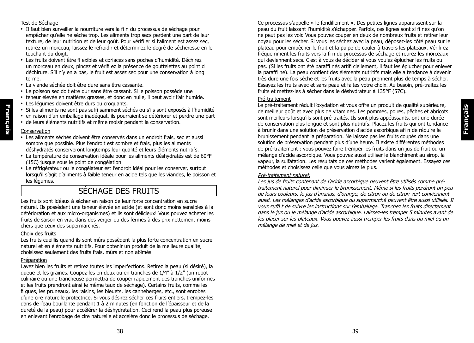#### Test de Séchage

- Il faut bien surveiller la nourriture vers la fi n du processus de séchage pour empêcher qu'elle ne sèche trop. Les aliments trop secs perdent une part de leur texture, de leur nutrition et de leur goût. Pour vérifi er si l'aliment est assez sec, retirez un morceau, laissez-le refroidir et déterminez le degré de sécheresse en le touchant du doigt.
- Les fruits doivent être fl exibles et coriaces sans poches d'humidité. Déchirez un morceau en deux, pincez et vérifi ez la présence de gouttelettes au point d déchirure. S'il n'y en a pas, le fruit est assez sec pour une conservation à long terme.
- La viande séchée doit être dure sans être cassante.
- Le poisson sec doit être dur sans être cassant. Si le poisson possède une
- teneur élevée en matières grasses, et donc en huile, il peut avoir l'air humide.
- Les légumes doivent être durs ou croquants.
- Si les aliments ne sont pas suffi samment séchés ou s'ils sont exposés à l'humidité
- en raison d'un emballage inadéquat, ils pourraient se détériorer et perdre une part
- de leurs éléments nutritifs et même moisir pendant la conservation.

#### Conservation

**Français**

Français

- Les aliments séchés doivent être conservés dans un endroit frais, sec et aussi sombre que possible. Plus l'endroit est sombre et frais, plus les aliments déshydratés conserveront longtemps leur qualité et leurs éléments nutritifs.
- La température de conservation idéale pour les aliments déshydratés est de 60°F (15C) jusque sous le point de congélation.
- Le réfrigérateur ou le congélateur est l'endroit idéal pour les conserver, surtout lorsqu'il s'agit d'aliments à faible teneur en acide tels que les viandes, le poisson et les légumes.

# SÉCHAGE DES FRUITS

Les fruits sont idéaux à sécher en raison de leur forte concentration en sucre naturel. Ils possèdent une teneur élevée en acide (et sont donc moins sensibles à la détérioration et aux micro-organismes) et ils sont délicieux! Vous pouvez acheter les fruits de saison en vrac dans des verger ou des fermes à des prix nettement moins chers que ceux des supermarchés.

#### Choix des fruits

Les fruits cueillis quand ils sont mûrs possèdent la plus forte concentration en sucre naturel et en éléments nutritifs. Pour obtenir un produit de la meilleure qualité, choisissez seulement des fruits frais, mûrs et non abîmés.

#### Préparation

Lavez bien les fruits et retirez toutes les imperfections. Retirez la peau (si désiré), la queue et les graines. Coupez-les en deux ou en tranches de 1/4" à 1/2" (un robot culinaire ou une trancheuse permettra de couper rapidement des tranches uniformes et les fruits prendront ainsi le même taux de séchage). Certains fruits, comme les fi gues, les pruneaux, les raisins, les bleuets, les canneberges, etc., sont enrobés d'une cire naturelle protectrice. Si vous désirez sécher ces fruits entiers, trempez-les dans de l'eau bouillante pendant 1 à 2 minutes (en fonction de l'épaisseur et de la dureté de la peau) pour accélérer la déshydratation. Ceci rend la peau plus poreuse en enlevant l'enrobage de cire naturelle et accélère donc le processus de séchage.

Ce processus s'appelle « le fendillement ». Des petites lignes apparaissent sur la peau du fruit laissant l'humidité s'échapper. Parfois, ces lignes sont si fi nes qu'on ne peut pas les voir. Vous pouvez couper en deux de nombreux fruits et retirer leur noyau pour les sécher. Si vous les séchez avec la peau, déposez-les côté peau sur le plateau pour empêcher le fruit et la pulpe de couler à travers les plateaux. Vérifi ez fréquemment les fruits vers la fi n du processus de séchage et retirez les morceaux qui deviennent secs. C'est à vous de décider si vous voulez éplucher les fruits ou pas. (Si les fruits ont été paraffi nés artifi ciellement, il faut les éplucher pour enlever la paraffi ne). La peau contient des éléments nutritifs mais elle a tendance à devenir très dure une fois sèche et les fruits avec la peau prennent plus de temps à sécher. Essayez les fruits avec et sans peau et faites votre choix. Au besoin, pré-traitez les fruits et mettez-les à sécher dans le déshydrateur à 135°F (57C).

#### Pré-traitement

Le pré-traitement réduit l'oxydation et vous offre un produit de qualité supérieure, de meilleur goût et avec plus de vitamines. Les pommes, poires, pêches et abricots sont meilleurs lorsqu'ils sont pré-traités. Ils sont plus appétissants, ont une durée de conservation plus longue et sont plus nutritifs. Placez les fruits qui ont tendance à brunir dans une solution de préservation d'acide ascorbique afi n de réduire le brunissement pendant la préparation. Ne laissez pas les fruits coupés dans une solution de préservation pendant plus d'une heure. Il existe différentes méthodes de pré-traitement : vous pouvez faire tremper les fruits dans un jus de fruit ou un mélange d'acide ascorbique. Vous pouvez aussi utiliser le blanchiment au sirop, la vapeur, la sulfatation. Les résultats de ces méthodes varient également. Essayez ces méthodes et choisissez celle que vous aimez le plus.

#### Pré-traitement naturel:

Les jus de fruits contenant de l'acide ascorbique peuvent être utilisés comme prétraitement naturel pour diminuer le brunissement. Même si les fruits perdront un peu de leurs couleurs, le jus d'ananas, d'orange, de citron ou de citron vert conviennent aussi. Les mélanges d'acide ascorbique du supermarché peuvent être aussi utilisés. Il vous suffi t de suivre les instructions sur l'emballage. Tranchez les fruits directement dans le jus ou le mélange d'acide ascorbique. Laissez-les tremper 5 minutes avant de les placer sur les plateaux. Vous pouvez aussi tremper les fruits dans du miel ou un mélange de miel et de jus.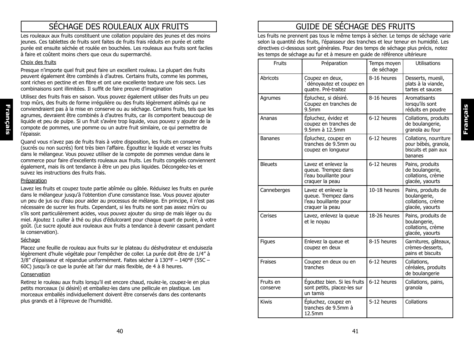# SÉCHAGE DES ROULEAUX AUX FRUITS

Les rouleaux aux fruits constituent une collation populaire des jeunes et des moins jeunes. Ces tablettes de fruits sont faites de fruits frais réduits en purée et cette purée est ensuite séchée et roulée en bouchées. Les rouleaux aux fruits sont faciles à faire et coûtent moins chers que ceux du supermarché.

#### Choix des fruits

Presque n'importe quel fruit peut faire un excellent rouleau. La plupart des fruits peuvent également être combinés à d'autres. Certains fruits, comme les pommes, sont riches en pectine et en fibre et ont une excellente texture une fois secs. Les combinaisons sont illimitées. Il suffit de faire preuve d'imagination

Utilisez des fruits frais en saison. Vous pouvez également utiliser des fruits un peu trop mûrs, des fruits de forme irrégulière ou des fruits légèrement abîmés qui ne conviendraient pas à la mise en conserve ou au séchage. Certains fruits, tels que les agrumes, devraient être combinés à d'autres fruits, car ils comportent beaucoup de liquide et peu de pulpe. Si un fruit s'avère trop liquide, vous pouvez y ajouter de la compote de pommes, une pomme ou un autre fruit similaire, ce qui permettra de l'épaissir.

Quand vous n'avez pas de fruits frais à votre disposition, les fruits en conserve (sucrés ou non sucrés) font très bien l'affaire. Égouttez le liquide et versez les fruits dans le mélangeur. Vous pouvez utiliser de la compote de pommes vendue dans le commerce pour faire d'excellents rouleaux aux fruits. Les fruits congelés conviennent également, mais ils ont tendance à être un peu plus liquides. Décongelez-les et suivez les instructions des fruits frais.

#### Préparation

Lavez les fruits et coupez toute partie abîmée ou gâtée. Réduisez les fruits en purée dans le mélangeur jusqu'à l'obtention d'une consistance lisse. Vous pouvez ajouter un peu de jus ou d'eau pour aider au processus de mélange. En principe, il n'est pas nécessaire de sucrer les fruits. Cependant, si les fruits ne sont pas assez mûrs ou s'ils sont particulièrement acides, vous pouvez ajouter du sirop de maïs léger ou du miel. Ajoutez 1 cuiller à thé ou plus d'édulcorant pour chaque quart de purée, à votre goût. (Le sucre ajouté aux rouleaux aux fruits a tendance à devenir cassant pendant la conservation).

#### Séchage

Placez une feuille de rouleau aux fruits sur le plateau du déshydrateur et enduisezla légèrement d'huile végétale pour l'empêcher de coller. La purée doit être de 1/4" à 3/8" d'épaisseur et répandue uniformément. Faites sécher à 130°F – 140°F (55C – 60C) jusqu'à ce que la purée ait l'air dur mais flexible, de 4 à 8 heures.

#### Conservation

Retirez le rouleau aux fruits lorsqu'il est encore chaud, roulez-le, coupez-le en plus petits morceaux (si désiré) et emballez-les dans une pellicule en plastique. Les morceaux emballés individuellement doivent être conservés dans des contenants plus grands et à l'épreuve de l'humidité.

# GUIDE DE SÉCHAGE DES FRUITS

Les fruits ne prennent pas tous le même temps à sécher. Le temps de séchage varie selon la quantité des fruits, l'épaisseur des tranches et leur teneur en humidité. Les directives ci-dessous sont générales. Pour des temps de séchage plus précis, notez les temps de séchage au fur et à mesure en guide de référence ultérieure

**Français**

| Fruits                | Préparation                                                                            | Temps moyen<br>de séchage | <b>Utilisations</b>                                                               |
|-----------------------|----------------------------------------------------------------------------------------|---------------------------|-----------------------------------------------------------------------------------|
| Abricots              | Coupez en deux,<br>dénoyautez et coupez en<br>quatre. Pré-traitez                      | 8-16 heures               | Desserts, muesli,<br>plats à la viande,<br>tartes et sauces                       |
| Agrumes               | Épluchez, si désiré.<br>Coupez en tranches de<br>9.5 <sub>mm</sub>                     | 8-16 heures               | Aromatisants<br>lorsqu'ils sont<br>réduits en poudre                              |
| Ananas                | Épluchez, évidez et<br>coupez en tranches de<br>9.5mm à 12.5mm                         | 6-12 heures               | Collations, produits<br>de boulangerie,<br>granola au four                        |
| <b>Bananes</b>        | Epluchez, coupez en<br>tranches de 9.5mm ou<br>coupez en longueur                      | 6-12 heures               | Collations, nourriture<br>pour bébés, granola,<br>biscuits et pain aux<br>bananes |
| <b>Bleuets</b>        | Lavez et enlevez la<br>queue. Trempez dans<br>l'eau bouillante pour<br>craquer la peau | 6-12 heures               | Pains, produits<br>de boulangerie,<br>collations, crème<br>glacée, yaourts        |
| Canneberges           | Lavez et enlevez la<br>queue. Trempez dans<br>l'eau bouillante pour<br>craquer la peau | 10-18 heures              | Pains, produits de<br>boulangerie,<br>collations, crème<br>glacée, yaourts        |
| Cerises               | Lavez, enlevez la queue<br>et le noyau                                                 | 18-26 heures              | Pains, produits de<br>boulangerie,<br>collations, crème<br>glacée, yaourts        |
| Figues                | Enlevez la queue et<br>coupez en deux                                                  | 8-15 heures               | Garnitures, gâteaux,<br>crèmes-desserts,<br>pains et biscuits                     |
| <b>Fraises</b>        | Coupez en deux ou en<br>tranches                                                       | 6-12 heures               | Collations,<br>céréales, produits<br>de boulangerie                               |
| Fruits en<br>conserve | Égouttez bien. Si les fruits<br>sont petits, placez-les sur<br>un tamis                | 6-12 heures               | Collations, pains,<br>granola                                                     |
| <b>Kiwis</b>          | Epluchez, coupez en<br>tranches de 9.5mm à<br>12.5mm                                   | 5-12 heures               | Collations                                                                        |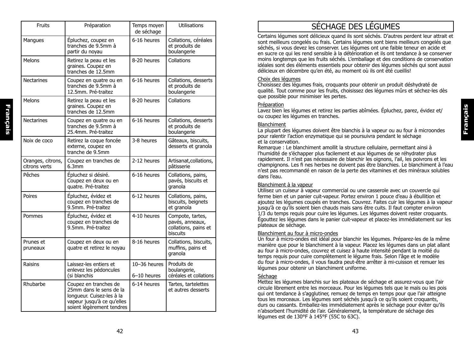| <b>Fruits</b>                      | Préparation                                                                                                                              | Temps moyen<br>de séchage   | <b>Utilisations</b>                                                     |
|------------------------------------|------------------------------------------------------------------------------------------------------------------------------------------|-----------------------------|-------------------------------------------------------------------------|
| Mangues                            | Épluchez, coupez en<br>tranches de 9.5mm à<br>partir du noyau                                                                            | 6-16 heures                 | Collations, céréales<br>et produits de<br>boulangerie                   |
| <b>Melons</b>                      | Retirez la peau et les<br>graines. Coupez en<br>tranches de 12.5mm                                                                       | 8-20 heures                 | Collations                                                              |
| <b>Nectarines</b>                  | Coupez en quatre ou en<br>tranches de 9.5mm à<br>12.5mm. Pré-traitez                                                                     | 6-16 heures                 | Collations, desserts<br>et produits de<br>boulangerie                   |
| <b>Melons</b>                      | Retirez la peau et les<br>graines. Coupez en<br>tranches de 12.5mm                                                                       | 8-20 heures                 | Collations                                                              |
| <b>Nectarines</b>                  | Coupez en quatre ou en<br>tranches de 9.5mm à<br>25.4mm. Pré-traitez                                                                     | 6-16 heures                 | Collations, desserts<br>et produits de<br>boulangerie                   |
| Noix de coco                       | Retirez la coque foncée<br>externe, coupez en<br>tranche de 9.5mm                                                                        | 3-8 heures                  | Gâteaux, biscuits,<br>desserts et granola                               |
| Oranges, citrons,<br>citrons verts | Coupez en tranches de<br>6.3mm                                                                                                           | 2-12 heures                 | Artisanat, collations,<br>pâtisserie                                    |
| Pêches                             | Épluchez si désiré.<br>Coupez en deux ou en<br>quatre. Pré-traitez                                                                       | 6-16 heures                 | Collations, pains,<br>pavés, biscuits et<br>granola                     |
| Poires                             | Épluchez, évidez et<br>coupez en tranches de<br>9.5mm. Pré-traitez                                                                       | 6-12 heures                 | Collations, pains,<br>biscuits, beignets<br>et granola                  |
| Pommes                             | Épluchez, évidez et<br>coupez en tranches de<br>9.5mm. Pré-traitez                                                                       | 4-10 heures                 | Compote, tartes,<br>pavés, anneaux,<br>collations, pains et<br>biscuits |
| Prunes et<br>pruneaux              | Coupez en deux ou en<br>quatre et retirez le noyau                                                                                       | 8-16 heures                 | Collations, biscuits,<br>muffins, pains et<br>granola                   |
| Raisins                            | Laissez-les entiers et<br>enlevez les pédoncules<br>(si blanchis                                                                         | 10-36 heures<br>6–10 heures | Produits de<br>boulangerie,<br>céréales et collations                   |
| Rhubarbe                           | Coupez en tranches de<br>25mm dans le sens de la<br>longueur. Cuisez-les à la<br>vapeur jusqu'à ce qu'elles<br>soient légèrement tendres | 6-14 heures                 | Tartes, tartelettes<br>et autres desserts                               |

# SÉCHAGE DES LÉGUMES

Certains légumes sont délicieux quand ils sont séchés. D'autres perdent leur attrait et sont meilleurs congelés ou frais. Certains légumes sont biens meilleurs congelés que séchés, si vous devez les conserver. Les légumes ont une faible teneur en acide et en sucre ce qui les rend sensible à la détérioration et ils ont tendance à se conserver moins longtemps que les fruits séchés. L'emballage et des conditions de conservation idéales sont des éléments essentiels pour obtenir des légumes séchés qui sont aussi délicieux en décembre qu'en été, au moment où ils ont été cueillis!

#### Choix des légumes

Choisissez des légumes frais, croquants pour obtenir un produit déshydraté de qualité. Tout comme pour les fruits, choisissez des légumes mûrs et séchez-les dès que possible pour minimiser les pertes.

#### Préparation

Lavez bien les légumes et retirez les parties abîmées. Épluchez, parez, évidez et/ ou coupez les légumes en tranches.

#### **Blanchiment**

La plupart des légumes doivent être blanchis à la vapeur ou au four à microondes pour ralentir l'action enzymatique qui se poursuivra pendant le séchage et la conservation.

Remarque : Le blanchiment amollit la structure cellulaire, permettant ainsi à l'humidité de s'échapper plus facilement et aux légumes de se réhydrater plus rapidement. Il n'est pas nécessaire de blanchir les oignons, l'ail, les poivrons et les champignons. Les fi nes herbes ne doivent pas être blanchies. Le blanchiment à l'eau n'est pas recommandé en raison de la perte des vitamines et des minéraux solubles dans l'eau.

#### Blanchiment à la vapeur

Utilisez un cuiseur à vapeur commercial ou une casserole avec un couvercle qui ferme bien et un panier cuit-vapeur. Portez environ 1 pouce d'eau à ébullition et ajoutez les légumes coupés en tranches. Couvrez. Faites cuir les légumes à la vapeur jusqu'à ce qu'ils soient bien chauds mais sans être cuits. Il faut compter environ 1/3 du temps requis pour cuire les légumes. Les légumes doivent rester croquants. Égouttez les légumes dans le panier cuit-vapeur et placez-les immédiatement sur les plateaux de séchage.

#### Blanchiment au four à micro-ondes

Un four à micro-ondes est idéal pour blanchir les légumes. Préparez-les de la même manière que pour le blanchiment à la vapeur. Placez les légumes dans un plat allant au four à micro-ondes, couvrez et cuisez à haute intensité pendant la moitié du temps requis pour cuire complètement le légume frais. Selon l'âge et le modèle du four à micro-ondes, il vous faudra peut-être arrêter à mi-cuisson et remuer les légumes pour obtenir un blanchiment uniforme.

#### Séchage

Mettez les légumes blanchis sur les plateaux de séchage et assurez-vous que l'air circule librement entre les morceaux. Pour les légumes tels que le maïs ou les pois qui ont tendance à s'agglutiner, remuez de temps en temps pour que l'air atteigne tous les morceaux. Les légumes sont séchés jusqu'à ce qu'ils soient croquants, durs ou cassants. Emballez-les immédiatement après le séchage pour éviter qu'ils n'absorbent l'humidité de l'air. Généralement, la température de séchage des légumes est de 130°F à 145°F (55C to 63C).

**Français**

Français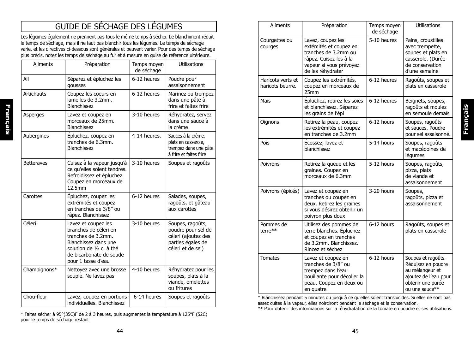# GUIDE DE SÉCHAGE DES LÉGUMES

Les légumes également ne prennent pas tous le même temps à sécher. Le blanchiment réduit le temps de séchage, mais il ne faut pas blanchir tous les légumes. Le temps de séchage varie, et les directives ci-dessous sont générales et peuvent varier. Pour des temps de séchage plus précis, notez les temps de séchage au fur et à mesure en guise de référence ultérieure.

| <b>Aliments</b>   | Préparation                                                                                                                                                             | Temps moyen<br>de séchage | <b>Utilisations</b>                                                                                     |
|-------------------|-------------------------------------------------------------------------------------------------------------------------------------------------------------------------|---------------------------|---------------------------------------------------------------------------------------------------------|
| Ail               | Séparez et épluchez les<br>gousses                                                                                                                                      | 6-12 heures               | Poudre pour<br>assaisonnement                                                                           |
| <b>Artichauts</b> | Coupez les coeurs en<br>lamelles de 3.2mm.<br>Blanchissez                                                                                                               | 6-12 heures               | Marinez ou trempez<br>dans une pâte à<br>frire et faites frire                                          |
| Asperges          | Lavez et coupez en<br>morceaux de 25mm.<br>Blanchissez                                                                                                                  | 3-10 heures               | Réhydratez, servez<br>dans une sauce à<br>la crème                                                      |
| Aubergines        | Épluchez, coupez en<br>tranches de 6.3mm.<br>Blanchissez                                                                                                                | 4-14 heures.              | Sauces à la crème,<br>plats en casserole,<br>trempez dans une pâte<br>à frire et faites frire           |
| <b>Betteraves</b> | Cuisez à la vapeur jusqu'à<br>ce qu'elles soient tendres.<br>Refroidissez et épluchez.<br>Coupez en morceaux de<br>12.5mm                                               | 3-10 heures               | Soupes et ragoûts                                                                                       |
| Carottes          | Épluchez, coupez les<br>extrémités et coupez<br>en tranches de 3/8" ou<br>râpez. Blanchissez                                                                            | 6-12 heures               | Salades, soupes,<br>ragoûts, et gâteau<br>aux carottes                                                  |
| Céleri            | Lavez et coupez les<br>branches de céleri en<br>tranches de 3.2mm.<br>Blanchissez dans une<br>solution de 1/2 c. à thé<br>de bicarbonate de soude<br>pour 1 tasse d'eau | 3-10 heures               | Soupes, ragoûts,<br>poudre pour sel de<br>céleri (ajoutez des<br>parties égales de<br>céleri et de sel) |
| Champignons*      | Nettoyez avec une brosse<br>souple. Ne lavez pas                                                                                                                        | 4-10 heures               | Réhydratez pour les<br>soupes, plats à la<br>viande, omelettes<br>ou fritures                           |
| Chou-fleur        | Lavez, coupez en portions<br>individuelles. Blanchissez                                                                                                                 | 6-14 heures               | Soupes et ragoûts                                                                                       |

\* Faites sécher à 95°(35C)F de 2 à 3 heures, puis augmentez la température à 125°F (52C) pour le temps de séchage restant

| Aliments                              | Préparation                                                                                                                                   | Temps moyen<br>de séchage | <b>Utilisations</b>                                                                                                         |
|---------------------------------------|-----------------------------------------------------------------------------------------------------------------------------------------------|---------------------------|-----------------------------------------------------------------------------------------------------------------------------|
| Courgettes ou<br>courges              | Lavez, coupez les<br>extémités et coupez en<br>tranches de 3.2mm ou<br>râpez. Cuisez-les à la<br>vapeur si vous prévoyez<br>de les réhydrater | 5-10 heures               | Pains, croustilles<br>avec trempette,<br>soupes et plats en<br>casserole. (Durée<br>de conservation<br>d'une semaine        |
| Haricots verts et<br>haricots beurre. | Coupez les extrémités,<br>coupez en morceaux de<br>25mm                                                                                       | 6-12 heures               | Ragoûts, soupes et<br>plats en casserole                                                                                    |
| Maïs                                  | Épluchez, retirez les soies<br>et blanchissez. Séparez<br>les grains de l'épi                                                                 | 6-12 heures               | Beignets, soupes,<br>ragoûts et moulez<br>en semoule demaïs                                                                 |
| Oignons                               | Retirez la peau, coupez<br>les extrémités et coupez<br>en tranches de 3.2mm                                                                   | 6-12 hours                | Soupes, ragoûts<br>et sauces. Poudre<br>pour sel assaisonné.                                                                |
| Pois                                  | Écossez, lavez et<br>blanchissez                                                                                                              | 5-14 hours                | Soupes, ragoûts<br>et macédoines de<br>légumes                                                                              |
| Poivrons                              | Retirez la queue et les<br>graines. Coupez en<br>morceaux de 6.3mm                                                                            | 5-12 hours                | Soupes, ragoûts,<br>pizza, plats<br>de viande et<br>assaisonnement                                                          |
| Poivrons (épicés)                     | Lavez et coupez en<br>tranches ou coupez en<br>deux. Retirez les graines<br>si vous désirez obtenir un<br>poivron plus doux                   | 3-20 hours                | Soupes,<br>ragoûts, pizza et<br>assaisonnement                                                                              |
| Pommes de<br>terre**                  | Utilisez des pommes de<br>terre blanches. Épluchez<br>et coupez en tranches<br>de 3.2mm. Blanchissez.<br>Rincez et séchez                     | 6-12 hours                | Ragoûts, soupes et<br>plats en casserole                                                                                    |
| <b>Tomates</b>                        | Lavez et coupez en<br>tranches de 3/8" ou<br>trempez dans l'eau<br>bouillante pour décoller la<br>peau. Coupez en deux ou<br>en quatre        | 6-12 hours                | Soupes et ragoûts.<br>Réduisez en poudre<br>au mélangeur et<br>ajoutez de l'eau pour<br>obtenir une purée<br>ou une sauce** |

**Français**

\* Blanchissez pendant 5 minutes ou jusqu'à ce qu'elles soient translucides. Si elles ne sont pas assez cuites à la vapeur, elles noirciront pendant le séchage et la conservation.

\*\* Pour obtenir des informations sur la réhydratation de la tomate en poudre et ses utilisations.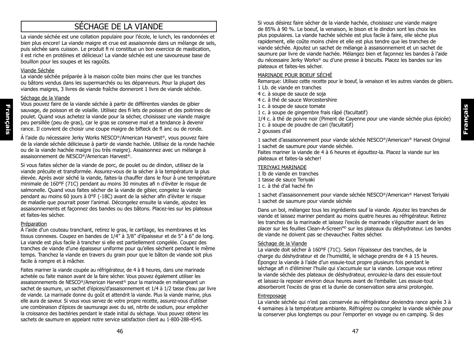# SÉCHAGE DE LA VIANDE

La viande séchée est une collation populaire pour l'école, le lunch, les randonnées et bien plus encore! La viande maigre et crue est assaisonnée dans un mélange de sels, puis séchée sans cuisson. Le produit fi ni constitue un bon exercice de mastication, il est riche en protéines et délicieux! La viande séchée est une savoureuse base de bouillon pour les soupes et les ragoûts.

#### Viande Séchée

**Français**

Français

La viande séchée préparée à la maison coûte bien moins cher que les tranches ou bâtons vendus dans les supermarchés ou les dépanneurs. Pour la plupart des viandes maigres, 3 livres de viande fraîche donneront 1 livre de viande séchée.

#### Séchage de la Viande

Vous pouvez faire de la viande séchée à partir de différentes viandes de gibier sauvage, de poisson et de volaille. Utilisez des fi lets de poisson et des poitrines de poulet. Quand vous achetez la viande pour la sécher, choisissez une viande maigre peu persillée (peu de gras), car le gras se conserve mal et a tendance à devenir rance. Il convient de choisir une coupe maigre de bifteck de fl anc ou de ronde.

À l'aide du nécessaire Jerky Works NESCO®/American Harvest®, vous pouvez faire de la viande séchée délicieuse à partir de viande hachée. Utilisez de la ronde hachée ou de la viande hachée maigre (ou très maigre). Assaisonnez avec un mélange à assaisonnement de NESCO®/American Harvest®.

Si vous faites sécher de la viande de porc, de poulet ou de dindon, utilisez de la viande précuite et transformée. Assurez-vous de la sécher à la température la plus élevée. Après avoir séché la viande, faites-la chauffer dans le four à une température minimale de 160°F (71C) pendant au moins 30 minutes afi n d'éviter le risque de salmonelle. Quand vous faites sécher de la viande de gibier, congelez la viande pendant au moins 60 jours à 0°F (-18C) avant de la sécher afin d'éviter le risque de maladie que pourrait poser l'animal. Décongelez ensuite la viande, ajoutez les assaisonnements et façonnez des bandes ou des bâtons. Placez-les sur les plateaux et faites-les sécher.

#### Préparation

À l'aide d'un couteau tranchant, retirez le gras, le cartilage, les membranes et les tissus connexes. Coupez en bandes de 1/4" à 3/8" d'épaisseur et de 5" à 6" de long. La viande est plus facile à trancher si elle est partiellement congelée. Coupez des tranches de viande d'une épaisseur uniforme pour qu'elles sèchent pendant le même temps. Tranchez la viande en travers du grain pour que le bâton de viande soit plus facile à rompre et à mâcher.

Faites mariner la viande coupée au réfrigérateur, de 4 à 8 heures, dans une marinade achetée ou faite maison avant de la faire sécher. Vous pouvez également utiliser les assaisonnements de NESCO®/American Harvest® pour la marinade en mélangeant un sachet de saumure, un sachet d'épices/d'assaisonnement et 1/4 à 1/2 tasse d'eau par livre de viande. La marinade donne du goût et attendrit la viande. Plus la viande marine, plus elle aura de saveur. Si vous vous servez de votre propre recette, assurez-vous d'utiliser une combinaison d'épices de saumurage avec du sel, nitrite de sodium, pour empêcher la croissance des bactéries pendant le stade initial du séchage. Vous pouvez obtenir les sachets de saumure en appelant notre service satisfaction client au 1-800-288-4545.

Si vous désirez faire sécher de la viande hachée, choisissez une viande maigre de 85% à 90 %. Le boeuf, la venaison, le bison et le dindon sont les choix les plus populaires. La viande hachée séchée est plus facile à faire, elle sèche plus rapidement, elle coûte moins chère et elle est plus tendre que les tranches de viande séchée. Ajoutez un sachet de mélange à assaisonnement et un sachet de saumure par livre de viande hachée. Mélangez bien et façonnez les bandes à l'aide du nécessaire Jerky Works® ou d'une presse à biscuits. Placez les bandes sur les plateaux et faites-les sécher.

#### MARINADE POUR BOEUF SÉCHÉ

Remarque: Utilisez cette recette pour le boeuf, la venaison et les autres viandes de gibiers. 1 Lb. de viande en tranches

- 4 c. à soupe de sauce de soja
- 4 c. à thé de sauce Worcestershire
- 1 c. à soupe de sauce tomate
- 1 c. à soupe de gingembre frais râpé (facultatif)

1/4 c. à thé de poivre noir (Piment de Cayenne pour une viande séchée plus épicée)

1 c. à soupe de poudre de cari (facultatif)

2 gousses d'ail

1 sachet d'assaisonnement pour viande séchée NESCO®/American® Harvest Original 1 sachet de saumure pour viande séchée.

Faites mariner la viande de 4 à 6 heures et égouttez-la. Placez la viande sur les plateaux et faites-la sécher!

#### TERIYAKI MARINADE

1 lb de viande en tranches 1 tasse de sauce Teriyaki 1 c. à thé d'ail haché fin

1 sachet d'assaisonnement pour viande séchée NESCO®/American® Harvest Teriyaki 1 sachet de saumure pour viande séchée

Dans un bol, mélangez tous les ingrédients sauf la viande. Ajoutez les tranches de viande et laissez mariner pendant au moins quatre heures au réfrigérateur. Retirez les tranches de la marinade et laissez l'excès de marinade s'égoutter avant de les placer sur les feuilles Clean-A-Screen<sup>MD</sup> sur les plateaux du déshydrateur. Les bandes de viande ne doivent pas se chevaucher. Faites sécher.

#### Séchage de la Viande

La viande doit sécher à 160°F (71C). Selon l'épaisseur des tranches, de la charge du déshydrateur et de l'humidité, le séchage prendra de 4 à 15 heures. Épongez la viande à l'aide d'un essuie-tout propre plusieurs fois pendant le séchage afi n d'éliminer l'huile qui s'accumule sur la viande. Lorsque vous retirez la viande séchée des plateaux de déshydrateur, enroulez-la dans des essuie-tout et laissez-la reposer environ deux heures avant de l'emballer. Les essuie-tout absorberont l'excès de gras et la durée de conservation sera ainsi prolongée.

#### **Entreposage**

La viande séchée qui n'est pas conservée au réfrigérateur deviendra rance après 3 à 4 semaines à la température ambiante. Réfrigérez ou congelez la viande séchée pour la conserver plus longtemps ou pour l'emporter en voyage ou en camping. Si des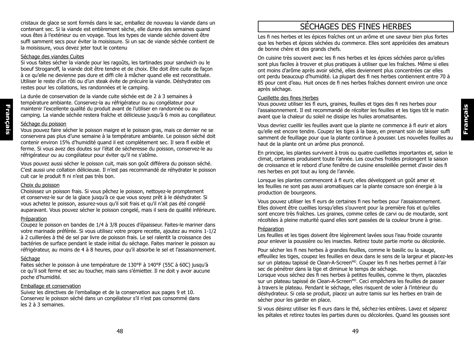cristaux de glace se sont formés dans le sac, emballez de nouveau la viande dans un contenant sec. Si la viande est entièrement sèche, elle durera des semaines quand vous êtes à l'extérieur ou en voyage. Tous les types de viande séchée doivent être suffi samment secs pour éviter la moisissure. Si un sac de viande séchée contient de la moisissure, vous devez jeter tout le contenu

#### Séchage des viandes Cuites

Si vous faites sécher la viande pour les ragoûts, les tartinades pour sandwich ou le boeuf Stroganoff, la viande doit être tendre et de choix. Elle doit être cuite de façon à ce qu'elle ne devienne pas dure et diffi cile à mâcher quand elle est reconstituée. Utiliser le reste d'un rôti ou d'un steak évite de précuire la viande. Déshydratez ces restes pour les collations, les randonnées et le camping.

La durée de conservation de la viande cuite séchée est de 2 à 3 semaines à température ambiante. Conservez-la au réfrigérateur ou au congélateur pour maintenir l'excellente qualité du produit avant de l'utiliser en randonnée ou au camping. La viande séchée restera fraîche et délicieuse jusqu'à 6 mois au congélateur.

#### Séchage du poisson

Vous pouvez faire sécher le poisson maigre et le poisson gras, mais ce dernier ne se conservera pas plus d'une semaine à la température ambiante. Le poisson séché doit contenir environ 15% d'humidité quand il est complètement sec. Il sera fl exible et ferme. Si vous avez des doutes sur l'état de sécheresse du poisson, conservez-le au réfrigérateur ou au congélateur pour éviter qu'il ne s'abîme.

Vous pouvez aussi sécher le poisson cuit, mais son goût différera du poisson séché. C'est aussi une collation délicieuse. Il n'est pas recommandé de réhydrater le poisson cuit car le produit fi ni n'est pas très bon.

#### Choix du poisson

Choisissez un poisson frais. Si vous pêchez le poisson, nettoyez-le promptement et conservez-le sur de la glace jusqu'à ce que vous soyez prêt à le déshydrater. Si vous achetez le poisson, assurez-vous qu'il soit frais et qu'il n'ait pas été congelé auparavant. Vous pouvez sécher le poisson congelé, mais il sera de qualité inférieure.

#### Préparation

Coupez le poisson en bandes de 1/4 à 3/8 pouces d'épaisseur. Faites-le mariner dans votre marinade préférée. Si vous utilisez votre propre recette, ajoutez au moins 1-1/2 à 2 cuillerées à thé de sel par livre de poisson frais. Le sel ralentit la croissance des bactéries de surface pendant le stade initial du séchage. Faites mariner le poisson au réfrigérateur, au moins de 4 à 8 heures, pour qu'il absorbe le sel et l'assaisonnement.

#### Séchage

Faites sécher le poisson à une température de 130°F à 140°F (55C à 60C) jusqu'à ce qu'il soit ferme et sec au toucher, mais sans s'émietter. Il ne doit y avoir aucune poche d'humidité.

#### Emballage et conservation

Suivez les directives de l'emballage et de la conservation aux pages 9 et 10. Conservez le poisson séché dans un congélateur s'il n'est pas consommé dans les 2 à 3 semaines.

# SÉCHAGES DES FINES HERBES

Les fi nes herbes et les épices fraîches ont un arôme et une saveur bien plus fortes que les herbes et épices séchées du commerce. Elles sont appréciées des amateurs de bonne chère et des grands chefs.

On cuisine très souvent avec les fi nes herbes et les épices séchées parce qu'elles sont plus faciles à trouver et plus pratiques à utiliser que les fraîches. Même si elles ont moins d'arôme après avoir séché, elles deviennent plus concentrées car elles ont perdu beaucoup d'humidité. La plupart des fi nes herbes contiennent entre 70 à 85 pour cent d'eau. Huit onces de fi nes herbes fraîches donnent environ une once après séchage.

#### Cueillette des fines Herbes

Vous pouvez utiliser les fl eurs, graines, feuilles et tiges des fi nes herbes pour l'assaisonnement. Il est recommandé de récolter les feuilles et les tiges tôt le matin avant que la chaleur du soleil ne dissipe les huiles aromatisantes.

Vous devriez cueillir les feuilles avant que la plante ne commence à fl eurir et alors qu'elle est encore tendre. Coupez les tiges à la base, en prenant soin de laisser suffi samment de feuillage pour que la plante continue à pousser. Les nouvelles feuilles au haut de la plante ont un arôme plus prononcé.

**Français**

En principe, les plantes survivent à trois ou quatre cueillettes importantes et, selon le climat, certaines produisent toute l'année. Les couches froides prolongent la saison de croissance et le rebord d'une fenêtre de cuisine ensoleillée permet d'avoir des fi nes herbes en pot tout au long de l'année.

Lorsque les plantes commencent à fl eurir, elles développent un goût amer et les feuilles ne sont pas aussi aromatiques car la plante consacre son énergie à la production de bourgeons.

Vous pouvez utiliser les fl eurs de certaines fi nes herbes pour l'assaisonnement. Elles doivent être cueillies lorsqu'elles s'ouvrent pour la première fois et qu'elles sont encore très fraîches. Les graines, comme celles de carvi ou de moutarde, sont récoltées à pleine maturité quand elles sont passées de la couleur brune à grise.

#### Préparation

Les feuilles et les tiges doivent être légèrement lavées sous l'eau froide courante pour enlever la poussière ou les insectes. Retirez toute partie morte ou décolorée.

Pour sécher les fi nes herbes à grandes feuilles, comme le basilic ou la sauge, effeuillez les tiges, coupez les feuilles en deux dans le sens de la largeur et placez-les sur un plateau tapissé de Clean-A-Screen<sup>MD</sup>. Couper les fi nes herbes permet à l'air sec de pénétrer dans la tige et diminue le temps de séchage.

Lorsque vous séchez des fi nes herbes à petites feuilles, comme le thym, placezles sur un plateau tapissé de Clean-A-Screen<sup>MD</sup>. Ceci empêchera les feuilles de passer à travers le plateau. Pendant le séchage, elles risquent de voler à l'intérieur du déshydrateur. Si cela se produit, placez un autre tamis sur les herbes en train de sécher pour les garder en place.

Si vous désirez utiliser les fl eurs dans le thé, séchez-les entières. Lavez et séparez les pétales et retirez toutes les parties dures ou décolorées. Quand les gousses sont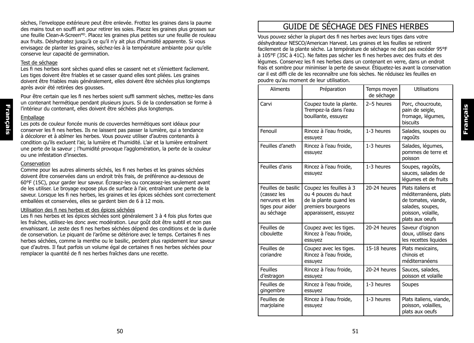sèches, l'enveloppe extérieure peut être enlevée. Frottez les graines dans la paume des mains tout en souffl ant pour retirer les soies. Placez les graines plus grosses sur une feuille Clean-A-ScreenMD. Placez les graines plus petites sur une feuille de rouleau aux fruits. Déshydratez jusqu'à ce qu'il n'y ait plus d'humidité apparente. Si vous envisagez de planter les graines, séchez-les à la température ambiante pour qu'elle conserve leur capacité de germination.

#### Test de séchage

Les fi nes herbes sont sèches quand elles se cassent net et s'émiettent facilement. Les tiges doivent être friables et se casser quand elles sont pliées. Les graines doivent être friables mais généralement, elles doivent être séchées plus longtemps après avoir été retirées des gousses.

Pour être certain que les fi nes herbes soient suffi samment sèches, mettez-les dans un contenant hermétique pendant plusieurs jours. Si de la condensation se forme à l'intérieur du contenant, elles doivent être séchées plus longtemps.

#### **Emballage**

Les pots de couleur foncée munis de couvercles hermétiques sont idéaux pour conserver les fi nes herbes. Ils ne laissent pas passer la lumière, qui a tendance à décolorer et à abîmer les herbes. Vous pouvez utiliser d'autres contenants à condition qu'ils excluent l'air, la lumière et l'humidité. L'air et la lumière entraînent une perte de la saveur ; l'humidité provoque l'agglomération, la perte de la couleur ou une infestation d'insectes.

#### Conservation

Comme pour les autres aliments séchés, les fi nes herbes et les graines séchées doivent être conservées dans un endroit très frais, de préférence au-dessous de 60°F (15C), pour garder leur saveur. Écrasez-les ou concassez-les seulement avant de les utiliser. Le broyage expose plus de surface à l'air, entraînant une perte de la saveur. Lorsque les fi nes herbes, les graines et les épices séchées sont correctement emballées et conservées, elles se gardent bien de 6 à 12 mois.

#### Utilisation des fi nes herbes et des épices séchées

Les fi nes herbes et les épices séchées sont généralement 3 à 4 fois plus fortes que les fraîches, utilisez-les donc avec modération. Leur goût doit être subtil et non pas envahissant. Le zeste des fi nes herbes séchées dépend des conditions et de la durée de conservation. Le piquant de l'arôme se détériore avec le temps. Certaines fi nes herbes séchées, comme la menthe ou le basilic, perdent plus rapidement leur saveur que d'autres. Il faut parfois un volume égal de certaines fi nes herbes séchées pour remplacer la quantité de fi nes herbes fraîches dans une recette.

# GUIDE DE SÉCHAGE DES FINES HERBES

Vous pouvez sécher la plupart des fi nes herbes avec leurs tiges dans votre déshydrateur NESCO/American Harvest. Les graines et les feuilles se retirent facilement de la plante sèche. La température de séchage ne doit pas excéder 95°F à 105°F (35C à 41C). Ne faites pas sécher les fi nes herbes avec des fruits et des légumes. Conservez les fi nes herbes dans un contenant en verre, dans un endroit frais et sombre pour minimiser la perte de saveur. Étiquetez-les avant la conservation car il est diffi cile de les reconnaître une fois sèches. Ne réduisez les feuilles en poudre qu'au moment de leur utilisation.

**Français**

| <b>Aliments</b>                                                                         | Préparation                                                                                                             | Temps moyen<br>de séchage | <b>Utilisations</b>                                                                                                            |
|-----------------------------------------------------------------------------------------|-------------------------------------------------------------------------------------------------------------------------|---------------------------|--------------------------------------------------------------------------------------------------------------------------------|
| Carvi                                                                                   | Coupez toute la plante.<br>Trempez-la dans l'eau<br>bouillante, essuyez                                                 | 2-5 heures                | Porc, choucroute,<br>pain de seigle,<br>fromage, légumes,<br><b>biscuits</b>                                                   |
| Fenouil                                                                                 | Rincez à l'eau froide,<br>essuyez                                                                                       | 1-3 heures                | Salades, soupes ou<br>ragoûts                                                                                                  |
| Feuilles d'aneth                                                                        | Rincez à l'eau froide,<br>essuyez                                                                                       | 1-3 heures                | Salades, légumes,<br>pommes de terre et<br>poisson                                                                             |
| Feuilles d'anis                                                                         | Rincez à l'eau froide.<br>essuyez                                                                                       | 1-3 heures                | Soupes, ragoûts,<br>sauces, salades de<br>légumes et de fruits                                                                 |
| Feuilles de basilic<br>(cassez les<br>nervures et les<br>tiges pour aider<br>au séchage | Coupez les feuilles à 3<br>ou 4 pouces du haut<br>de la plante quand les<br>premiers bourgeons<br>apparaissent, essuyez | 20-24 heures              | Plats italiens et<br>méditerranéens, plats<br>de tomates, viande,<br>salades, soupes,<br>poisson, volaille,<br>plats aux oeufs |
| Feuilles de<br>ciboulette                                                               | Coupez avec les tiges.<br>Rincez à l'eau froide,<br>essuyez                                                             | 20-24 heures              | Saveur d'oignon<br>doux, utilisez dans<br>les recettes liquides                                                                |
| Feuilles de<br>coriandre                                                                | Coupez avec les tiges.<br>Rincez à l'eau froide,<br>essuyez                                                             | 15-18 heures              | Plats mexicains,<br>chinois et<br>méditerranéens                                                                               |
| <b>Feuilles</b><br>d'estragon                                                           | Rincez à l'eau froide,<br>essuyez                                                                                       | 20-24 heures              | Sauces, salades,<br>poisson et volaille                                                                                        |
| Feuilles de<br>gingembre                                                                | Rincez à l'eau froide,<br>essuyez                                                                                       | 1-3 heures                | Soupes                                                                                                                         |
| Feuilles de<br>marjolaine                                                               | Rincez à l'eau froide,<br>essuyez                                                                                       | 1-3 heures                | Plats italiens, viande,<br>poisson, volailles,<br>plats aux oeufs                                                              |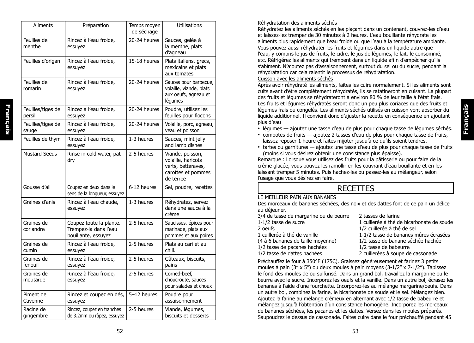| <b>Aliments</b>             | Préparation                                                             | Temps moyen<br>de séchage | Utilisations                                                                                    |
|-----------------------------|-------------------------------------------------------------------------|---------------------------|-------------------------------------------------------------------------------------------------|
| Feuilles de<br>menthe       | Rincez à l'eau froide,<br>essuyez.                                      | 20-24 heures              | Sauces, gelée à<br>la menthe, plats<br>d'agneau                                                 |
| Feuilles d'origan           | Rincez à l'eau froide,<br>essuyez                                       | 15-18 heures              | Plats italiens, grecs,<br>mexicains et plats<br>aux tomates                                     |
| Feuilles de<br>romarin      | Rincez à l'eau froide,<br>essuyez                                       | 20-24 heures              | Sauces pour barbecue,<br>volaille, viande, plats<br>aux oeufs, agneau et<br>légumes             |
| Feuilles/tiges de<br>persil | Rincez à l'eau froide,<br>essuyez                                       | 20-24 heures              | Poudre, utilisez les<br>feuilles pour flocons                                                   |
| Feuilles/tiges de<br>sauge  | Rincez à l'eau froide,<br>essuyez                                       | 20-24 heures              | Volaille, porc, agneau,<br>veau et poisson                                                      |
| Feuilles de thym            | Rincez à l'eau froide,<br>essuyez                                       | 1-3 heures                | Sauces, mint jelly<br>and lamb dishes                                                           |
| <b>Mustard Seeds</b>        | Rinse in cold water, pat<br>dry                                         | 2-5 heures                | Viande, poisson,<br>volaille, haricots<br>verts, betteraves,<br>carottes et pommes<br>de terree |
| Gousse d'ail                | Coupez en deux dans le<br>sens de la longueur, essuyez                  | 6-12 heures               | Sel, poudre, recettes                                                                           |
| Graines d'anis              | Rincez à l'eau chaude,<br>essuyez                                       | 1-3 heures                | Réhydratez, servez<br>dans une sauce à la<br>crème                                              |
| Graines de<br>coriandre     | Coupez toute la plante.<br>Trempez-la dans l'eau<br>bouillante, essuyez | 2-5 heures                | Saucisses, épices pour<br>marinade, plats aux<br>pommes et aux poires                           |
| Graines de<br>cumin         | Rincez à l'eau froide,<br>essuyez                                       | 2-5 heures                | Plats au cari et au<br>chili.                                                                   |
| Graines de<br>fenouil       | Rincez à l'eau froide,<br>essuyez                                       | 2-5 heures                | Gâteaux, biscuits,<br>pains                                                                     |
| Graines de<br>moutarde      | Rincez à l'eau froide,<br>essuyez                                       | 2-5 heures                | Corned-beef,<br>choucroute, sauces<br>pour salades et choux                                     |
| Piment de<br>Cayenne        | Rincez et coupez en dés,<br>essuyez                                     | 5-12 heures               | Poudre pour<br>assaisonnement                                                                   |
| Racine de<br>gingembre      | Rincez, coupez en tranches<br>de 3.2mm ou râpez, essuyez                | 2-5 heures                | Viande, légumes,<br>biscuits et desserts                                                        |

**Français**

昜

França

Réhydratez les aliments séchés en les plaçant dans un contenant, couvrez-les d'eau et laissez-les tremper de 30 minutes à 2 heures. L'eau bouillante réhydrate les aliments plus rapidement que l'eau froide ou que l'eau à la température ambiante. Vous pouvez aussi réhydrater les fruits et légumes dans un liquide autre que l'eau, y compris le jus de fruits, le cidre, le jus de légumes, le lait, le consommé, etc. Réfrigérez les aliments qui trempent dans un liquide afi n d'empêcher qu'ils s'abîment. N'ajoutez pas d'assaisonnement, surtout du sel ou du sucre, pendant la réhydratation car cela ralentit le processus de réhydratation.

#### Cuisson avec les aliments séchés

Après avoir réhydraté les aliments, faites les cuire normalement. Si les aliments sont cuits avant d'être complètement réhydratés, ils se ratatineront en cuisant. La plupart des fruits et légumes se réhydrateront à environ 80 % de leur taille à l'état frais. Les fruits et légumes réhydratés seront donc un peu plus coriaces que des fruits et légumes frais ou congelés. Les aliments séchés utilisés en cuisson vont absorber du liquide additionnel. Il convient donc d'ajuster la recette en conséquence en ajoutant plus d'eau

- légumes ajoutez une tasse d'eau de plus pour chaque tasse de légumes séchés.
- compotes de fruits ajoutez 2 tasses d'eau de plus pour chaque tasse de fruits, laissez reposer 1 heure et faites mijoter jusqu'à ce qu'ils soient tendres.
- tartes ou garnitures ajoutez une tasse d'eau de plus pour chaque tasse de fruits (moins si vous désirez obtenir une consistance plus épaisse).

Remarque : Lorsque vous utilisez des fruits pour la pâtisserie ou pour faire de la crème glacée, vous pouvez les ramollir en les couvrant d'eau bouillante et en les laissant tremper 5 minutes. Puis hachez-les ou passez-les au mélangeur, selon l'usage que vous désirez en faire.

## **RECETTES**

#### LE MEILLEUR PAIN AUX BANANES

Des morceaux de bananes séchées, des noix et des dattes font de ce pain un délice au déjeuner.

| 3/4 de tasse de margarine ou de beurre | 2 tasses de farine                        |
|----------------------------------------|-------------------------------------------|
| $1-1/2$ tasse de sucre                 | 1 cuillerée à thé de bicarbonate de soude |
| 2 oeufs                                | 1/2 cuillerée à thé de sel                |
| 1 cuillerée à thé de vanille           | 1-1/2 tasse de bananes mûres écrasées     |
| (4 à 6 bananes de taille moyenne)      | 1/2 tasse de banane séchée hachée         |
| 1/2 tasse de pacanes hachées           | 1/2 tasse de babeurre                     |
| 1/2 tasse de dattes hachées            | 2 cuillerées à soupe de cassonade         |
|                                        |                                           |

Préchauffez le four à 350°F (175C). Graissez généreusement et farinez 3 petits moules à pain (3" x 5") ou deux moules à pain moyens (3-1/2" x 7-1/2"). Tapissez le fond des moules de ou sulfurisé. Dans un grand bol, travaillez la margarine ou le beurre avec le sucre. Incorporez les oeufs et la vanille. Dans un autre bol, écrasez les bananes à l'aide d'une fourchette. Incorporez-les au mélange margarine/oeufs. Dans un autre bol, combinez la farine, le bicarbonate de soude et le sel. Mélangez bien. Ajoutez la farine au mélange crémeux en alternant avec 1/2 tasse de babeurre et mélangez jusqu'à l'obtention d'un consistance homogène. Incorporez les morceaux de bananes séchées, les pacanes et les dattes. Versez dans les moules préparés. Saupoudrez le dessus de cassonade. Faites cuire dans le four préchauffé pendant 45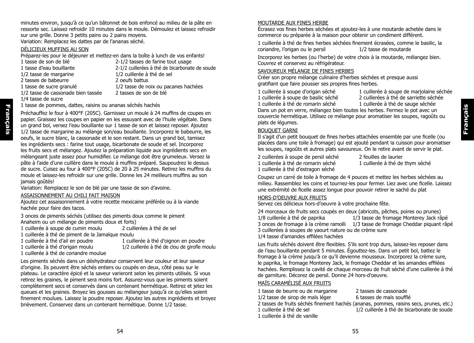minutes environ, jusqu'à ce qu'un bâtonnet de bois enfoncé au milieu de la pâte en ressorte sec. Laissez refroidir 10 minutes dans le moule. Démoulez et laissez refroidir sur une grille. Donne 3 petits pains ou 2 pains moyens. Variation: Remplacez les dattes par de l'ananas séché.

#### DÉLICIEUX MUFFINS AU SON

Préparez-les pour le déjeuner et mettez-en dans la boîte à lunch de vos enfants!<br>1 tasse de son de blé 2-1/2 tasses de farine tout usage

- 
- 
- 
- 2 tasses de babeurre
- 

1/2 tasse de cassonade bien tassée

- 2-1/2 tasses de farine tout usage 1 tasse d'eau bouillante<br>
1/2 cuillerées à thé de bicarbonate de soude<br>
1/2 cuillerée à thé de sel 1/2 tasse de margarine 1/2 cuillerée à thé de selection de selection de selection de selection de selection de<br>1.12 cuillerée à thé de selection de selection de selection de selection de selection de selection de selectio 1 tasse de sucre granulé 1/2 tasse de noix ou pacanes hachées<br>1/2 tasse de cassonade bien tassée 2 tasses de son de blé
- 1/4 tasse de sucre

**Français**

Français

1 tasse de pommes, dattes, raisins ou ananas séchés hachés

Préchauffez le four à 400°F (205C). Garnissez un moule à 24 muffins de coupes en papier. Graissez les coupes en papier en les essuyant avec de l'huile végétale. Dans un grand bol, versez l'eau bouillante sur 1 tasse de son et laissez reposer. Ajoutez 1/2 tasse de margarine au mélange son/eau bouillante. Incorporez le babeurre, les oeufs, le sucre blanc, la cassonade et le son restant. Dans un grand bol, tamisez les ingrédients secs : farine tout usage, bicarbonate de soude et sel. Incorporez les fruits secs et mélangez. Ajoutez la préparation liquide aux ingrédients secs en mélangeant juste assez pour humidifier. Le mélange doit être grumeleux. Versez la pâte à l'aide d'une cuillère dans le moule à muffins préparé. Saupoudrez le dessus de sucre. Cuisez au four à 400°F (205C) de 20 à 25 minutes. Retirez les muffins du moule et laissez-les refroidir sur une grille. Donne les 24 meilleurs muffins au son jamais goûtés!

Variation: Remplacez le son de blé par une tasse de son d'avoine.

#### ASSAISONNEMENT AU CHILI FAIT MAISON

Ajoutez cet assaisonnement à votre recette mexicaine préférée ou à la viande hachée pour faire des tacos.

3 onces de piments séchés (utilisez des piments doux comme le piment Anaheim ou un mélange de piments doux et forts)<br>1 cuillerée à soupe de cumin moulu

- 1 cuillerée à soupe de cumin moulu
- 1 cuillerée à thé de piment de la Jamaïque moulu
- 
- 
- 1 cuillerée à thé d'oignon en poudre 1 cuillerée à thé d'origan moulu 1/2 cuillerée à thé de clou de girofle moulu
- 1 cuillerée à thé de coriandre moulue

Les piments séchés dans un déshydrateur conservent leur couleur et leur saveur d'origine. Ils peuvent être séchés entiers ou coupés en deux, côté peau sur le plateau. Le caractère épicé et la saveur varieront selon les piments utilisés. Si vous retirez les graines, le piment sera moins fort. Assurez-vous que les piments soient complètement secs et conservés dans un contenant hermétique. Retirez et jetez les queues et les graines. Broyez les gousses au mélangeur jusqu'à ce qu'elles soient finement moulues. Laissez la poudre reposer. Ajoutez les autres ingrédients et broyez brièvement. Conservez dans un contenant hermétique. Donne 1/2 tasse.

#### MOUTARDE AUX FINES HERBE

Écrasez vos fines herbes séchées et ajoutez-les à une moutarde achetée dans le commerce ou préparée à la maison pour obtenir un condiment différent.

1 cuillerée à thé de fines herbes séchées finement écrasées, comme le basilic, la coriandre, l'origan ou le persil 1/2 tasse de moutarde

Incorporez les herbes (ou l'herbe) de votre choix à la moutarde, mélangez bien. Couvrez et conservez au réfrigérateur.

#### SAVOUREUX MÉLANGE DE FINES HERBES

Créer son propre mélange culinaire d'herbes séchées et presque aussi gratifiant que faire pousser ses propres fines herbes.

- 1 cuillerée à soupe d'origan séché  $\begin{array}{c} 1 \text{ cuillerée} \text{ à soupe} \text{ de marjolaine} \text{ séchée} \\ 1 \text{ cuillerée} \text{ à soupe} \text{ de basilic séché} \end{array}$ 
	-
- 1 cuillerée à soupe de basilic séché<br>1 cuillerée à thé de romarin séché de la cuillerée à thé de sauge séchée

1 cuillerée à thé de sauge séchée

Dans un pot en verre, mélangez bien toutes les herbes. Fermez le pot avec un couvercle hermétique. Utilisez ce mélange pour aromatiser les soupes, ragoûts ou plats de légumes.

#### BOUQUET GARNI

Il s'agit d'un petit bouquet de fines herbes attachées ensemble par une ficelle (ou placées dans une toile à fromage) qui est ajouté pendant la cuisson pour aromatiser les soupes, ragoûts et autres plats savoureux. On le retire avant de servir le plat.

2 cuillerées à soupe de persil séché 2 feuilles de laurier<br>1 cuillerée à thé de romarin séché 2 1 cuillerée à thé de 1 cuillerée à thé d'estragon séché

1 cuillerée à thé de thym séché

Coupez un carré de toile à fromage de 4 pouces et mettez les herbes séchées au milieu. Rassemblez les coins et tournez-les pour fermer. Liez avec une ficelle. Laissez une extrémité de ficelle assez longue pour pouvoir retirer le saché du plat

#### HORS-D'OEUVRE AUX FRUITS

Servez ces délicieux hors-d'oeuvre à votre prochaine fête.

24 morceaux de fruits secs coupés en deux (abricots, pêches, poires ou prunes)<br>1/8 cuillerée à thé de paprika<br>1/3 tasse de fromage Monterey Jack râ 1/3 tasse de fromage Monterey Jack râpé

- 3 onces de fromage à la crème ramolli 1/3 tasse de fromage Cheddar piquant râpé
- 3 cuillerées à soupes de yaourt nature ou de crème sure

1/4 tasse d'amandes effilées hachées

Les fruits séchés doivent être flexibles. S'ils sont trop durs, laissez-les reposer dans de l'eau bouillante pendant 5 minutes. Égouttez-les. Dans un petit bol, battez le fromage à la crème jusqu'à ce qu'il devienne mousseux. Incorporez la crème sure, le paprika, le fromage Monterey Jack, le fromage Cheddar et les amandes effilées hachées. Remplissez la cavité de chaque morceau de fruit séché d'une cuillerée à thé de garniture. Décorez de persil. Donne 24 hors-d'oeuvre.

#### MAÏS CARAMÉLISÉ AUX FRUITS

1 tasse de beurre ou de margarine 2 tasses de cassonade<br>1/2 tasse de sirop de maïs léger 6 tasses de maïs soufflé 1/2 tasse de sirop de maïs léger

2 tasses de fruits séchés finement hachés (ananas, pommes, raisins secs, prunes, etc.)

- 1 cuillerée à thé de sel 1/2 cuillerée à thé de bicarbonate de soude
- 1 cuillerée à thé de vanille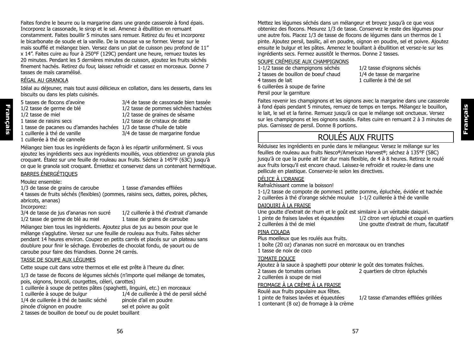Faites fondre le beurre ou la margarine dans une grande casserole à fond épais. Incorporez la cassonade, le sirop et le sel. Amenez à ébullition en remuant constamment. Faites bouillir 5 minutes sans remuer. Retirez du feu et incorporez le bicarbonate de soude et la vanille. De la mousse va se former. Versez sur le maïs soufflé et mélangez bien. Versez dans un plat de cuisson peu profond de 11" x 14". Faites cuire au four à 250°F (129C) pendant une heure, remuez toutes les 20 minutes. Pendant les 5 dernières minutes de cuisson, ajoutez les fruits séchés finement hachés. Retirez du four, laissez refroidir et cassez en morceaux. Donne 7 tasses de maïs caramélisé.

#### RÉGAL AU GRANOLA

Idéal au déjeuner, mais tout aussi délicieux en collation, dans les desserts, dans les biscuits ou dans les plats cuisinés.

- 5 tasses de flocons d'avoine 3/4 de tasse de cassonade bien tassée 1/2 tasse de germe de blé 1/2 tasse de pommes séchées hachées 1/2 tasse de miel 1/2 tasse de graines de sésame 1 tasse de raisins secs 1/2 tasse de cristaux de datte
	-
- 
- 1 cuillerée à thé de cannelle
- 1 tasse de pacanes ou d'amandes hachées  $1/3$  de tasse d'huile de table<br>1 quillerée à thé de vanille  $3/4$  de tasse de margarine foi 3/4 de tasse de margarine fondue

Mélangez bien tous les ingrédients de façon à les répartir uniformément. Si vous ajoutez les ingrédients secs aux ingrédients mouillés, vous obtiendrez un granola plus croquant. Étalez sur une feuille de rouleau aux fruits. Séchez à 145°F (63C) jusqu'à ce que le granola soit croquant. Émiettez et conservez dans un contenant hermétique. BARRES ÉNERGÉTIQUES

#### Moulez ensemble:

1/3 de tasse de grains de caroube 11 tasse d'amandes effilées 4 tasses de fruits séchés (flexibles) (pommes, raisins secs, dattes, poires, pêches, abricots, ananas)

Incorporez:

**Français**

Français

3/4 de tasse de jus d'ananas non sucré 1/2 cuillerée à thé d'extrait d'amande 1/2 tasse de germe de blé au miel 1 tasse de grains de caroube

Mélangez bien tous les ingrédients. Ajoutez plus de jus au besoin pour que le mélange s'agglutine. Versez sur une feuille de rouleau aux fruits. Faites sécher pendant 14 heures environ. Coupez en petits carrés et placés sur un plateau sans doublure pour finir le séchage. Enrobezles de chocolat fondu, de yaourt ou de caroube pour faire des friandises. Donne 24 carrés.

#### TASSE DE SOUPE AUX LÉGUMES

Cette soupe cuit dans votre thermos et elle est prête à l'heure du dîner.

1/3 de tasse de flocons de légumes séchés (n'importe quel mélange de tomates, pois, oignons, brocoli, courgettes, céleri, carottes)

1 cuillerée à soupe de petites pâtes (spaghetti, linguini, etc.) en morceaux

1 cuillerée à soupe de bulgur 1/4 de cuillerée à thé de persil séché

1/4 de cuillerée à thé de basilic séché pincée d'ail en poudre

pincée d'oignon en poudre sel et poivre au goût 2 tasses de bouillon de boeuf ou de poulet bouillant

Mettez les légumes séchés dans un mélangeur et broyez jusqu'à ce que vous obteniez des flocons. Mesurez 1/3 de tasse. Conservez le reste des légumes pour une autre fois. Placez 1/3 de tasse de flocons de légumes dans un thermos de 1 pinte. Ajoutez persil, basilic, ail en poudre, oignon en poudre, sel et poivre. Ajoutez ensuite le bulgur et les pâtes. Amenez le bouillant à ébullition et versez-le sur les ingrédients secs. Fermez aussitôt le thermos. Donne 2 tasses.

#### SOUPE CRÉMEUSE AUX CHAMPIGNONS

1-1/2 tasse de champignons séchés 1/2 tasse d'oignons séchés 2 tasses de bouillon de boeuf chaud 1/4 de tasse de margarine 4 tasses de lait 1 cuillerée à thé de sel 6 cuillerées à soupe de farine Persil pour la garniture

Faites revenir les champignons et les oignons avec la margarine dans une casserole à fond épais pendant 5 minutes, remuez de temps en temps. Mélangez le bouillon, le lait, le sel et la farine. Remuez jusqu'à ce que le mélange soit onctueux. Versez sur les champignons et les oignons sautés. Faites cuire en remuant 2 à 3 minutes de plus. Garnissez de persil. Donne 8 portions.

# ROULÉS AUX FRUITS

Réduisez les ingrédients en purée dans le mélangeur. Versez le mélange sur les feuilles de rouleau aux fruits Nesco**®**/American Harvest**®**; séchez à 135°F (58C) jusqu'à ce que la purée ait l'air dur mais flexible, de 4 à 8 heures. Retirez le roulé aux fruits lorsqu'il est encore chaud. Laissez-le refroidir et roulez-le dans une pellicule en plastique. Conservez-le selon les directives.

#### DÉLICE À L'ORANGE

Rafraîchissant comme la boisson!

1-1/2 tasse de compote de pommes1 petite pomme, épluchée, évidée et hachée 2 cuillerées à thé d'orange séchée moulue 1-1/2 cuillerée à thé de vanille

#### DAIQUIRI À LA FRAISE

Une goutte d'extrait de rhum et le goût est similaire à un véritable daiquiri.

1 pinte de fraises lavées et équeutées  $\frac{1}{2}$  citron vert épluché et coupé en quartiers<br>2 cuillerées à thé de miel courte d'extrait de rhum, facultatif Une goutte d'extrait de rhum, facultatif

### PINA COLADA

Plus moelleux que les roulés aux fruits.

1 boîte (20 oz) d'ananas non sucré en morceaux ou en tranches 1 tasse de noix de coco

### TOMATE DOUCE

Ajoutez à la sauce à spaghetti pour obtenir le goût des tomates fraîches.<br>2 du propondieur de citron épluchée (2 quartiers de citron épluchée

2 cuillerées à soupe de miel

2 quartiers de citron épluchés

## FROMAGE À LA CRÈME À LA FRAISE

Roulé aux fruits populaire aux fêtes.

1 pinte de fraises lavées et équeutées 1/2 tasse d'amandes effilées grillées

1 contenant (8 oz) de fromage à la crème

**Français**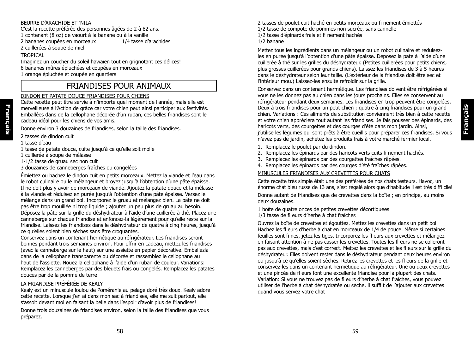#### BEURRE D'ARACHIDE ET 'NILA

C'est la recette préférée des personnes âgées de 2 à 82 ans. 1 contenant (8 oz) de yaourt à la banane ou à la vanille 2 bananes coupées en morceaux

2 cuillerées à soupe de miel

#### **TROPICAL**

Imaginez un coucher du soleil hawaïen tout en grignotant ces délices! 6 bananes mûres épluchées et coupées en morceaux 1 orange épluchée et coupée en quartiers

## FRIANDISES POUR ANIMAUX

#### DINDON ET PATATE DOUCE FRIANDISES POUR CHIENS

Cette recette peut être servie à n'importe quel moment de l'année, mais elle est merveilleuse à l'Action de grâce car votre chien peut ainsi participer aux festivités. Emballées dans de la cellophane décorée d'un ruban, ces belles friandises sont le cadeau idéal pour les chiens de vos amis.

Donne environ 3 douzaines de friandises, selon la taille des friandises.

2 tasses de dindon cuit

1 tasse d'eau

**Français**

Français

- 1 tasse de patate douce, cuite jusqu'à ce qu'elle soit molle
- 1 cuillerée à soupe de mélasse
- 1-1/2 tasse de gruau sec non cuit
- 3 douzaines de canneberges fraîches ou congelées

Émiettez ou hachez le dindon cuit en petits morceaux. Mettez la viande et l'eau dans le robot culinaire ou le mélangeur et broyez jusqu'à l'obtention d'une pâte épaisse. Il ne doit plus y avoir de morceaux de viande. Ajoutez la patate douce et la mélasse à la viande et réduisez en purée jusqu'à l'obtention d'une pâte épaisse. Versez le mélange dans un grand bol. Incorporez le gruau et mélangez bien. La pâte ne doit pas être trop mouillée ni trop liquide ; ajoutez un peu plus de gruau au besoin. Déposez la pâte sur la grille du déshydrateur à l'aide d'une cuillerée à thé. Placez une canneberge sur chaque friandise et enfoncez-la légèrement pour qu'elle reste sur la friandise. Laissez les friandises dans le déshydrateur de quatre à cinq heures, jusqu'à ce qu'elles soient bien sèches sans être croquantes.

Conservez dans un contenant hermétique au réfrigérateur. Les friandises seront bonnes pendant trois semaines environ. Pour offrir en cadeau, mettez les friandises (avec la canneberge sur le haut) sur une assiette en papier décorative. Emballezla dans de la cellophane transparente ou décorée et rassemblez le cellophane au haut de l'assiette. Nouez la cellophane à l'aide d'un ruban de couleur. Variations: Remplacez les canneberges par des bleuets frais ou congelés. Remplacez les patates douces par de la pomme de terre

#### LA FRIANDISE PRÉFÉRÉE DE KEALY

Kealy est un minuscule loulou de Poméranie au pelage doré très doux. Kealy adore cette recette. Lorsque j'en ai dans mon sac à friandises, elle me suit partout, elle s'assoit devant moi en faisant la belle dans l'espoir d'avoir plus de friandises!

Donne trois douzaines de friandises environ, selon la taille des friandises que vous préparez.

2 tasses de poulet cuit haché en petits morceaux ou fi nement émiettés 1/2 tasse de compote de pommes non sucrée, sans cannelle 1/2 tasse d'épinards frais et fi nement hachés 1/2 banane

Mettez tous les ingrédients dans un mélangeur ou un robot culinaire et réduisezles en purée jusqu'à l'obtention d'une pâte épaisse. Déposez la pâte à l'aide d'une cuillerée à thé sur les grilles du déshydrateur. (Petites cuillerées pour petits chiens, plus grosses cuillerées pour grands chiens). Laissez les friandises de 3 à 5 heures dans le déshydrateur selon leur taille. (L'extérieur de la friandise doit être sec et l'intérieur mou.) Laissez-les ensuite refroidir sur la grille.

Conservez dans un contenant hermétique. Les friandises doivent être réfrigérées si vous ne les donnez pas au chien dans les jours prochains. Elles se conservent au réfrigérateur pendant deux semaines. Les friandises en trop peuvent être congelées. Deux à trois friandises pour un petit chien ; quatre à cinq friandises pour un grand chien. Variations : Ces aliments de substitution conviennent très bien à cette recette et votre chien appréciera tout autant les friandises. Je fais pousser des épinards, des haricots verts, des courgettes et des courges d'été dans mon jardin. Ainsi, j'utilise les légumes qui sont prêts à être cueillis pour préparer ces friandises. Si vous n'avez pas de jardin, achetez les produits frais à votre marché fermier local.

- 1. Remplacez le poulet par du dindon.
- 2. Remplacez les épinards par des haricots verts cuits fi nement hachés.
- 3. Remplacez les épinards par des courgettes fraîches râpées.
- 4. Remplacez les épinards par des courges d'été fraîches râpées.

#### MINUSCULES FRIANDISES AUX CREVETTES POUR CHATS

Cette recette très simple était une des préférées de nos chats testeurs. Havoc, un énorme chat bleu russe de 13 ans, s'est régalé alors que d'habitude il est très diffi cile!

Donne autant de friandises que de crevettes dans la boîte ; en principe, au moins deux douzaines.

1 boîte de quatre onces de petites crevettes décortiquées 1/3 tasse de fl eurs d'herbe à chat fraîches

Ouvrez la boîte de crevettes et égouttez. Mettez les crevettes dans un petit bol. Hachez les fl eurs d'herbe à chat en morceaux de 1/4 de pouce. Même si certaines feuilles sont fi nes, jetez les tiges. Incorporez les fl eurs aux crevettes et mélangez en faisant attention à ne pas casser les crevettes. Toutes les fl eurs ne se colleront pas aux crevettes, mais c'est correct. Mettez les crevettes et les fl eurs sur la grille du déshydrateur. Elles doivent rester dans le déshydrateur pendant deux heures environ ou jusqu'à ce qu'elles soient sèches. Retirez les crevettes et les fl eurs de la grille et conservez-les dans un contenant hermétique au réfrigérateur. Une ou deux crevettes et une pincée de fl eurs font une excellente friandise pour la plupart des chats. Variation: Si vous ne trouvez pas de fl eurs d'herbe à chat fraîches, vous pouvez utiliser de l'herbe à chat déshydratée ou sèche, il suffi t de l'ajouter aux crevettes quand vous servez votre chat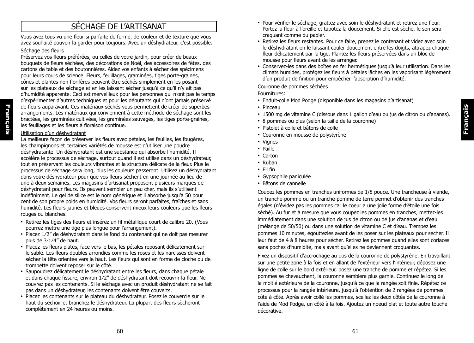# SÉCHAGE DE L'ARTISANAT

Vous avez tous vu une fleur si parfaite de forme, de couleur et de texture que vous avez souhaité pouvoir la garder pour toujours. Avec un déshydrateur, c'est possible.

#### Séchage des fleurs

Préservez vos fleurs préférées, ou celles de votre jardin, pour créer de beaux bouquets de fleurs séchées, des décorations de Noël, des accessoires de fêtes, des cartons de table et des boutonnières. Aidez vos enfants à sécher des spécimens pour leurs cours de science. Fleurs, feuillages, graminées, tiges porte-graines, cônes et plantes non florifères peuvent être séchés simplement en les posant sur les plateaux de séchage et en les laissant sécher jusqu'à ce qu'il n'y ait pas d'humidité apparente. Ceci est merveilleux pour les personnes qui n'ont pas le temps d'expérimenter d'autres techniques et pour les débutants qui n'ont jamais préservé de fleurs auparavant. Ces matériaux séchés vous permettent de créer de superbes arrangements. Les matériaux qui conviennent à cette méthode de séchage sont les bractées, les graminées cultivées, les graminées sauvages, les tiges porte-graines, les feuillages et les fleurs à floraison continue.

#### Utilisation d'un déshydratant

La meilleure façon de préserver les fleurs avec pétales, les feuilles, les fougères, les champignons et certaines variétés de mousse est d'utiliser une poudre déshydratante. Un déshydratant est une substance qui absorbe l'humidité. Il accélère le processus de séchage, surtout quand il est utilisé dans un déshydrateur, tout en préservant les couleurs vibrantes et la structure délicate de la fleur. Plus le processus de séchage sera long, plus les couleurs passeront. Utilisez un déshydratant dans votre déshydrateur pour que vos fleurs sèchent en une journée au lieu de une à deux semaines. Les magasins d'artisanat proposent plusieurs marques de déshydratant pour fleurs. Ils peuvent sembler un peu cher, mais ils s'utilisent indéfiniment. Le gel de silice est le nom générique et il absorbe jusqu'à 50 pour cent de son propre poids en humidité. Vos fleurs seront parfaites, fraîches et sans humidité. Les fleurs jaunes et bleues conservent mieux leurs couleurs que les fleurs rouges ou blanches.

- Retirez les tiges des fleurs et insérez un fil métallique court de calibre 20. (Vous pourrez mettre une tige plus longue pour l'arrangement).
- Placez 1/2" de déshydratant dans le fond du contenant qui ne doit pas mesurer plus de 3-1⁄4" de haut.
- Placez les fleurs plates, face vers le bas, les pétales reposant délicatement sur le sable. Les fleurs doubles arrondies comme les roses et les narcisses doivent sécher la tête orientée vers le haut. Les fleurs qui sont en forme de cloche ou de trompette doivent reposer sur le côté.
- Saupoudrez délicatement le déshydratant entre les fleurs, dans chaque pétale et dans chaque fissure, environ 1⁄2" de déshydratant doit recouvrir la fleur. Ne couvrez pas les contenants. Si le séchage avec un produit déshydratant ne se fait pas dans un déshydrateur, les contenants doivent être couverts.
- Placez les contenants sur le plateau du déshydrateur. Posez le couvercle sur le haut du séchoir et branchez le déshydrateur. La plupart des fleurs sècheront complètement en 24 heures ou moins.
- Pour vérifier le séchage, grattez avec soin le déshydratant et retirez une fleur. Portez la fleur à l'oreille et tapotez-la doucement. Si elle est sèche, le son sera craquant comme du papier.
- Retirez les fleurs restantes. Pour ce faire, prenez le contenant et videz avec soin le déshydratant en le laissant couler doucement entre les doigts, attrapez chaque fleur délicatement par la tige. Plantez les fleurs préservées dans un bloc de mousse pour fleurs avant de les arranger.
- Conservez-les dans des boîtes en fer hermétiques jusqu'à leur utilisation. Dans les climats humides, protégez les fleurs à pétales lâches en les vaporisant légèrement d'un produit de finition pour empêcher l'absorption d'humidité.

#### Couronne de pommes séchées

Fournitures:

- Enduit-colle Mod Podge (disponible dans les magasins d'artisanat)
- Pinceau
- 1500 mg de vitamine C (dissous dans 1 gallon d'eau ou jus de citron ou d'ananas).

**Français**

- 8 pommes ou plus (selon la taille de la couronne)
- Pistolet à colle et bâtons de colle
- Couronne en mousse de polystyrène
- Vignes
- Paille
- Carton
- Ruban
- Fil fin
- Gypsophile paniculée
- Bâtons de cannelle

Coupez les pommes en tranches uniformes de 1/8 pouce. Une trancheuse à viande, un tranche-pomme ou un tranche-pomme de terre permet d'obtenir des tranches égales (n'évidez pas les pommes car le coeur a une jolie forme d'étoile une fois séché). Au fur et à mesure que vous coupez les pommes en tranches, mettez-les immédiatement dans une solution de jus de citron ou de jus d'ananas et d'eau (mélange de 50/50) ou dans une solution de vitamine C et d'eau. Trempez les pommes 10 minutes, égouttezles avant de les poser sur les plateaux pour sécher. Il leur faut de 4 à 8 heures pour sécher. Retirez les pommes quand elles sont coriaces sans poches d'humidité, mais avant qu'elles ne deviennent croquantes.

Fixez un dispositif d'accrochage au dos de la couronne de polystyrène. En travaillant sur une petite zone à la fois et en allant de l'extérieur vers l'intérieur, déposez une ligne de colle sur le bord extérieur, posez une tranche de pomme et répétez. Si les pommes se chevauchent, la couronne semblera plus garnie. Continuez le long de la moitié extérieure de la couronne, jusqu'à ce que la rangée soit finie. Répétez ce processus pour la rangée intérieure, jusqu'à l'obtention de 2 rangées de pommes côte à côte. Après avoir collé les pommes, scellez les deux côtés de la couronne à l'aide de Mod Podge, un côté à la fois. Ajoutez un noeud plat et toute autre touche décorative.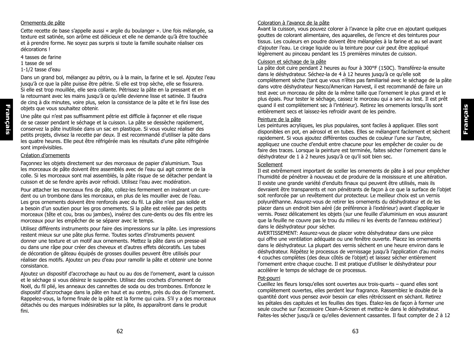# **Français**

#### Ornements de pâte

Cette recette de base s'appelle aussi « argile du boulanger ». Une fois mélangée, sa texture est satinée, son arôme est délicieux et elle ne demande qu'à être touchée et à prendre forme. Ne soyez pas surpris si toute la famille souhaite réaliser ces décorations !

4 tasses de farine

1 tasse de sel

**Français**

Français

#### 1-1/2 tasse d'eau

Dans un grand bol, mélangez au pétrin, ou à la main, la farine et le sel. Ajoutez l'eau jusqu'à ce que la pâte puisse être pétrie. Si elle est trop sèche, elle se fissurera. Si elle est trop mouillée, elle sera collante. Pétrissez la pâte en la pressant et en la retournant avec les mains jusqu'à ce qu'elle devienne lisse et satinée. Il faudra de cinq à dix minutes, voire plus, selon la consistance de la pâte et le fini lisse des objets que vous souhaitez obtenir.

Une pâte qui n'est pas suffisamment pétrie est difficile à façonner et elle risque de se casser pendant le séchage et la cuisson. La pâte se dessèche rapidement, conservez la pâte inutilisée dans un sac en plastique. Si vous voulez réaliser des petits projets, divisez la recette par deux. Il est recommandé d'utiliser la pâte dans les quatre heures. Elle peut être réfrigérée mais les résultats d'une pâte réfrigérée sont imprévisibles.

#### Création d'ornements

Façonnez les objets directement sur des morceaux de papier d'aluminium. Tous les morceaux de pâte doivent être assemblés avec de l'eau qui agit comme de la colle. Si les morceaux sont mal assemblés, la pâte risque de se détacher pendant la cuisson et de se fendre après avoir refroidi. Utilisez l'eau avec modération.

Pour attacher les morceaux fins de pâte, collez-les fermement en insérant un curedent ou un trombone dans les morceaux, en plus de les mouiller avec de l'eau. Les gros ornements doivent être renforcés avec du fil. La pâte n'est pas solide et a besoin d'un soutien pour les gros ornements. Si la pâte est reliée par des petits morceaux (tête et cou, bras ou jambes), insérez des cure-dents ou des fils entre les morceaux pour les empêcher de se séparer avec le temps.

Utilisez différents instruments pour faire des impressions sur la pâte. Les impressions restent mieux sur une pâte plus ferme. Toutes sortes d'instruments peuvent donner une texture et un motif aux ornements. Mettez la pâte dans un presse-ail ou dans une râpe pour créer des cheveux et d'autres effets décoratifs. Les tubes de décoration de gâteau équipés de grosses douilles peuvent être utilisés pour réaliser des motifs. Ajoutez un peu d'eau pour ramollir la pâte et obtenir une bonne consistance.

Ajoutez un dispositif d'accrochage au haut ou au dos de l'ornement, avant la cuisson et le séchage si vous désirez le suspendre. Utilisez des crochets d'ornement de Noël, du fil plié, les anneaux des cannettes de soda ou des trombones. Enfoncez le dispositif d'accrochage dans la pâte en haut et au centre, près du dos de l'ornement. Rappelez-vous, la forme finale de la pâte est la forme qui cuira. S'il y a des morceaux détachés ou des marques indésirables sur la pâte, ils apparaîtront dans le produit fini.

#### Coloration à l'avance de la pâte

Avant la cuisson, vous pouvez colorer à l'avance la pâte crue en ajoutant quelques gouttes de colorant alimentaire, des aquarelles, de l'encre et des teintures pour tissus. Les couleurs en poudre doivent être mélangées à la farine et au sel avant d'ajouter l'eau. Le cirage liquide ou la teinture pour cuir peut être appliqué légèrement au pinceau pendant les 15 premières minutes de cuisson.

#### Cuisson et séchage de la pâte

La pâte doit cuire pendant 2 heures au four à 300°F (150C). Transférez-la ensuite dans le déshydrateur. Séchez-la de 4 à 12 heures jusqu'à ce qu'elle soit complètement sèche (tant que vous n'êtes pas familiarisé avec le séchage de la pâte dans votre déshydrateur Nesco/American Harvest, il est recommandé de faire un test avec un morceau de pâte de la même taille que l'ornement le plus grand et le plus épais. Pour tester le séchage, cassez le morceau qui a servi au test. Il est prêt quand il est complètement sec à l'intérieur). Retirez les ornements lorsqu'ils sont entièrement secs et laissez-les refroidir avant de les peindre.

#### Peinture de la pâte

Les peintures acryliques, les plus populaires, sont faciles à appliquer. Elles sont disponibles en pot, en aérosol et en tubes. Elles se mélangent facilement et sèchent rapidement. Si vous ajoutez différentes couches de couleur l'une sur l'autre, appliquez une couche d'enduit entre chacune pour les empêcher de couler ou de faire des traces. Lorsque la peinture est terminée, faites sécher l'ornement dans le déshydrateur de 1 à 2 heures jusqu'à ce qu'il soit bien sec.

#### **Scellement**

Il est extrêmement important de sceller les ornements de pâte à sel pour empêcher l'humidité de pénétrer à nouveau et de produire de la moisissure et une altération. Il existe une grande variété d'enduits finaux qui peuvent être utilisés, mais ils devraient être transparents et non pénétrants de façon à ce que la surface de l'objet soit renforcée par un revêtement dur protecteur. Le meilleur choix est un vernis polyuréthanne. Assurez-vous de retirer les ornements du déshydrateur et de les placer dans un endroit bien aéré (de préférence à l'extérieur) avant d'appliquer le vernis. Posez délicatement les objets (sur une feuille d'aluminium en vous assurant que la feuille ne couvre pas le trou du milieu ni les évents de l'anneau extérieur) dans le déshydrateur pour sécher.

AVERTISSEMENT: Assurez-vous de placer votre déshydrateur dans une pièce qui offre une ventilation adéquate ou une fenêtre ouverte. Placez les ornements dans le déshydrateur. La plupart des vernis sèchent en une heure environ dans le déshydrateur. Répétez le processus de vernissage jusqu'à l'application d'au moins 4 couches complètes (des deux côtés de l'objet) et laissez sécher entièrement l'ornement entre chaque couche. Il est pratique d'utiliser le déshydrateur pour accélérer le temps de séchage de ce processus.

#### Pot-pourri

Cueillez les fleurs lorsqu'elles sont ouvertes aux trois-quarts – quand elles sont complètement ouvertes, elles perdent leur fragrance. Rassemblez le double de la quantité dont vous pensez avoir besoin car elles rétrécissent en séchant. Retirez les pétales des capitules et les feuilles des tiges. Étalez-les de façon à former une seule couche sur l'accessoire Clean-A-Screen et mettez-le dans le déshydrateur. Faites-les sécher jusqu'à ce qu'elles deviennent cassantes. Il faut compter de 2 à 12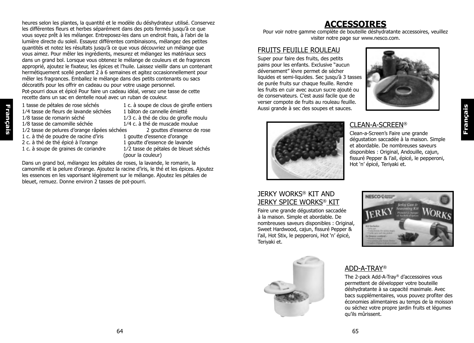heures selon les plantes, la quantité et le modèle du déshydrateur utilisé. Conservez les différentes fleurs et herbes séparément dans des pots fermés jusqu'à ce que vous soyez prêt à les mélanger. Entreposez-les dans un endroit frais, à l'abri de la lumière directe du soleil. Essayez différentes combinaisons, mélangez des petites quantités et notez les résultats jusqu'à ce que vous découvriez un mélange que vous aimez. Pour mêler les ingrédients, mesurez et mélangez les matériaux secs dans un grand bol. Lorsque vous obtenez le mélange de couleurs et de fragrances approprié, ajoutez le fixateur, les épices et l'huile. Laissez vieillir dans un contenant hermétiquement scellé pendant 2 à 6 semaines et agitez occasionnellement pour mêler les fragrances. Emballez le mélange dans des petits contenants ou sacs décoratifs pour les offrir en cadeau ou pour votre usage personnel. Pot-pourri doux et épicé Pour faire un cadeau idéal, versez une tasse de cette recette dans un sac en dentelle noué avec un ruban de couleur.

1/4 tasse de fleurs de lavande séchées<br>1/8 tasse de romarin séché

**Français**

Français

- 1 tasse de pétales de rose séchés  $1 \text{ c. }$ à soupe de clous de girofle entiers  $1/4$  tasse de fleurs de lavande séchées  $1$  bâton de cannelle émietté
- 1/8 tasse de romarin séché  $\frac{1}{3}$  c. à thé de clou de girofle moulu  $\frac{1}{8}$  tasse de camomille séchée  $\frac{1}{4}$  c. à thé de muscade moulue  $1/4$  c. à thé de muscade moulue<br>es 2 gouttes d'essence de rose
- 1/2 tasse de pelures d'orange râpées séchées
	-
- 2 c. à thé de thé épicé à l'orange<br>1 c. à soupe de graines de coriandre
- 1 c. à thé de poudre de racine d'iris 1 goutte d'essence d'orange<br>2 c. à thé de thé épicé à l'orange 1 goutte d'essence de lavande 1/2 tasse de pétales de bleuet séchés

(pour la couleur)

Dans un grand bol, mélangez les pétales de roses, la lavande, le romarin, la camomille et la pelure d'orange. Ajoutez la racine d'iris, le thé et les épices. Ajoutez les essences en les vaporisant légèrement sur le mélange. Ajoutez les pétales de bleuet, remuez. Donne environ 2 tasses de pot-pourri.

# **ACCESSOIRES**

Pour voir notre gamme complète de bouteille déshydratante accessoires, veuillez visiter notre page sur www.nesco.com.

### FRUITS FEUILLE ROULEAU

Super pour faire des fruits, des petits pains pour les enfants. Exclusive "aucun déversement" lèvre permet de sécher liquides et semi-liquides. Sec jusqu'à 3 tasses de purée fruits sur chaque feuille. Rendre les fruits en cuir avec aucun sucre ajouté ou de conservateurs. C'est aussi facile que de verser compote de fruits au rouleau feuille. Aussi grande à sec des soupes et sauces.





# CLEAN-A-SCREEN®

Clean-a-Screen's Faire une grande dégustation saccadée à la maison. Simple et abordable. De nombreuses saveurs disponibles : Original, Andouille, cajun, fissuré Pepper & l'ail, épicé, le pepperoni, Hot 'n' épicé, Teriyaki et.

## JERKY WORKS® KIT AND JERKY SPICE WORKS® KIT

Faire une grande dégustation saccadée à la maison. Simple et abordable. De nombreuses saveurs disponibles : Original, Sweet Hardwood, cajun, fissuré Pepper & l'ail, Hot Stix, le pepperoni, Hot 'n' épicé, Teriyaki et.





## ADD-A-TRAY®

The 2-pack Add-A-Tray® d'accessoires vous permettent de développer votre bouteille déshydratante à sa capacité maximale. Avec bacs supplémentaires, vous pouvez profiter des économies alimentaires au temps de la moisson ou séchez votre propre jardin fruits et légumes qu'ils mûrissent.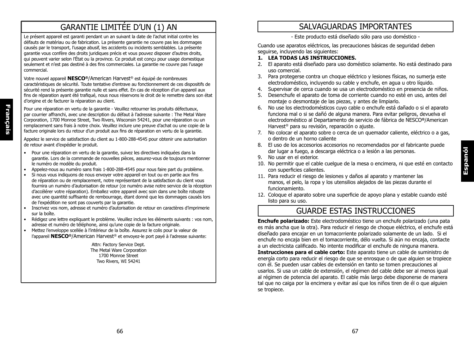# GARANTIE LIMITÉE D'UN (1) AN

Le présent appareil est garanti pendant un an suivant la date de l'achat initial contre les défauts de matériau ou de fabrication. La présente garantie ne couvre pas les dommages causés par le transport, l'usage abusif, les accidents ou incidents semblables. La présente garantie vous confère des droits juridiques précis et vous pouvez disposer d'autres droits, qui peuvent varier selon l'État ou la province. Ce produit est conçu pour usage domestique seulement et n'est pas destiné à des fins commerciales. La garantie ne couvre pas l'usage commercial.

Votre nouvel appareil **NESCO®**/American Harvest® est équipé de nombreuses caractéristiques de sécurité. Toute tentative d'entrave au fonctionnement de ces dispositifs de sécurité rend la présente garantie nulle et sans effet. En cas de réception d'un appareil aux fins de réparation ayant été trafiqué, nous nous réservons le droit de le remettre dans son état d'origine et de facturer la réparation au client.

Pour une réparation en vertu de la garantie - Veuillez retourner les produits défectueux, par courrier affranchi, avec une description du défaut à l'adresse suivante : The Metal Ware Corporation, 1700 Monroe Street, Two Rivers, Wisconsin 54241, pour une réparation ou un remplacement sans frais à notre choix. Veuillez inclure une preuve d'achat ou une copie de la facture originale lors du retour d'un produit aux fins de réparation en vertu de la garantie.

Appelez le service de satisfaction du client au 1-800-288-4545 pour obtenir une autorisation de retour avant d'expédier le produit.

- Pour une réparation en vertu de la garantie, suivez les directives indiquées dans la garantie. Lors de la commande de nouvelles pièces, assurez-vous de toujours mentionner le numéro de modèle du produit.
- Appelez-nous au numéro sans frais 1-800-288-4545 pour nous faire part du problème.
- Si nous vous indiquons de nous envoyer votre appareil en tout ou en partie aux fins de réparation ou de remplacement, notre représentant de la satisfaction du client vous fournira un numéro d'autorisation de retour (ce numéro avise notre service de la réception d'accélérer votre réparation). Emballez votre appareil avec soin dans une boîte robuste avec une quantité suffisante de rembourrage, étant donné que les dommages causés lors de l'expédition ne sont pas couverts par la garantie.
- Inscrivez vos nom, adresse et numéro d'autorisation de retour en caractères d'imprimerie sur la boîte.
- Rédigez une lettre expliquant le problème. Veuillez inclure les éléments suivants : vos nom, adresse et numéro de téléphone, ainsi qu'une copie de la facture originale.
- Mettez l'enveloppe scellée à l'intérieur de la boîte. Assurez le colis pour la valeur de l'appareil **NESCO®**/American Harvest® et envoyez-le port payé à l'adresse suivante:

Attn: Factory Service Dept. The Metal Ware Corporation 1700 Monroe Street Two Rivers, WI 54241

# SALVAGUARDAS IMPORTANTES

- Este producto está diseñado sólo para uso doméstico -

Cuando use aparatos eléctricos, las precauciones básicas de seguridad deben seguirse, incluyendo las siguientes:

#### **1. LEA TODAS LAS INSTRUCCIONES.**

- 2. El aparato está diseñado para uso doméstico solamente. No está destinado para uso comercial.
- 3. Para protegerse contra un choque eléctrico y lesiones físicas, no sumerja este electrodoméstico, incluyendo su cable y enchufe, en agua u otro líquido.
- 4. Supervisar de cerca cuando se usa un electrodoméstico en presencia de niños.
- 5. Desenchufe el aparato de toma de corriente cuando no esté en uso, antes del montaje o desmontaje de las piezas, y antes de limpiarlo.
- 6. No use los electrodomésticos cuyo cable o enchufe está dañado o si el aparato funciona mal o si se dañó de alguna manera. Para evitar peligros, devuelva el electrodoméstico al Departamento de servicio de fábrica de NESCO**®**/American Harvest® para su revisión, reparación o ajuste.
- 7. No colocar el aparato sobre o cerca de un quemador caliente, eléctrico o a gas, o dentro de un horno caliente
- 8. El uso de los accesorios accesorios no recomendados por el fabricante puede dar lugar a fuego, a descarga eléctrica o a lesión a las personas.
- 9. No usar en el exterior.
- 10. No permitir que el cable cuelgue de la mesa o encimera, ni que esté en contacto con superficies calientes.
- 11. Para reducir el riesgo de lesiones y daños al aparato y mantener las manos, el pelo, la ropa y los utensilios alejados de las piezas durante el funcionamiento.
- 12. Coloque el aparato sobre una superficie de apoyo plana y estable cuando esté listo para su uso.

# GUARDE ESTAS INSTRUCCIONES

**Enchufe polarizado:** Este electrodoméstico tiene un enchufe polarizado (una pata es más ancha que la otra). Para reducir el riesgo de choque eléctrico, el enchufe está diseñado para encajar en un tomacorriente polarizado solamente de un lado. Si el enchufe no encaja bien en el tomacorriente, délo vuelta. Si aún no encaja, contacte a un electricista calificado. No intente modificar el enchufe de ninguna manera. **Instrucciones para el cable corto:** Este aparato tiene un cable de suministro de energía corto para reducir el riesgo de que se enrosque o de que alguien se tropiece con él. Se pueden usar cables de extensión en tanto se tomen precauciones al usarlos. Si usa un cable de extensión, el régimen del cable debe ser al menos igual al régimen de potencia del aparato. El cable más largo debe disponerse de manera tal que no caiga por la encimera y evitar así que los niños tiren de él o que alguien se tropiece.

**Français**

Français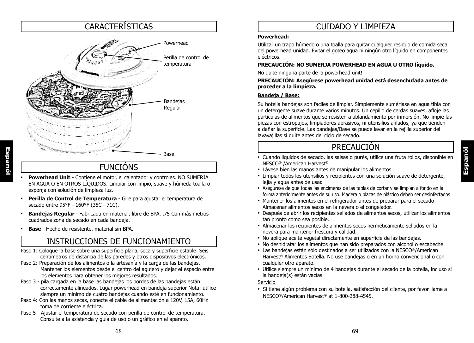# **CARACTERÍSTICAS**



# FUNCIÓNS

- **Powerhead Unit** Contiene el motor, el calentador y controles. NO SUMERJA EN AGUA O EN OTROS LÍQUIDOS. Limpiar con limpio, suave y húmeda toalla o esponja con solución de limpieza luz.
- **Perilla de Control de Temperatura** Gire para ajustar el temperatura de secado entre 95°F - 160°F (35C - 71C).
- **Bandejas Regular**  Fabricada en material, libre de BPA. .75 Con más metros cuadrados zona de secado en cada bandeja.
- **Base** Hecho de resistente, material sin BPA.

# INSTRUCCIONES DE FUNCIONAMIENTO

- Paso 1: Coloque la base sobre una superficie plana, seca y superficie estable. Seis centímetros de distancia de las paredes y otros dispositivos electrónicos.
- Paso 2: Preparación de los alimentos o la artesanía y la carga de las bandejas. Mantener los elementos desde el centro del agujero y dejar el espacio entre los elementos para obtener los mejores resultados.
- Paso 3 pila cargada en la base las bandejas los bordes de las bandejas están correctamente alineados. Lugar powerhead en bandeja superior Nota: utilice siempre un mínimo de cuatro bandejas cuando esté en funcionamiento.
- Paso 4: Con las manos secas, conecte el cable de alimentación a 120V, 15A, 60Hz toma de corriente eléctrica.
- Paso 5 Ajustar el temperatura de secado con perilla de control de temperatura. Consulte a la asistencia y guía de uso o un gráfico en el aparato.

## CUIDADO Y LIMPIEZA

#### **Powerhead:**

Utilizar un trapo húmedo o una toalla para quitar cualquier residuo de comida seca del powerhead unidad. Evitar el goteo agua ni ningún otro líquido en componentes eléctricos.

#### **PRECAUCIÓN: NO SUMERJA POWERHEAD EN AGUA U OTRO líquido.**

No quite ninguna parte de la powerhead unit!

#### **PRECAUCIÓN: Asegúrese powerhead unidad está desenchufada antes de proceder a la limpieza.**

#### **Bandeja / Base:**

Su botella bandejas son fáciles de limpiar. Simplemente sumérjase en agua tibia con un detergente suave durante varios minutos. Un cepillo de cerdas suaves, afloje las partículas de alimentos que se resisten a ablandamiento por inmersión. No limpie las piezas con estropajos, limpiadores abrasivos, ni utensilios afilados, ya que tienden a dañar la superficie. Las bandejas/Base se puede lavar en la rejilla superior del lavavajillas si quite antes del ciclo de secado.

# PRECAUCIÓN

- Cuando líquidos de secado, las salsas o purés, utilice una fruta rollos, disponible en NESCO® /American Harvest®.
- Lávese bien las manos antes de manipular los alimentos.
- Limpiar todos los utensilios y recipientes con una solución suave de detergente, lejía y agua antes de usar.
- Asegúrese de que todas las encimeras de las tablas de cortar y se limpian a fondo en la forma anteriormente antes de su uso. Madera o placas de plástico deben ser desinfectados.
- Mantener los alimentos en el refrigerador antes de preparar para el secado Almacenar alimentos secos en la nevera o el congelador.
- Después de abrir los recipientes sellados de alimentos secos, utilizar los alimentos tan pronto como sea posible.
- Almacenar los recipientes de alimentos secos herméticamente sellados en la nevera para mantener frescura y calidad.
- No aplique aceite vegetal directamente en superficie de las bandejas.
- No deshidratar los alimentos que han sido preparados con alcohol o escabeche.
- Las bandejas están sólo destinados a ser utilizados con la NESCO®/American Harvest® Alimentos Botella. No use bandejas o en un horno convencional o con cualquier otro aparato.
- Utilice siempre un mínimo de 4 bandejas durante el secado de la botella, incluso si la bandeja(s) están vacías.

#### Servicio

• Si tiene algún problema con su botella, satisfacción del cliente, por favor llame a NESCO®/American Harvest® at 1-800-288-4545.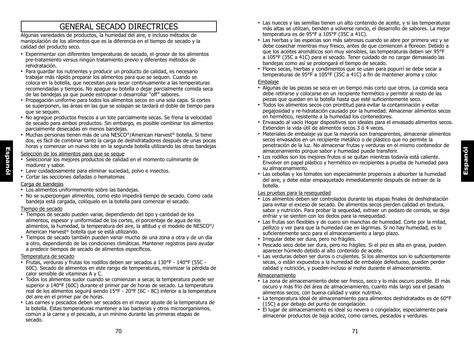# GENERAL SECADO DIRECTRICES

Algunas variedades de productos, la humedad del aire, e incluso métodos de manipulación de los alimentos que es la diferencia en el tiempo de secado y la calidad del producto seco.

- Experimentar con diferentes temperaturas de secado, el grosor de los alimentos pre-tratamiento versus ningún tratamiento previo y diferentes métodos de rehidratación.
- Para guardar los nutrientes y producir un producto de calidad, es necesario trabajar más rápido preparar los alimentos para que se sequen. Cuando se coloca en la botella, que necesitan para secar continuamente a las temperaturas recomendadas y tiempos. No apague su botella o dejar parcialmente comida seca de las bandejas ya que puede estropear o desarrollar "off" sabores.
- Propagación uniforme para todos los alimentos secos en una sola capa. Si cortes se superponen, las áreas en las que se solapan se tardará el doble de tiempo para que se sequen.
- No agregue productos frescos a un lote parcialmente secas. Se frena la velocidad de secado para ambos productos. Sin embargo, es posible combinar los alimentos parcialmente desecadas en menos bandejas.
- Muchas personas tienen más de una NESCO®/American Harvest® botella. Si tiene dos, es fácil de combinar tanto la carga de deshidratadores después de unas pocas horas y comenzar un nuevo lote en la segunda botella utilizando las otras bandejas

#### Selección de los alimentos para que se seque

- Seleccionar los mejores productos de calidad en el momento culminante de madurez y sabor.
- Lave cuidadosamente para eliminar suciedad, polvo e insectos.
- Cortar las secciones dañadas o hematomas

#### Carga de bandejas

**Espanól**

- Los alimentos uniformemente sobre las bandejas.
- No se superpongan alimentos, como esto impedirá tiempo de secado. Como cada bandeja está cargada, colóquelo en la botella para comenzar el secado.

#### Tiempo de secado

- Tiempos de secado pueden variar, dependiendo del tipo y cantidad de los alimentos, espesor y uniformidad de los cortes, el porcentaje de agua de los alimentos, la humedad, la temperatura del aire, la altitud y el modelo de NESCO®/ American Harvest® botella que se está utilizando.
- Tiempos de secado también pueden variar mucho de una zona a otra y de un día a otro, dependiendo de las condiciones climáticas. Mantener registros para ayudar a predecir tiempos de secado de alimentos específicos.

#### Temperatura de secado

- Frutas, verduras y frutas los rodillos deben ser secados a 130°F 140°F (55C 60C). Secado de alimentos en este rango de temperaturas, minimizar la pérdida de calor sensible de vitaminas A y C.
- Todos los alimentos sudor cuando se comienzan a secar, la temperatura puede ser superior a 140°F (60C) durante el primer par de horas de secado. La temperatura real de los alimentos seguirá siendo 15°F - 20°F (6C - 8C) inferior a la temperatura del aire en el primer par de horas.
- Las carnes y pescados deben ser secados en el mayor ajuste de la temperatura de la botella. Estas temperaturas mantener a las bacterias y otros microorganismos, común a la carne y el pescado, a un mínimo durante las primeras etapas de secado.
- Las nueces y las semillas tienen un alto contenido de aceite, y si las temperaturas más altas se utilizan, tienden a volverse rancio, el desarrollo de sabores. La mejor temperatura es de 95°F a 105°F (35C a 41C).
- Las hierbas y las especias son más sabrosas cuando se abre por primera vez y se debe cosechar mientras muy fresco, antes de que comiencen a florecer. Debido a que los aceites aromáticos son muy sensibles, las temperaturas deben ser 95°F a 105°F (35C a 41C) para el secado. Tener cuidado de no cargar demasiado las bandejas como así se prolongará el tiempo de secado.
- Flores secas, hierbas y condimentos que se usan para popurrí se debe secar a temperaturas de 95°F a 105°F (35C a 41C) a fin de mantener aroma y color.

#### Embalaje

- Algunas de las piezas se seca en un tiempo más corto que otros. La comida seca debe retirarse y colocarse en un recipiente hermético y permitir al resto de las piezas que quedan en la botella hasta que esté suficientemente seco.
- Todos los alimentos secos con prontitud para evitar la contaminación y evitar pegajosidad y re-hidratación causado por la humedad. Almacenar alimentos secos en hermético, resistente a la humedad los contenedores.
- Envasado al vacío Hogar dispositivos son ideales para el envasado alimentos secos. Extienden la vida útil de alimentos secos 3 ó 4 veces.
- Materiales de embalaje ya que la mayoría son transparentes, almacenar alimentos secos envasados en un recipiente metálico o de plástico que no permite la penetración de la luz. No almacenar frutas y verduras en el mismo contenedor de almacenamiento porque sabor y humedad puede transferir.
- Los rodillos son los mejores frutos si se quitan mientras todavía está caliente. Envolver en papel plástico y hermético en recipientes a prueba de humedad para su almacenamiento.
- Las cebollas y los tomates son especialmente propensos a absorber la humedad del aire, y debe estar empaquetado inmediatamente después de extraer de la botella.

#### Las pruebas para la resequedad

- Los alimentos deben ser controlados durante las etapas finales de deshidratación para evitar el exceso de secado. De alimentos secos pierden calidad en textura, sabor y nutrición. Para probar la sequedad, extraer un pedazo de comida, se deja enfriar y se sienten con los dedos para la resequedad.
- Las frutas son flexibles y de cuero sin manchas de humedad. Corte por la mitad, pellizco y ver para que la humedad cae en lágrimas. Si no hay humedad, es lo suficientemente seco para el almacenamiento a largo plazo.
- Irregular debe ser dura, pero no frágiles.
- Pescado seco debe ser dura, pero no frágiles. Si el pez es alta en grasa, pueden aparecer húmedo debido al alto contenido de aceite.
- Las verduras deben ser duros o crujientes. Si los alimentos son lo suficientemente secas, o están expuestos a la humedad de embalaje defectuoso, pueden perder calidad y nutrición, y pueden incluso al moho durante el almacenamiento.

#### Almacenamiento

- La zona de almacenamiento debe ser fresco, seco y lo más oscuro posible. El más oscuro y más frío del área de almacenamiento, cuanto más largo sea el pasado alimentos secos, con buena calidad y valor nutritivo.
- La temperatura ideal de almacenamiento para alimentos deshidratados es de 60°F (15C) a por debajo del punto de congelación.
- El lugar de almacenamiento es ideal su nevera o congelador, especialmente para almacenar productos de baja acidez, como carnes, pescados y verduras.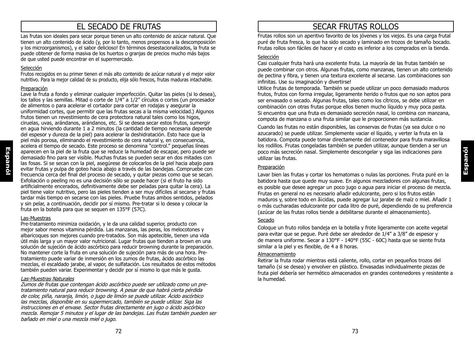# EL SECADO DE FRUTAS

Las frutas son ideales para secar porque tienen un alto contenido de azúcar natural. Que tienen un alto contenido de ácido (y, por lo tanto, menos propensos a la descomposición y los microorganismos), y el sabor delicioso! En términos desestacionalizados, la fruta se puede obtener de forma masiva de los huertos o granjas de precios mucho más bajos de que usted puede encontrar en el supermercado.

#### Selección

Frutos recogidos en su primer tienen el más alto contenido de azúcar natural y el mejor valor nutritivo. Para la mejor calidad de su producto, elija sólo frescos, frutas maduras intachable.

#### Preparación

Lave la fruta a fondo y eliminar cualquier imperfección. Quitar las pieles (si lo desea), los tallos y las semillas. Mitad o corte de 1/4" a 1/2" círculos o cortes (un procesador de alimentos o para acelerar el cortador para cortar en rodajas y asegurar la uniformidad cortes, que permitir que las frutas secas a la misma velocidad.) Algunos frutos tienen un revestimiento de cera protectora natural tales como los higos, ciruelas, uvas, arándanos, arándanos, etc. Si se desea secar estos frutos, sumergir en agua hirviendo durante 1 a 2 minutos (la cantidad de tiempo necesaria depende del espesor y dureza de la piel) para acelerar la deshidratación. Esto hace que la piel más porosa, eliminando el revestimiento de cera natural y, en consecuencia, acelera el tiempo de secado. Este proceso se denomina "control." pequeñas líneas aparecen en la piel de la fruta que se reduce la humedad de escapar, pero puede ser demasiado fino para ser visible. Muchas frutas se pueden secar en dos mitades con las fosas. Si se secan con la piel, asegúrese de colocarlos de la piel hacia abajo para evitar frutas y pulpa de goteo hacia abajo a través de las bandejas. Compruebe con frecuencia cerca del final del proceso de secado, y quitar piezas como que se secan. Exfoliación o peeling no es una decisión sólo se puede hacer (si el fruto ha sido artificialmente encerados, definitivamente debe ser peladas para quitar la cera). La piel tiene valor nutritivo, pero las pieles tienden a ser muy difíciles al secarse y frutas tardar más tiempo en secarse con las pieles. Pruebe frutas ambos sentidos, pelados y sin pelar, a continuación, decidir por sí mismo. Pre-tratar si lo desea y colocar la fruta en la botella para que se sequen en 135°F (57C).

#### Las-Muestras

Pre-tratamiento minimiza oxidación, y le da una calidad superior, producto con mejor sabor menos vitamina pérdida. Las manzanas, las peras, los melocotones y albaricoques son mejores cuando pre-tratados. Son más apetecible, tienen una vida útil más larga y un mayor valor nutricional. Lugar frutas que tienden a brown en una solución de sujeción de ácido ascórbico para reducir browning durante la preparación. No mantener corte la fruta en una solución de sujeción para más de una hora. Pretratamiento puede variar de inmersión en los zumos de frutas, ácido ascórbico las mezclas, el escaldado jarabe, al vapor, de sulfatación. Los resultados de estos métodos también pueden variar. Experimentar y decidir por sí mismo lo que más le gusta.

#### Las-Muestras Naturales

Zumos de frutas que contengan ácido ascórbico puede ser utilizado como un pretratamiento natural para reducir browning. A pesar de que habrá cierta pérdida de color, piña, naranja, limón, o jugo de limón se puede utilizar. Ácido ascórbico las mezclas, disponible en su supermercado, también se puede utilizar. Siga las instrucciones en el envase. Sector frutas directamente en jugo o ácido ascórbico mezcla. Remojar 5 minutos y el lugar de las bandejas. Las frutas también pueden ser bañado en miel o una mezcla miel o jugo.

# SECAR FRUTAS ROLLOS

Frutas rollos son un aperitivo favorito de los jóvenes y los viejos. Es una carga frutal puré de fruta fresca, lo que ha sido secado y laminado en trozos de tamaño bocado. Frutas rollos son fáciles de hacer y el costo es inferior a los comprados en la tienda.

#### Selección

Casi cualquier fruta hará una excelente fruta. La mayoría de las frutas también se puede combinar con otros. Algunas frutas, como manzanas, tienen un alto contenido de pectina y fibra, y tienen una textura excelente al secarse. Las combinaciones son infinitas. Use su imaginación y divertirse!

Utilice frutas de temporada. También se puede utilizar un poco demasiado maduros frutos, frutos con forma irregular, ligeramente herido o frutos que no son aptos para ser envasado o secado. Algunas frutas, tales como los cítricos, se debe utilizar en combinación con otras frutas porque ellos tienen mucho líquido y muy poca pasta. Si encuentra que una fruta es demasiado secreción nasal, lo combina con manzana, compota de manzana o una fruta similar que le proporcionen más sustancia.

Cuando las frutas no están disponibles, las conservas de frutas (ya sea dulce o no azucarado) se puede utilizar. Simplemente vaciar el líquido, y verter la fruta en la batidora. Compota puede tomar directamente del contenedor para fruta maravillosa los rodillos. Frutas congeladas también se pueden utilizar, aunque tienden a ser un poco más secreción nasal. Simplemente descongelar y siga las indicaciones para utilizar las frutas.

#### Preparación

Lavar bien las frutas y cortar los hematomas o nulas las porciones. Fruta puré en la batidora hasta que quede muy suave. En algunos mezcladores con algunas frutas, es posible que desee agregar un poco jugo o agua para iniciar el proceso de mezcla. Frutas en general no es necesario añadir edulcorante, pero si los frutos están maduros y, sobre todo en ãicidas, puede agregar luz jarabe de maíz o miel. Añadir 1 o más cucharadas edulcorante por cada litro de puré, dependiendo de su preferencia (azúcar de las frutas rollos tiende a debilitarse durante el almacenamiento).

#### Secado

Coloque un fruto rollos bandeja en la botella y frote ligeramente con aceite vegetal para evitar que se pegue. Puré debe ser alrededor de 1/4" a 3/8" de espesor y de manera uniforme. Secar a 130°F - 140°F (55C - 60C) hasta que se siente fruta similar a la piel y es flexible, de 4 a 8 horas.

#### Almacenamiento

Retirar la fruta rodar mientras está caliente, rollo, cortar en pequeños trozos del tamaño (si se desea) y envolver en plástico. Envasadas individualmente piezas de fruta piel debería ser hermético almacenados en grandes contenedores y resistente a la humedad.

**Espanól**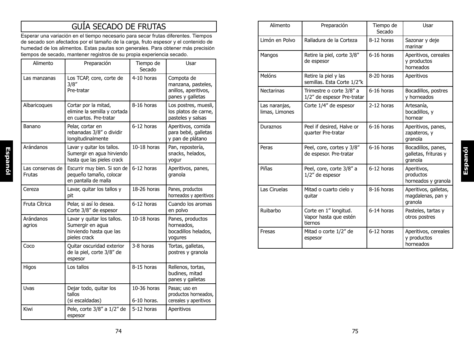# GUÍA SECADO DE FRUTAS

Esperar una variación en el tiempo necesario para secar frutas diferentes. Tiempos de secado son afectados por el tamaño de la carga, fruto espesor y el contenido de humedad de los alimentos. Estas pautas son generales. Para obtener más precisión tiempos de secado, mantener registros de su propia experiencia secado.

| Alimento                   | Preparación                                                                               | Tiempo de<br>Secado        | Usar                                                                         |
|----------------------------|-------------------------------------------------------------------------------------------|----------------------------|------------------------------------------------------------------------------|
| Las manzanas               | Los TCAP, core, corte de<br>3/8''<br>Pre-tratar                                           | 4-10 horas                 | Compota de<br>manzana, pasteles,<br>anillos, aperitivos,<br>panes y galletas |
| Albaricoques               | Cortar por la mitad,<br>elimine la semilla y cortada<br>en cuartos. Pre-tratar            | 8-16 horas                 | Los postres, muesli,<br>los platos de carne,<br>pasteles y salsas            |
| Banano                     | Pelar, cortar en<br>rebanadas 3/8" o dividir<br>longitudinalmente                         | 6-12 horas                 | Aperitivos, comida<br>para bebé, galletas<br>y pan de plátano                |
| Arándanos                  | Lavar y quitar los tallos.<br>Sumergir en agua hirviendo<br>hasta que las pieles crack    | $10-18$ horas              | Pan, repostería,<br>snacks, helados,<br>yogur                                |
| Las conservas de<br>Frutas | Escurrir muy bien. Si son de<br>pequeño tamaño, colocar<br>en pantalla de malla           | 6-12 horas                 | Aperitivos, panes,<br>granola                                                |
| Cereza                     | Lavar, quitar los tallos y<br>pit                                                         | 18-26 horas                | Panes, productos<br>horneados y aperitivos                                   |
| Fruta Cítrica              | Pelar, si así lo desea.<br>Corte 3/8" de espesor                                          | 6-12 horas                 | Cuando los aromas<br>en polvo                                                |
| Arándanos<br>agrios        | Lavar y quitar los tallos.<br>Sumergir en agua<br>hirviendo hasta que las<br>pieles crack | $10-18$ horas              | Panes, productos<br>horneados,<br>bocadillos helados,<br>yogures             |
| Coco                       | Quitar oscuridad exterior<br>de la piel, corte 3/8" de<br>espesor                         | 3-8 horas                  | Tortas, galletas,<br>postres y granola                                       |
| Higos                      | Los tallos                                                                                | 8-15 horas                 | Rellenos, tortas,<br>budines, mitad<br>panes y galletas                      |
| Uvas                       | Dejar todo, quitar los<br>tallos<br>(si escaldadas)                                       | 10-36 horas<br>6-10 horas. | Pasas; uso en<br>productos horneados,<br>cereales y aperitivos               |
| Kiwi                       | Pele, corte 3/8" a 1/2" de<br>espesor                                                     | 5-12 horas                 | Aperitivos                                                                   |

| Alimento                        | Preparación                                               | Tiempo de<br>Secado | Usar                                                  |
|---------------------------------|-----------------------------------------------------------|---------------------|-------------------------------------------------------|
| Limón en Polvo                  | Ralladura de la Corteza                                   | 8-12 horas          | Sazonar y deje<br>marinar                             |
| Mangos                          | Retire la piel, corte 3/8"<br>de espesor                  | 6-16 horas          | Aperitivos, cereales<br>y productos<br>horneados      |
| Melóns                          | Retire la piel y las<br>semillas. Esta Corte 1/2"k        | 8-20 horas          | Aperitivos                                            |
| <b>Nectarinas</b>               | Trimestre o corte 3/8" a<br>1/2" de espesor Pre-tratar    | 6-16 horas          | Bocadillos, postres<br>y horneados                    |
| Las naranjas,<br>limas, Limones | Corte 1/4" de espesor                                     | 2-12 horas          | Artesanía,<br>bocadillos, y<br>hornear                |
| Duraznos                        | Peel if desired, Halve or<br>quarter Pre-tratar           | 6-16 horas          | Aperitivos, panes,<br>zapateros, y<br>granola         |
| Peras                           | Peel, core, cortes y 3/8"<br>de espesor. Pre-tratar       | 6-16 horas          | Bocadillos, panes,<br>galletas, frituras y<br>granola |
| Piñas                           | Peel, core, corte 3/8" a<br>1/2" de espesor               | 6-12 horas          | Aperitivos,<br>productos<br>horneados y granola       |
| Las Ciruelas                    | Mitad o cuarto cielo y<br>quitar                          | 8-16 horas          | Aperitivos, galletas,<br>magdalenas, pan y<br>granola |
| Ruibarbo                        | Corte en 1" longitud.<br>Vapor hasta que estén<br>tiernos | 6-14 horas          | Pasteles, tartas y<br>otros postres                   |
| Fresas                          | Mitad o corte 1/2" de<br>espesor                          | 6-12 horas          | Aperitivos, cereales<br>y productos<br>horneados      |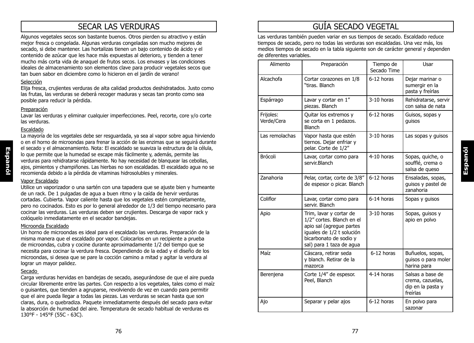# SECAR LAS VERDURAS

Algunos vegetales secos son bastante buenos. Otros pierden su atractivo y están mejor fresca o congelada. Algunas verduras congeladas son mucho mejores de secado, si debe mantener. Las hortalizas tienen un bajo contenido de ácido y el contenido de azúcar que les hace más expuestas al deterioro, y tienden a tener mucho más corta vida de anaquel de frutos secos. Los envases y las condiciones ideales de almacenamiento son elementos clave para producir vegetales secos que tan buen sabor en diciembre como lo hicieron en el jardín de verano!

#### Selección

Elija fresca, crujientes verduras de alta calidad productos deshidratados. Justo como las frutas, las verduras se deberá recoger maduras y secas tan pronto como sea posible para reducir la pérdida.

#### Preparación

Lavar las verduras y eliminar cualquier imperfecciones. Peel, recorte, core y/o corte las verduras.

#### Escaldado

La mayoría de los vegetales debe ser resguardada, ya sea al vapor sobre agua hirviendo o en el horno de microondas para frenar la acción de las enzimas que se seguirá durante el secado y el almacenamiento. Nota: El escaldado se suaviza la estructura de la célula, lo que permite que la humedad se escape más fácilmente y, además, permite las verduras para rehidratarse rápidamente. No hay necesidad de blanquear las cebollas, ajos, pimientos y champiñones. Las hierbas no son escaldadas. El escaldado agua no se recomienda debido a la pérdida de vitaminas hidrosolubles y minerales.

#### Vapor Escaldado

Utilice un vaporizador o una sartén con una tapadera que se ajuste bien y humeante de un rack. De 1 pulgadas de agua a buen ritmo y la caída de hervir verduras cortadas. Cubierta. Vapor caliente hasta que los vegetales estén completamente, pero no cocinados. Esto es por lo general alrededor de 1/3 del tiempo necesario para cocinar las verduras. Las verduras deben ser crujientes. Descarga de vapor rack y colóquelo inmediatamente en el secador bandejas.

#### Microonda Escaldado

Un horno de microondas es ideal para el escaldado las verduras. Preparación de la misma manera que el escaldado por vapor. Colocarlos en un recipiente a prueba de microondas, cubra y cocine durante aproximadamente 1/2 del tiempo que se necesita para cocinar la verdura fresca. Dependiendo de la edad y el diseño de los microondas, si desea que se pare la cocción camino a mitad y agitar la verdura al lograr un mayor palidez.

#### Secado

Carga verduras hervidas en bandejas de secado, asegurándose de que el aire pueda circular libremente entre las partes. Con respecto a los vegetales, tales como el maíz o guisantes, que tienden a agruparse, revolviendo de vez en cuando para permitir que el aire pueda llegar a todas las piezas. Las verduras se secan hasta que son claras, dura, o quebradiza. Paquete inmediatamente después del secado para evitar la absorción de humedad del aire. Temperatura de secado habitual de verduras es 130°F - 145°F (55C - 63C).

# GUÍA SECADO VEGETAL

Las verduras también pueden variar en sus tiempos de secado. Escaldado reduce tiempos de secado, pero no todas las verduras son escaldadas. Una vez más, los medios tiempos de secado en la tabla siguiente son de carácter general y dependen de diferentes variables.

| Alimento                | Preparación                                                                                                                                                         | Tiempo de<br>Secado Time | Usar                                                                  |
|-------------------------|---------------------------------------------------------------------------------------------------------------------------------------------------------------------|--------------------------|-----------------------------------------------------------------------|
| Alcachofa               | Cortar corazones en 1/8<br>"tiras. Blanch                                                                                                                           | 6-12 horas               | Dejar marinar o<br>sumergir en la<br>pasta y freírlas                 |
| Espárrago               | Lavar y cortar en 1"<br>piezas. Blanch                                                                                                                              | 3-10 horas               | Rehidratarse, servir<br>con salsa de nata                             |
| Frijoles:<br>Verde/Cera | Quitar los extremos y<br>se corta en 1 pedazos.<br>Blanch                                                                                                           | 6-12 horas               | Guisos, sopas y<br>guisos                                             |
| Las remolachas          | Vapor hasta que estén<br>tiernos. Dejar enfriar y<br>pelar. Corte de 1/2"                                                                                           | 3-10 horas               | Las sopas y guisos                                                    |
| Brócoli                 | Lavar, cortar como para<br>servir.Blanch                                                                                                                            | 4-10 horas               | Sopas, quiche, o<br>soufflé, crema o<br>salsa de queso                |
| Zanahoria               | Pelar, cortar, corte de 3/8"<br>de espesor o picar. Blanch                                                                                                          | 6-12 horas               | Ensaladas, sopas,<br>guisos y pastel de<br>zanahoria                  |
| Coliflor                | Lavar, cortar como para<br>servir. Blanch                                                                                                                           | 6-14 horas               | Sopas y guisos                                                        |
| Apio                    | Trim, lavar y cortar de<br>1/2" cortes. Blanch en el<br>apio sal (agregue partes<br>iguales de 1/2 t solución<br>bicarbonato de sodio y<br>sal) para 1 taza de agua | 3-10 horas               | Sopas, guisos y<br>apio en polvo                                      |
| Maíz                    | Cáscara, retirar seda<br>y blanch. Retirar de la<br>mazorca                                                                                                         | 6-12 horas               | Buñuelos, sopas,<br>guisos o para moler<br>harina para                |
| Berenjena               | Corte 1/4" de espesor.<br>Peel, Blanch                                                                                                                              | 4-14 horas               | Salsas a base de<br>crema, cazuelas,<br>dip en la pasta y<br>freírlas |
| Ajo                     | Separar y pelar ajos                                                                                                                                                | 6-12 horas               | En polvo para<br>sazonar                                              |

**Espanól**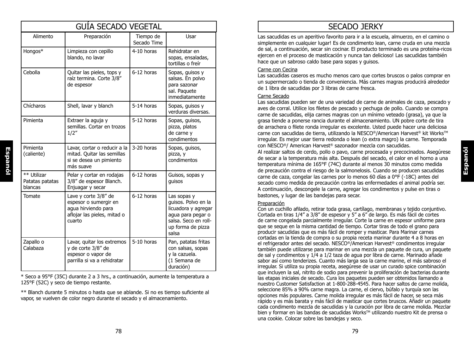| <b>GUIA SECADO VEGETAL</b>                |                                                                                                               |                          |                                                                                                                                      |
|-------------------------------------------|---------------------------------------------------------------------------------------------------------------|--------------------------|--------------------------------------------------------------------------------------------------------------------------------------|
| Alimento                                  | Preparación                                                                                                   | Tiempo de<br>Secado Time | Usar                                                                                                                                 |
| Hongos*                                   | Limpieza con cepillo<br>blando, no lavar                                                                      | 4-10 horas               | Rehidratar en<br>sopas, ensaladas,<br>tortillas o freír                                                                              |
| Cebolla                                   | Quitar las pieles, tops y<br>raíz termina. Corte 3/8"<br>de espesor                                           | 6-12 horas               | Sopas, guisos y<br>salsas. En polvo<br>para sazonar<br>sal. Paquete<br>inmediatamente                                                |
| Chícharos                                 | Shell, lavar y blanch                                                                                         | 5-14 horas               | Sopas, guisos y<br>verduras diversas.                                                                                                |
| Pimienta                                  | Extraer la aguja y<br>semillas. Cortar en trozos<br>1/2''                                                     | 5-12 horas               | Sopas, guisos,<br>pizza, platos<br>de carne y<br>condimentos                                                                         |
| Pimienta<br>(caliente)                    | Lavar, cortar o reducir a la<br>mitad. Quitar las semillas<br>si se desea un pimiento<br>más suave            | 3-20 horas               | Sopas, guisos,<br>pizza, y<br>condimentos                                                                                            |
| ** Utilizar<br>Patatas patatas<br>blancas | Pelar y cortar en rodajas<br>3/8" de espesor Blanch.<br>Enjuagar y secar                                      | 6-12 horas               | Guisos, sopas y<br>guisos                                                                                                            |
| Tomate                                    | Lave y corte 3/8" de<br>espesor o sumergir en<br>agua hirviendo para<br>aflojar las pieles, mitad o<br>cuarto | 6-12 horas               | Las sopas y<br>guisos. Polvo en la<br>licuadora y agregar<br>agua para pegar o<br>salsa. Seco en roll-<br>up forma de pizza<br>salsa |
| Zapallo o<br>Calabaza                     | Lavar, quitar los extremos<br>y de corte 3/8" de<br>espesor o vapor de<br>parrilla si va a rehidratar         | 5-10 horas               | Pan, patatas fritas<br>con salsas, sopas<br>y la cazuela.<br>(1 Semana de<br>duración)                                               |

\* Seco a 95°F (35C) durante 2 a 3 hrs., a continuación, aumente la temperatura a 125°F (52C) y seco de tiempo restante.

\*\* Blanch durante 5 minutos o hasta que se ablande. Si no es tiempo suficiente al vapor, se vuelven de color negro durante el secado y el almacenamiento.

# SECADO JERKY

Las sacudidas es un aperitivo favorito para ir a la escuela, almuerzo, en el camino o simplemente en cualquier lugar! Es de condimento lean, carne cruda en una mezcla de sal, a continuación, secar sin cocinar. El producto terminado es una proteína-ricos ejercen en el proceso de masticación y nunca tan delicioso! Las sacudidas también hace que un sabroso caldo base para sopas y guisos.

#### Carne con Cecina

Las sacudidas caseros es mucho menos caro que cortes bruscos o palos comprar en un supermercado o tienda de conveniencia. Más carnes magras producirá alrededor de 1 libra de sacudidas por 3 libras de carne fresca.

#### Carne Secado

Las sacudidas pueden ser de una variedad de carne de animales de caza, pescado y aves de corral. Utilice los filetes de pescado y pechuga de pollo. Cuando se compra carne de sacudidas, elija carnes magras con un mínimo veteado (grasa), ya que la grasa tiende a ponerse rancia durante el almacenamiento. UN pobre corte de tira de arrachera o filete ronda irregular es excelente. Usted puede hacer una deliciosa carne con sacudidas de tierra, utilizando la NESCO®/American Harvest® kit Works™ irregular. Es mejor usar tierra redonda o lean (o extra magro) la carne. Temporada con NESCO®/ American Harvest® sazonador mezcla con sacudidas.

Al realizar saltos de cerdo, pollo o pavo, carne procesada y precocinados. Asegúrese de secar a la temperatura más alta. Después del secado, el calor en el horno a una temperatura mínima de 165°F (74C) durante al menos 30 minutos como medida de precaución contra el riesgo de la salmonelosis. Cuando se producen sacudidas carne de caza, congelar las carnes por lo menos 60 días a 0°F (-18C) antes del secado como medida de precaución contra las enfermedades el animal podría ser. A continuación, descongele la carne, agregar los condimentos y pulse en tiras o bastones, y lugar de las bandejas para secar.

**Espanól**

#### Preparación

Con un cuchillo afilado, retirar toda grasa, cartílago, membranas y tejido conjuntivo. Cortada en tiras 1/4" a 3/8" de espesor y 5" a 6" de largo. Es más fácil de cortes de carne congelada parcialmente irregular. Corte la carne en espesor uniforme para que se seque en la misma cantidad de tiempo. Cortar tiras de todo el grano para producir sacudidas que es más fácil de romper y masticar. Para Marinar carnes cortadas en la tienda de compra o su propia receta marinar durante 4 a 8 horas en el refrigerador antes del secado. NESCO®/American Harvest® condimentos irregular también puede utilizarse para marinar en una mezcla un paquete de cura, un paquete de sal y condimentos y 1/4 a 1/2 taza de agua por libra de carne. Marinado añade sabor así como tenderizes. Cuanto más larga sea la carne marine, el más sabroso el irregular. Si utiliza su propia receta, asegúrese de usar un curado spice combinación que incluyen la sal, nitrito de sodio para prevenir la proliferación de bacterias durante las etapas iniciales de secado. Cura los paquetes pueden ser obtenidos llamando a nuestro Customer Satisfaction at 1-800-288-4545. Para hacer saltos de carne molida, seleccione 85% a 90% carne magra. La carne, el ciervo, búfalo y turquía son las opciones más populares. Carne molida irregular es más fácil de hacer, se seca más rápido y es más barata y más fácil de masticar que cortes bruscos. Añadir un paquete cada condimento mezcla de sacudidas y la curación por libra de carne molida. Mezclar bien y formar en las bandas de sacudidas Works™ utilizando nuestro Kit de prensa o una cookie. Colocar sobre las bandejas y seco.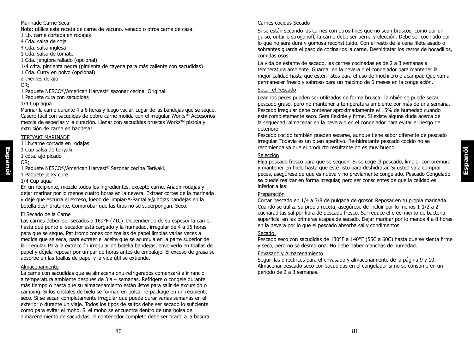#### Marinade Carne Seca

Nota: utilice esta receta de carne de vacuno, venado o otros carne de caza.

- 1 Lb. carne cortada en rodajas 4 Cda. salsa de soja
- 4 Cda. salsa inglesa
- 1 Cda. salsa de tomate
- 1 Cda. jengibre rallado (opcional)
- 1/4 cdta. pimienta negra (pimienta de cayena para más caliente con sacudidas)
- 1 Cda. Curry en polvo (opcional)
- 2 Dientes de ajo
- OR;
- 1 Paquete NESCO®/American Harvest® sazonar cecina Original.
- 1 Paquete cura con sacudidas

#### 1/4 Cup aqua

Marinar la carne durante 4 a 6 horas y luego vaciar. Lugar de las bandejas que se seque. Casero fácil con sacudidas de pobre carne molida con el irregular Works™ Accesorios mezcla de especias y la curación. Llenar con sacudidas bruscas Works™ pistola y extrusión de carne en bandeja!

#### TERIYAKI MARINADE

- 1 Lb.carne cortada en rodajas
- 1 Cup salsa de teriyaki
- 1 cdta. ajo picado OR;

- 1 Paquete NESCO®/American Harvest® Sazonar cecina Teriyaki.
- 1 Paquete jerky cure
- 1/4 Cup aqua

En un recipiente, mezcle todos los ingredientes, excepto carne. Añadir rodajas y dejar marinar por lo menos cuatro horas en la nevera. Extraer cortes de la marinada y deje que escurra el exceso, luego de limpiar-A-Pantalla® hojas bandejas en la botella deshidratante. Comprobar que las tiras no se superpongan. Seco.

#### El Secado de la Carne

Las carnes deben ser secados a 160°F (71C). Dependiendo de su espesor la carne, hasta qué punto el secador está cargado y la humedad, irregular de 4 a 15 horas para que se seque. Pat trompicones con toallas de papel limpias varias veces a medida que se seca, para extraer el aceite que se acumula en la parte superior de la irregular. Para la extracción irregular de botella bandejas, envolverlo en toallas de papel y déjela reposar por un par de horas antes de embalaje. El exceso de grasa se absorbe en las toallas de papel y la vida útil se extiende.

#### Almacenamiento

La carne con sacudidas que se almacena onu-refrigerados comenzará a ir rancio a temperatura ambiente después de 3 a 4 semanas. Refrigere o congele durante más tiempo o hasta que su almacenamiento están listos para salir de excursión o camping. Si los cristales de hielo se forman en bolsa, re-package en un recipiente seco. Si se secan completamente irregular que puede durar varias semanas en el exterior o durante un viaje. Todos los tipos de saltos debe ser secado lo suficiente como para evitar el moho. Si el moho se encuentra dentro de una bolsa de almacenamiento de sacudidas, el contenedor completo debe ser tirado a la basura.

#### Carnes cocidas Secado

Si se están secando las carnes con otros fines que no sean bruscos, como por un guiso, untar o stroganoff, la carne debe ser tierna y elección. Debe ser cocinado por lo que no será dura y gomosa reconstituido. Con el resto de la cena filete asado o sobrantes guarda el paso de cocinarlos la carne. Deshidratar los restos de bocadillos, comidas osos.

La vida de estante de secado, las carnes cocinadas es de 2 a 3 semanas a temperatura ambiente. Guardar en la nevera o el congelador para mantener la mejor calidad hasta que estén listos para el uso de mochilero o acampar. Que van a permanecer fresco y sabroso para un máximo de 6 meses en la congelación.

#### Secar el Pescado

Lean los peces pueden ser utilizados de forma brusca. También se puede secar pescado graso, pero no mantener a temperatura ambiente por más de una semana. Pescado irregular debe contener aproximadamente el 15% de humedad cuando esté completamente seco. Será flexible y firme. Si existe alguna duda acerca de la sequedad, almacenar en la nevera o en el congelador para evitar el riesgo de deterioro.

Pescado cocido también pueden secarse, aunque tiene sabor diferente de pescado irregular. Todavía es un buen aperitivo. Re-hidratante pescado cocido no se recomienda ya que el producto resultante no es muy bueno.

#### Selección

Elija pescado fresco para que se sequen. Si se coge el pescado, limpio, con premura y mantener en hielo hasta que esté listo para deshidratar. Si usted va a comprar peces, asegúrese de que es nueva y no previamente congelado. Pescado Congelado se puede realizar en forma irregular, pero ser conscientes de que la calidad es inferior a las.

#### Preparación

Cortar pescado en 1/4 a 3/8 de pulgada de grosor. Reposar en tu propia marinada. Cuando se utiliza su propia receta, asegúrese de incluir por lo menos 1-1/2 a 2 cucharaditas sal por libra de pescado fresco. Sal reduce el crecimiento de bacteria superficial en las primeras etapas de secado. Dejar marinar por lo menos 4 a 8 horas en la nevera por lo que el pescado absorba sal y condimentos.

#### Secado

Pescado seco con sacudidas de 130°F a 140°F (55C a 60C) hasta que se sienta firme y seco, pero no se desmorona. No debe haber manchas de humedad.

#### Envasado y Almacenamiento

Seguir las directrices para el envasado y almacenamiento de la página 9 y 10. Almacenar pescado seco con sacudidas en el congelador si no se consume en un período de 2 a 3 semanas.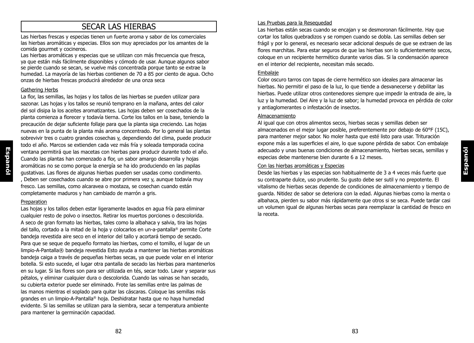# SECAR LAS HIERBAS

Las hierbas frescas y especias tienen un fuerte aroma y sabor de los comerciales las hierbas aromáticas y especias. Ellos son muy apreciados por los amantes de la comida gourmet y cocineros.

Las hierbas aromáticas y especias que se utilizan con más frecuencia que fresca, ya que están más fácilmente disponibles y cómodo de usar. Aunque algunos sabor se pierde cuando se secan, se vuelve más concentrada porque tanto se extrae la humedad. La mayoría de las hierbas contienen de 70 a 85 por ciento de agua. Ocho onzas de hierbas frescas producirá alrededor de una onza seca

#### Gathering Herbs

La flor, las semillas, las hojas y los tallos de las hierbas se pueden utilizar para sazonar. Las hojas y los tallos se reunió temprano en la mañana, antes del calor del sol disipa la los aceites aromatizantes. Las hojas deben ser cosechados de la planta comienza a florecer y todavía tierna. Corte los tallos en la base, teniendo la precaución de dejar suficiente follaje para que la planta siga creciendo. Las hojas nuevas en la punta de la planta más aroma concentrado. Por lo general las plantas sobrevivir tres o cuatro grandes cosechas y, dependiendo del clima, puede producir todo el año. Marcos se extienden cada vez más fría y soleada temporada cocina ventana permitirá que las macetas con hierbas para producir durante todo el año. Cuando las plantas han comenzado a flor, un sabor amargo desarrolla y hojas aromáticas no se como porque la energía se ha ido produciendo en las papilas gustativas. Las flores de algunas hierbas pueden ser usadas como condimento. , Deben ser cosechados cuando se abre por primera vez y, aunque todavía muy fresco. Las semillas, como alcaravea o mostaza, se cosechan cuando están completamente maduros y han cambiado de marrón a gris.

#### Preparation

Las hojas y los tallos deben estar ligeramente lavados en agua fría para eliminar cualquier resto de polvo o insectos. Retirar los muertos porciones o descolorida. A seco de gran formato las hierbas, tales como la albahaca y salvia, tira las hojas del tallo, cortado a la mitad de la hoja y colocarlos en un-a-pantalla® permite Corte bandeja revestida aire seco en el interior del tallo y acortará tiempo de secado. Para que se seque de pequeño formato las hierbas, como el tomillo, el lugar de un limpio-A-Pantalla® bandeja revestida Esto ayuda a mantener las hierbas aromáticas bandeja caiga a través de pequeñas hierbas secas, ya que puede volar en el interior botella. Si esto sucede, el lugar otra pantalla de secado las hierbas para mantenerlos en su lugar. Si las flores son para ser utilizada en tés, secar todo. Lavar y separar sus pétalos, y eliminar cualquier dura o descolorida. Cuando las vainas se han secado, su cubierta exterior puede ser eliminado. Frote las semillas entre las palmas de las manos mientras el soplado para quitar las cáscaras. Coloque las semillas más grandes en un limpio-A-Pantalla® hoja. Deshidratar hasta que no haya humedad evidente. Si las semillas se utilizan para la siembra, secar a temperatura ambiente para mantener la germinación capacidad.

#### Las Pruebas para la Resequedad

Las hierbas están secas cuando se encajan y se desmoronan fácilmente. Hay que cortar los tallos quebradizos y se rompen cuando se dobla. Las semillas deben ser frágil y por lo general, es necesario secar adicional después de que se extraen de las flores marchitas. Para estar seguros de que las hierbas son lo suficientemente secos, coloque en un recipiente hermético durante varios días. Si la condensación aparece en el interior del recipiente, necesitan más secado.

#### Embalaje

Color oscuro tarros con tapas de cierre hermético son ideales para almacenar las hierbas. No permitir el paso de la luz, lo que tiende a desvanecerse y debilitar las hierbas. Puede utilizar otros contenedores siempre que impedir la entrada de aire, la luz y la humedad. Del Aire y la luz de sabor; la humedad provoca en pérdida de color y antiaglomerantes o infestación de insectos.

#### Almacenamiento

Al igual que con otros alimentos secos, hierbas secas y semillas deben ser almacenados en el mejor lugar posible, preferentemente por debajo de 60°F (15C), para mantener mejor sabor. No moler hasta que esté listo para usar. Trituración expone más a las superficies el aire, lo que supone pérdida de sabor. Con embalaje adecuado y unas buenas condiciones de almacenamiento, hierbas secas, semillas y especias debe mantenerse bien durante 6 a 12 meses.

#### Con las hierbas aromáticas y Especias

Desde las hierbas y las especias son habitualmente de 3 a 4 veces más fuerte que su contraparte dulce, uso prudente. Su gusto debe ser sutil y no prepotente. El vitalismo de hierbas secas depende de condiciones de almacenamiento y tiempo de guarda. Nitidez de sabor se deteriora con la edad. Algunas hierbas como la menta o albahaca, pierden su sabor más rápidamente que otros si se seca. Puede tardar casi un volumen igual de algunas hierbas secas para reemplazar la cantidad de fresco en la receta.

**Espanól**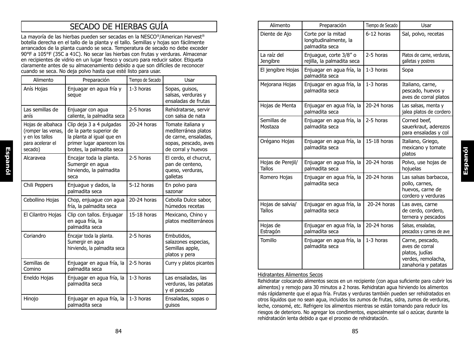# SECADO DE HIERBAS GUÍA

La mayoría de las hierbas pueden ser secadas en la NESCO®/American Harvest® botella derecha en el tallo de la planta y el tallo. Semillas y hojas son fácilmente arrancados de la planta cuando se seca. Temperatura de secado no debe exceder 90°F a 105°F (35C a 41C). No secar las hierbas con frutas y verduras. Almacenar en recipientes de vidrio en un lugar fresco y oscuro para reducir sabor. Etiqueta claramente antes de su almacenamiento debido a que son difíciles de reconocer cuando se seca. No deja polvo hasta que esté listo para usar.

| Alimento                                                                                  | Preparación                                                                                                                                | Tiempo de Secado | Usar                                                                                                           |
|-------------------------------------------------------------------------------------------|--------------------------------------------------------------------------------------------------------------------------------------------|------------------|----------------------------------------------------------------------------------------------------------------|
| Anís Hojas                                                                                | Enjuagar en agua fría y<br>seque                                                                                                           | 1-3 horas        | Sopas, guisos,<br>salsas, verduras y<br>ensaladas de frutas                                                    |
| Las semillas de<br>anís                                                                   | Enjuagar con agua<br>caliente, la palmadita seca                                                                                           | 2-5 horas        | Rehidratarse, servir<br>con salsa de nata                                                                      |
| Hojas de albahaca<br>(romper las venas,<br>y en los tallos<br>para acelerar el<br>secado) | Clip deja 3 a 4 pulgadas<br>de la parte superior de<br>la planta al igual que en<br>primer lugar aparecen los<br>brotes, la palmadita seca | $20-24$ horas    | Tomate italiana y<br>mediterránea platos<br>de carne, ensaladas,<br>sopas, pescado, aves<br>de corral y huevos |
| Alcaravea                                                                                 | Encajar toda la planta.<br>Sumergir en agua<br>hirviendo, la palmadita<br>seca                                                             | 2-5 horas        | El cerdo, el chucrut,<br>pan de centeno,<br>queso, verduras,<br>galletas                                       |
| Chili Peppers                                                                             | Enjuague y dados, la<br>palmadita seca                                                                                                     | 5-12 horas       | En polvo para<br>sazonar                                                                                       |
| Cebollino Hojas                                                                           | Chop, enjuague con agua<br>fría, la palmadita seca                                                                                         | $20-24$ horas    | Cebolla Dulce sabor,<br>húmedos recetas                                                                        |
| El Cilantro Hojas                                                                         | Clip con tallos. Enjuagar<br>en agua fría, la<br>palmadita seca                                                                            | 15-18 horas      | Mexicano, Chino y<br>platos mediterráneos                                                                      |
| Coriandro                                                                                 | Encajar toda la planta.<br>Sumergir en agua<br>hirviendo, la palmadita seca                                                                | 2-5 horas        | Embutidos,<br>salazones especias,<br>Semillas apple,<br>platos y pera                                          |
| Semillas de<br>Comino                                                                     | Enjuagar en agua fría, la<br>palmadita seca                                                                                                | 2-5 horas        | Curry y platos picantes                                                                                        |
| Eneldo Hojas                                                                              | Enjuagar en agua fría, la<br>palmadita seca                                                                                                | 1-3 horas        | Las ensaladas, las<br>verduras, las patatas<br>y el pescado                                                    |
| Hinojo                                                                                    | Enjuagar en agua fría, la<br>palmadita seca                                                                                                | 1-3 horas        | Ensaladas, sopas o<br>guisos                                                                                   |

| Alimento                           | Preparación                                                   | Tiempo de Secado | Usar                                                                                             |
|------------------------------------|---------------------------------------------------------------|------------------|--------------------------------------------------------------------------------------------------|
| Diente de Ajo                      | Corte por la mitad<br>longitudinalmente, la<br>palmadita seca | 6-12 horas       | Sal, polvo, recetas                                                                              |
| La raíz del<br>Jengibre            | Enjuague, corte 3/8" o<br>rejilla, la palmadita seca          | 2-5 horas        | Platos de carne, verduras,<br>galletas y postres                                                 |
| El jengibre Hojas                  | Enjuagar en agua fría, la<br>palmadita seca                   | 1-3 horas        | Sopa                                                                                             |
| Mejorana Hojas                     | Enjuagar en agua fría, la<br>palmadita seca                   | 1-3 horas        | Italiano, carne,<br>pescado, huevos y<br>aves de corral platos                                   |
| Hojas de Menta                     | Enjuagar en agua fría, la<br>palmadita seca                   | 20-24 horas      | Las salsas, menta y<br>jalea platos de cordero                                                   |
| Semillas de<br>Mostaza             | Enjuagar en agua fría, la<br>palmadita seca                   | 2-5 horas        | Corned beef,<br>sauerkraut, aderezos<br>para ensaladas y col                                     |
| Orégano Hojas                      | Enjuagar en agua fría, la<br>palmadita seca                   | 15-18 horas      | Italiano, Griego,<br>mexicano y tomate<br>platos                                                 |
| Hojas de Perejil/<br><b>Tallos</b> | Enjuagar en agua fría, la<br>palmadita seca                   | 20-24 horas      | Polvo, use hojas de<br>hojuelas                                                                  |
| Romero Hojas                       | Enjuagar en agua fría, la<br>palmadita seca                   | 20-24 horas      | Las salsas barbacoa,<br>pollo, carnes,<br>huevos, carne de<br>cordero y verduras                 |
| Hojas de salvia/<br><b>Tallos</b>  | Enjuagar en agua fría, la<br>palmadita seca                   | 20-24 horas      | Las aves, carne<br>de cerdo, cordero,<br>ternera y pescados                                      |
| Hojas de<br>Estragón               | Enjuagar en agua fría, la<br>palmadita seca                   | 20-24 horas      | Salsas, ensaladas,<br>pescados y carnes de ave                                                   |
| Tomillo                            | Enjuagar en agua fría, la<br>palmadita seca                   | 1-3 horas        | Carne, pescado,<br>aves de corral<br>platos, judías<br>verdes, remolacha,<br>zanahoria y patatas |

**Espanól**

#### Hidratantes Alimentos Secos

Rehidratar colocando alimentos secos en un recipiente (con agua suficiente para cubrir los alimentos) y remojo para 30 minutos a 2 horas. Rehidratan agua hirviendo los alimentos más rápidamente que el agua fría. Frutas y verduras también pueden ser rehidratados en otros líquidos que no sean agua, incluidos los zumos de frutas, sidra, zumos de verduras, leche, consomé, etc. Refrigere los alimentos mientras se están tomando para reducir los riesgos de deterioro. No agregar los condimentos, especialmente sal o azúcar, durante la rehidratación lenta debido a que el proceso de rehidratación.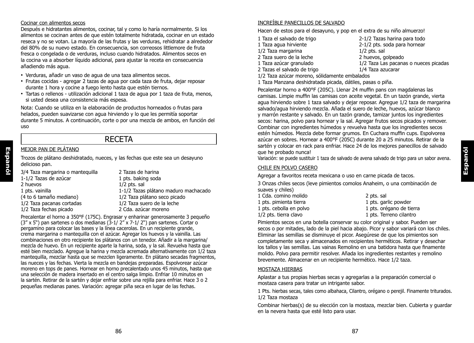#### Cocinar con alimentos secos

Después e hidratantes alimentos, cocinar, tal y como lo haría normalmente. Si los alimentos se cocinan antes de que estén totalmente hidratada, cocinar en un estado reseca y no se votan. La mayoría de las frutas y las verduras, rehidratar a alrededor del 80% de su nuevo estado. En consecuencia, son correosos littlemore de fruta fresca o congelada o de verduras, incluso cuando hidratados. Alimentos secos en la cocina va a absorber líquido adicional, para ajustar la receta en consecuencia añadiendo más agua.

- Verduras, añadir un vaso de agua de una taza alimentos secos.
- Frutas cocidas agregar 2 tazas de agua por cada taza de fruta, dejar reposar durante 1 hora y cocine a fuego lento hasta que estén tiernos.
- Tartas o rellenos utilización adicional 1 taza de agua por 1 taza de fruta, menos, si usted desea una consistencia más espesa.

Nota: Cuando se utiliza en la elaboración de productos horneados o frutas para helados, pueden suavizarse con agua hirviendo y lo que les permitía soportar durante 5 minutos. A continuación, corte o por una mezcla de ambos, en función del uso

## RECETA

#### MEJOR PAN DE PLÁTANO

**Espanól**

Trozos de plátano deshidratado, nueces, y las fechas que este sea un desayuno delicioso pan.

| 3/4 Taza margarina o manteguilla | 2 Tazas de harina                    |
|----------------------------------|--------------------------------------|
| 1-1/2 Tazas de azúcar            | 1 pts. baking soda                   |
| 2 huevos                         | $1/2$ pts. sal                       |
| 1 pts. vainilla                  | 1-1/2 Tazas plátano maduro machacado |
| (4 to 6 tamaño mediano)          | 1/2 Taza plátano seco picado         |
| 1/2 Taza pacanas cortadas        | 1/2 Taza suero de la leche           |
| 1/2 Taza fechas picado           | 2 Cda. azúcar moreno                 |
|                                  |                                      |

Precalentar el horno a 350°F (175C). Engrasar y enharinar generosamente 3 pequeño  $(3'' \times 5'')$  pan sartenes o dos medianas  $(3-1/2'' \times 7-1/2'')$  pan sartenes. Cortar o pergamino para colocar las bases y la línea cacerolas. En un recipiente grande, crema margarina o mantequilla con el azúcar. Agregar los huevos y la vainilla. Las combinaciones en otro recipiente los plátanos con un tenedor. Añadir a la margarina/ mezcla de huevo. En un recipiente aparte la harina, soda, y la sal. Revuelva hasta que esté bien mezclado. Agregue la harina y mezcla acremada alternativamente con 1/2 taza mantequilla, mezclar hasta que se mezclen ligeramente. En plátano secadas fragmentos, las nueces y las fechas. Vierta la mezcla en bandejas preparadas. Espolvorear azúcar moreno en tops de panes. Hornear en horno precalentado unos 45 minutos, hasta que una selección de madera insertado en el centro salga limpio. Enfriar 10 minutos en la sartén. Retirar de la sartén y dejar enfriar sobre una rejilla para enfriar. Hace 3 o 2 pequeñas medianas panes. Variación: agregar piña seca en lugar de las fechas.

#### INCREÍBLE PANECILLOS DE SALVADO

Hacen de estos para el desayuno, y pop en el extra de su niño almuerzo!

- 1 Taza el salvado de trigo 2-1/2 Tazas harina para todo
- 
- $1/2$  Taza margarina
- 
- 
- 
- $2-1/2$  pts. soda para hornear  $1/2$  pts. sal 2 Taza suero de la leche 2 huevos, golpeado 1/2 Taza Las pacanas o nueces picadas
- 2 Tazas el salvado de trigo 1/4 Taza azucarar 1/2 Taza azúcar moreno, sólidamente embalados
- 1 Taza Manzana deshidratada picada, dátiles, pasas o piña.

Pecalentar horno a 400°F (205C). Llenar 24 muffin pans con magdalenas las camisas. Limpie muffin las camisas con aceite vegetal. En un tazón grande, vierta agua hirviendo sobre 1 taza salvado y dejar reposar. Agregue 1/2 taza de margarina salvado/agua hirviendo mezcla. Añada el suero de leche, huevos, azúcar blanco y marrón restante y salvado. En un tazón grande, tamizar juntos los ingredientes secos: harina, polvo para hornear y la sal. Agregar frutos secos picados y remover. Combinar con ingredientes húmedos y revuelva hasta que los ingredientes secos estén húmedos. Mezcla debe formar grumos. En Cuchara muffin cups. Espolvorea azúcar en sobres. Hornear a 400°F (205C) durante 20 a 25 minutos. Retirar de la sartén y colocar en rack para enfriar. Hace 24 de los mejores panecillos de salvado que he probado nunca!

Variación: se puede sustituir 1 taza de salvado de avena salvado de trigo para un sabor avena.

#### CHILE EN POLVO CASERO

Agregar a favoritos receta mexicana o uso en carne picada de tacos.

3 Onzas chiles secos (leve pimientos comolos Anaheim, o una combinación de suaves y chiles)

| 2 pts. sal               |
|--------------------------|
| 1 pts. garlic powder     |
| 1 pts. orégano de tierra |
| 1 pts. Terreno cilantro  |
|                          |

Pimientos secos en una botella conservar su color original y sabor. Pueden ser secos o por mitades, lado de la piel hacia abajo. Picor y sabor variará con los chiles. Eliminar las semillas se disminuye el picor. Asegúrese de que los pimientos son completamente seca y almacenados en recipientes herméticos. Retirar y desechar los tallos y las semillas. Las vainas Remolino en una batidora hasta que finamente molido. Polvo para permitir resolver. Añada los ingredientes restantes y remolino brevemente. Almacenar en un recipiente hermético. Hace 1/2 taza.

#### MOSTAZA HIERBAS

Aplastar a tus propias hierbas secas y agregarlas a la preparación comercial o mostaza casera para tratar un intrigante sabor.

1 Pts. hierbas secas, tales como albahaca, Cilantro, orégano o perejil. Finamente triturados. 1/2 Taza mostaza

Combinar hierbas(s) de su elección con la mostaza, mezclar bien. Cubierta y guardar en la nevera hasta que esté listo para usar.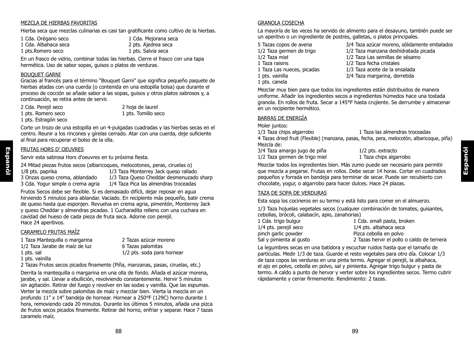#### MEZCLA DE HIERBAS FAVORITAS

Hierba seca que mezclas culinarias es casi tan gratificante como cultivo de la hierbas.

1 Cda. Albahaca seca<br>1 pts. Romero seco

1 Cda. Orégano seco 1 Cda. Mejorana seca 1 Cda. Albahaca seca 1 Cda. Albahaca seca 2 pts. Ajedrea seca 1 pts. Salvia seca

En un frasco de vidrio, combinar todas las hierbas. Cierre el frasco con una tapa hermética. Uso de sabor sopas, guisos o platos de verduras.

#### BOUQUET GARNI

Gracias al francés para el término "Bouquet Garni" que significa pequeño paquete de hierbas atadas con una cuerda (o contenida en una estopilla bolsa) que durante el proceso de cocción se añade sabor a las sopas, guisos y otros platos sabrosos y, a continuación, se retira antes de servir.

2 Cda. Perejil seco 2 hoja de laurel 1 pts. Romero seco 1 pts. Tomillo seco 1 pts. Estragón seco

Corte un trozo de una estopilla en un 4-pulgadas cuadradas y las hierbas secas en el centro. Reunir a los rincones y gírelas cerrado. Atar con una cuerda, deje suficiente al final para recuperar el bolso de la olla.

#### FRUTAS HORS D' OEUVRES

Servir esta sabrosa Hors d'oeuvres en tu próxima fiesta.

24 Mitad piezas frutos secos (albaricoques, melocotones, peras, ciruelas o)<br>1/8 pts. paprika 1/3 Taza Monterrey Jack queso rallad

- 1/8 pts. paprika 1/3 Taza Monterrey Jack queso rallado<br>3 Onzas queso crema, ablandado 1/3 Taza Queso Cheddar desmenuzado
	-

3 Onzas queso crema, ablandado 1/3 Taza Queso Cheddar desmenuzado sharp 3 Cda. Yogur simple o crema agria 1/4 Taza Pica las almendras troceadas 1/4 Taza Pica las almendras troceadas Frutos Secos debe ser flexible. Si es demasiado difícil, dejar reposar en agua hirviendo 5 minutos para ablandar. Vaciado. En recipiente más pequeño, batir crema de queso hasta que esponjen. Revuelva en crema agria, pimentón, Monterrey Jack y queso Cheddar y almendras picadas. 1 Cucharadita relleno con una cuchara en

cavidad del hueso de cada pieza de fruta seca. Adorne con perejil.

CARAMELO FRUTAS MAÍZ

Hace 24 aperitivos.

- 1 Taza Mantequilla o margarina 2 Tazas azúcar moreno
- 1/2 Taza Jarabe de maíz de luz 6 Tazas palomitas
- 

**Espanól**

- 1 pts. vainilla
- 1 pts. sal 1/2 pts. soda para hornear
- 2 Tazas Frutos secos picados finamente (Piña, manzanas, pasas, ciruelas, etc.)

Derrita la mantequilla o margarina en una olla de fondo. Añada el azúcar morena, jarabe, y sal. Llevar a ebullición, revolviendo constantemente. Hervir 5 minutos sin agitación. Retirar del fuego y revolver en las sodas y vainilla. Que las espumas. Verter la mezcla sobre palomitas de maíz y mezclar bien. Vierta la mezcla en un profundo 11" x 14" bandeja de hornear. Hornear a 250°F (129C) horno durante 1 hora, removiendo cada 20 minutos. Durante los últimos 5 minutos, añada una pizca de frutos secos picados finamente. Retirar del horno, enfriar y separar. Hace 7 tazas caramelo maíz.

#### GRANOLA COSECHA

La mayoría de las veces ha servido de alimento para el desayuno, también puede ser un aperitivo o un ingrediente de postres, galletas, o platos principales.

- $1/2$  Taza miel  $1/2$  Taza Las semillas de sésamo<br>1 Taza raisins  $1/2$  Taza fecha cristales 1 Taza Las nueces, picadas 1/3 Taza aceite de la ensalada 1 pts. canela
- 5 Tazas copos de avena  $3/4$  Taza azúcar moreno, sólidamente embalados<br>1/2 Taza germen de trigo  $1/2$  Taza manzana deshidratada picada
	- 1/2 Taza manzana deshidratada picada
	-
	- $1/2$  Taza fecha cristales
	-
- 1 pts. vainilla 3/4 Taza margarina, derretida

Mezclar muy bien para que todos los ingredientes están distribuidos de manera uniforme. Añadir los ingredientes secos a ingredientes húmedos hace una tostada granola. En rollos de fruta. Secar a 145°F hasta crujiente. Se derrumbe y almacenar en un recipiente hermético.

#### BARRAS DE ENERGÍA

Moler juntos:

1/3 Taza chips algarrobo 1 Taza las almendras troceadas

4 Tazas dried fruit (Flexible) (manzana, pasas, fecha, pera, melocotón, albaricoque, piña) Mezcla de:

3/4 Taza amargo jugo de piña 1/2 pts. extracto<br>1/2 Taza germen de trigo miel 1 Taza chips algarrobo 1/2 Taza germen de trigo miel

Mezclar todos los ingredientes bien. Más zumo puede ser necesario para permitir que mezcla a pegarse. Frutas en rollos. Debe secar 14 horas. Cortar en cuadrados pequeños y forrada en bandeja para terminar de secar. Puede ser recubierto con chocolate, yogur, o algarrobo para hacer dulces. Hace 24 plazas.

#### TAZA DE SOPA DE VERDURAS

Esta sopa los cocineros en su termo y está listo para comer en el almuerzo.

1/3 Taza hojuelas vegetales secos (cualquier combinación de tomates, guisantes, cebollas, brócoli, calabacín, apio, zanahorias)

- 1 Cda. trigo bulgur 1 Cda. small pasta, broken<br>1/4 pts. pereiil seco<br>1/4 pts. albahaca seca pinch garlic powder<br>
Sal y pimienta al qusto<br>
2 Tazas hervir el pollo
- 1/4 pts. albahaca seca 2 Tazas hervir el pollo o caldo de ternera

La legumbres secas en una batidora y escuchar ruidos hasta que el tamaño de partículas. Medir 1/3 de taza. Guarde el resto vegetales para otro día. Colocar 1/3 de taza copos las verduras en una pinta termo. Agregar el perejil, la albahaca, el ajo en polvo, cebolla en polvo, sal y pimienta. Agregar trigo bulgur y pasta de termo. A caldo a punto de hervor y verter sobre los ingredientes secos. Termo cubrir rápidamente y cerrar firmemente. Rendimiento: 2 tazas.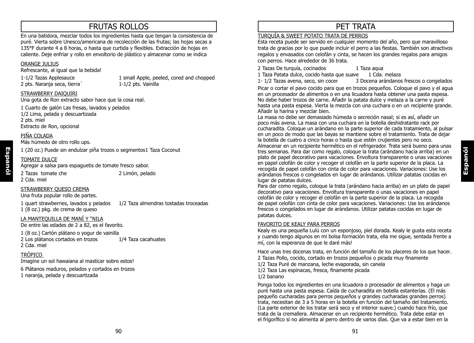# FRUTAS ROLLOS

En una batidora, mezclar todos los ingredientes hasta que tengan la consistencia de puré. Vierta sobre Unesco/americana de recolección de las frutas; las hojas secas a 135°F durante 4 a 8 horas, o hasta que curtida y flexibles. Extracción de hojas en caliente. Deje enfriar y rollo en envoltorio de plástico y almacenar como se indica

#### ORANGE JULIUS

Refrescante, al igual que la bebida!

2 pts. Narania seca, tierra`

1-1/2 Tazas Applesauce 1 small Apple, peeled, cored and chopped<br>
2 pts. Naranja seca. tierra 1-1/2 pts. Vainilla

#### STRAWBERRY DAIQUIRI

Una gota de Ron extracto sabor hace que la cosa real.

1 Cuarto de galón Las fresas, lavados y pelados 1/2 Lima, pelada y descuartizada 2 pts. miel Extracto de Ron, opcional

#### PIÑA COLADA

Más húmedo de otro rollo ups.

1 (20 oz.) Puede sin endulzar piña trozos o segmentos1 Taza Coconut

#### TOMATE DULCE

**Espanól**

Agregar a salsa para espaguetis de tomate fresco sabor.

2 Cda. miel

2 Tazas tomate che 2 Limón, pelado

#### STRAWBERRY QUESO CREMA

Una fruta popular rollo de partes.

1 quart strawberries, lavados y pelados 1/2 Taza almendras tostadas troceadas 1 (8 oz.) pkg. de crema de queso

#### LA MANTEQUILLA DE MANÍ Y "NILA

De entre las edades de 2 a 82, es el favorito.

1 (8 oz.) Cartón plátano o yogur de vainilla

2 Los plátanos cortados en trozos 1/4 Taza cacahuates 2 Cda. miel

TRÓPICO

Imagine un sol hawaiana al masticar sobre estos!

6 Plátanos maduros, pelados y cortados en trozos 1 naranja, pelada y descuartizada

# PET TRATA

#### TURQUÍA & SWEET POTATO TRATA DE PERROS

Esta receta puede ser servido en cualquier momento del año, pero que maravilloso trata de gracias por lo que puede incluir el perro a las fiestas. También son atractivos regalos y envasados con celofán y cinta, se hacen los grandes regalos para amigos con perros. Hace alrededor de 36 trata.

2 Tazas De turquía, cocinados 1 Taza aqua

1 Taza Patata dulce, cocido hasta que suave 1 Cda. melaza<br>1-1/2 Tazas avena. seco. sin cocer 3 Docena arándanos

3- Docena arándanos frescos o congelados

Picar o cortar el pavo cocido para que en trozos pequeños. Coloque el pavo y el agua en un procesador de alimentos o en una licuadora hasta obtener una pasta espesa. No debe haber trozos de carne. Añadir la patata dulce y melaza a la carne y puré hasta una pasta espesa. Vierta la mezcla con una cuchara o en un recipiente grande. Añadir la harina y mezclar bien.

La masa no debe ser demasiado húmeda o secreción nasal; si es así, añadir un poco más avena. La masa con una cuchara en la botella deshidratante rack por cucharadita. Coloque un arándano en la parte superior de cada tratamiento, al pulsar en un poco de modo que las bayas se mantiene sobre el tratamiento. Trata de dejar la botella de cuatro a cinco horas o hasta que estén crujientes pero no seco. Almacenar en un recipiente hermético en el refrigerador. Trata será bueno para unas tres semanas. Para dar como regalo, coloque la trata (arándano hacia arriba) en un plato de papel decorativo para vacaciones. Envoltura transparente o unas vacaciones en papel celofán de color y recoger el celofán en la parte superior de la placa. La recogida de papel celofán con cinta de color para vacaciones. Variaciones: Use los arándanos frescos o congelados en lugar de arándanos. Utilizar patatas cocidas en lugar de patatas dulces.

Para dar como regalo, coloque la trata (arándano hacia arriba) en un plato de papel decorativo para vacaciones. Envoltura transparente o unas vacaciones en papel celofán de color y recoger el celofán en la parte superior de la placa. La recogida de papel celofán con cinta de color para vacaciones. Variaciones: Use los arándanos frescos o congelados en lugar de arándanos. Utilizar patatas cocidas en lugar de patatas dulces.

#### FAVORITO DE KEALY PARA PERROS

Kealy es una pequeña Lulú con un esponjoso, piel dorada. Kealy le gusta esta receta y cuando tengo algunos en mi bolsa formación trata, ella me sigue, sentada frente a mí, con la esperanza de que le daré más!

Hace unas tres docenas trata, en función del tamaño de los placeres de los que hacer. 2 Tazas Pollo, cocido, cortado en trozos pequeños o picada muy finamente 1/2 Taza Puré de manzana, leche evaporada, sin canela 1/2 Taza Las espinacas, fresca, finamente picada 1/2 banano

Ponga todos los ingredientes en una licuadora o procesador de alimentos y haga un puré hasta una pasta espesa. Caída de cucharadita en botella estanterías. (El más pequeño cucharadas para perros pequeños y grandes cucharadas grandes perros) trata, necesitan de 3 a 5 horas en la botella en función del tamaño del tratamiento. (La parte exterior de los tratar será seco y el interior suave.) cuando hace frío, que trata de la cremallera. Almacenar en un recipiente hermético. Trata debe estar en el frigorífico si no alimenta al perro dentro de varios días. Que va a estar bien en la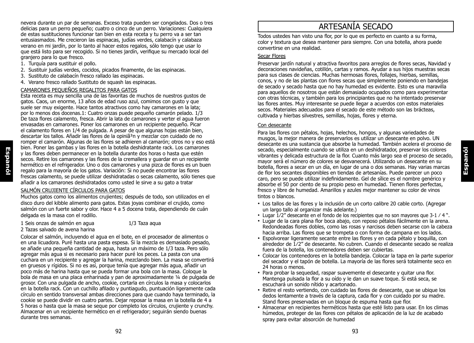nevera durante un par de semanas. Exceso trata pueden ser congelados. Dos o tres delicias para un perro pequeño; cuatro o cinco de un perro. Variaciones: Cualquiera de estas sustituciones funcionar tan bien en esta receta y tu perro va a ser tan entusiasmados. Me crecieron las espinacas, judías verdes, calabacín y calabaza verano en mi jardín, por lo tanto al hacer estos regalos, sólo tengo que usar lo que está listo para ser recogido. Si no tienes jardín, verifique su mercado local del granjero para lo que fresco.

- 1. Turquía para sustituir el pollo.
- 2. Sustituir judías verdes, cocidos, picados finamente, de las espinacas.
- 3. Sustituto de calabacín fresco rallado las espinacas.
- 4. Verano fresco rallado Sustituto de squash las espinacas.

#### CAMARONES PEQUEÑOS REGALITOS PARA GATOS

Esta receta es muy sencilla una de las favoritas de muchos de nuestros gustos de gatos. Caos, un enorme, 13 años de edad ruso azul, comimos con gusto y que suele ser muy exigente. Hace tantos atractivos como hay camarones en la lata; por lo menos dos docenas.1: Cuatro onzas puede pequeño camarón pelado. 1/3 De taza flores calamento, fresca. Abrir la lata de camarones y verter el agua fueron envasadas en camarones. Poner los camarones en un recipiente pequeño. Picar el calamento flores en 1/4 de pulgada. A pesar de que algunas hojas están bien, descartar los tallos. Añadir las flores de la opiniã³n y mezclar con cuidado de no romper el camarón. Algunas de las flores se adhieren al camarón; otros no y eso está bien. Poner las gambas y las flores en la botella deshidratante rack. Los camarones y las flores deben permanecer en la botella durante dos horas o hasta que estén secos. Retire los camarones y las flores de la cremallera y guardar en un recipiente hermético en el refrigerador. Uno o dos camarones y una pizca de flores es un buen regalo para la mayoría de los gatos. Variación: Si no puede encontrar las flores frescas calamento, se puede utilizar deshidratadas o secas calamento, sólo tienes que añadir a los camarones deshidratados como usted le sirve a su gato a tratar

#### SALMÓN CRUJIENTE CÍRCULOS PARA GATOS

Muchos gatos como los alimentos crujientes; después de todo, son utilizados en el disco duro del kibble alimento para gatos. Estas joyas combinar el crujido, como salmón con un fuerte sabor y olor. Hace 4 a 5 docena trata, dependiendo de cuán delgada es la masa con el rodillo.

- 1 Seis onzas de salmón en agua 1/3 Taza aqua
	-
- 2 Tazas salvado de avena harina

Colocar el salmón, incluyendo el agua en el bote, en el procesador de alimentos o en una licuadora. Puré hasta una pasta espesa. Si la mezcla es demasiado pesado, se añade una pequeña cantidad de agua, hasta un máximo de 1/3 taza. Pero sólo agregar más agua si es necesario para hacer puré los peces. La pasta con una cuchara en un recipiente y agregar la harina, mezclando bien. La masa se convertirá en gruesos y rígidos. Si no es así, porque tenía que agregar más agua, añadir un poco más de harina hasta que se pueda formar una bola con la masa. Coloque la bola de masa en una placa enharinada y pan de aproximadamente ¼ de pulgada de grosor. Con una pulgada de ancho, cookie, cortarla en círculos la masa y colocarlos en la botella rack. Con un cuchillo afilado y puntiagudo, puntuación ligeramente cada círculo en sentido transversal ambas direcciones para que cuando haya terminado, la cookie se puede dividir en cuatro partes. Dejar reposar la masa en la botella de 4 a 5 horas o hasta que la masa se seque por completo los círculos, crujiente y crunchy. Almacenar en un recipiente hermético en el refrigerador; seguirán siendo buenas durante tres semanas.

# ARTESANÍA SECADO

Todos ustedes han visto una flor, por lo que es perfecto en cuanto a su forma, color y textura que desea mantener para siempre. Con una botella, ahora puede convertirse en una realidad.

#### Secar Flores

Preservar jardín natural y atractiva favoritos para arreglos de flores secas, Navidad y decoraciones navideñas, cotillón, cartas y ramos. Ayudar a sus hijos muestras secas para sus clases de ciencias. Muchas hermosas flores, follajes, hierbas, semillas, conos, y no de las plantas con flores secas que simplemente poniendo en bandejas de secado y secado hasta que no hay humedad es evidente. Esto es una maravilla para aquellos de nosotros que están demasiado ocupados como para experimentar con otras técnicas, y también para los principiantes que no ha intentado preservar las flores antes. Muy interesante se puede llegar a acuerdos con estos materiales secos. Materiales adecuados para el secado de este método son las brácteas, cultivada y hierbas silvestres, semillas, hojas, flores y eterna.

#### Con desecante

Para las flores con pétalos, hojas, helechos, hongos, y algunas variedades de musgos, la mejor manera de preservarlos es utilizar un desecante en polvo. UN desecante es una sustancia que absorbe la humedad. También acelera el proceso de secado, especialmente cuando se utiliza en un deshidratador, preservar los colores vibrantes y delicada estructura de la flor. Cuanto más largo sea el proceso de secado, mayor será el número de colores se desvanecerá. Utilizando un desecante en su botella, flores a secar en un día, en lugar de una o dos semanas. Hay varias marcas de flor los secantes disponibles en tiendas de artesanías. Puede parecer un poco caro, pero se puede utilizar indefinidamente. Gel de sílice es el nombre genérico y absorbe el 50 por ciento de su propio peso en humedad. Tienen flores perfectas, fresco y libre de humedad. Amarillos y azules mejor mantener su color de vinos tintos o blancos.

**Espanól**

- Los tallos de las flores y la inclusión de un corto calibre 20 cable corto. (Agregar un largo tallo al organizar más adelante.)
- Lugar  $1/2$ " desecante en el fondo de los recipientes que no son mayores que  $3-1/4$ ".
- Lugar de la cara plana flor boca abajo, con reposo pétalos fácilmente en la arena. Redondeadas flores dobles, como las rosas y narcisos deben secarse con la cabeza hacia arriba. Las flores que se trompeta o con forma de campana en los lados.
- Espolvorear ligeramente secante entre las flores y en cada pétalo y boquilla, con alrededor de 1⁄2" de desecante. No cubren. Cuando el desecante secado se realiza fuera de la botella, los contenedores deben ser cubiertas.
- Colocar los contenedores en la botella bandeja. Colocar la tapa en la parte superior del secador y el tapón de botella. La mayoría de las flores será totalmente seco en 24 horas o menos.
- Para probar la sequedad, raspar suavemente el desecante y quitar una flor. Mantenga pulsada la flor a su oído y le dan un suave toque. Si está seca, se escuchará un sonido nítido y acartonado.
- Retire el resto vertiendo, con cuidado las flores de desecante, que se ubique los dedos lentamente a través de la captura, cada flor y con cuidado por su madre. Stand flores preservadas en un bloque de espuma hasta que flor.
- Almacenar en recipientes herméticos hasta que esté listo para usar. En los climas húmedos, proteger de las flores con pétalos de aplicación de la luz de acabado spray para evitar absorción de humedad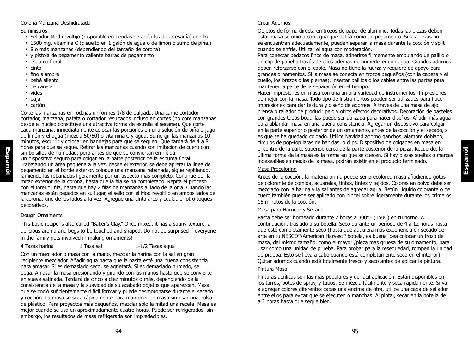#### Corona Manzana Deshidratada

#### Suministros:

- Sellador Mod revoltijo (disponible en tiendas de artículos de artesanía) cepillo
- 1500 mg. vitamina C (disuelto en 1 galón de agua o de limón o zumo de piña.)
- 8 o más manzanas (dependiendo del tamaño de corona)
- y pistola de pegamento caliente barras de pegamento
- espuma floral
- cinta
- fino alambre
- bebé aliento
- de canela
- vides
- paja
- cartón

Corte las manzanas en rodajas uniformes 1/8 de pulgada. Una carne cortador cortador, manzana, patata o cortador resultados incluso en cortes (no core manzanas desde el núcleo constituye una atractiva forma de estrella al secarse). Que corte cada manzana, inmediatamente colocar las porciones en una solución de piña o jugo de limón y el agua (mezcla 50/50) o vitamina C y agua. Sumergir las manzanas 10 minutos, escurrir y colocar en bandejas para que se sequen. Que tardará de 4 a 8 horas para que se seque. Retirar las manzanas cuando son imitación de cuero con sin bolsillos de humedad, pero antes de que se conviertan en nítida. Un dispositivo seguro para colgar en la parte posterior de la espuma floral. Trabajando un área pequeña a la vez, desde el exterior, se debe apretar la línea de pegamento en el borde exterior, coloque una manzana rebanada, sigue repitiendo, lamiendo las rebanadas ligeramente por un aspecto más completo. Continúe por la mitad exterior de la corona, hasta que la fila se ha completado. Repita el proceso con el interior fila, hasta que hay 2 filas de manzanas al lado de la otra. Cuando las manzanas están pegados en su lugar, el sello con el Mod revoltijo en ambos lados de la corona, uno de los lados a la vez. Agregue una cinta arco y cualquier otro toques decorativos.

#### Dough Ornaments

This basic recipe is also called "Baker's Clay." Once mixed, it has a satiny texture, a delicious aroma and begs to be touched and shaped. Do not be surprised if everyone in the family gets involved in making ornaments!

| 4 Tazas harina | 1 Taza sal | $1-1/2$ Tazas aqua |
|----------------|------------|--------------------|
|----------------|------------|--------------------|

Con un mezclador o masa con la mano, mezclar la harina con la sal en gran recipiente mezclador. Añadir agua hasta que la pasta esté una buena consistencia para amasar. Si es demasiado seco, se agrietará. Si es demasiado húmedo, se pega. Amasar la masa presionando y girando con las manos hasta que se convierte en suave satinada. Tardará de cinco a diez minutos o más, dependiendo de la consistencia de la masa y la suavidad de su acabado objetos que aparezcan. Masa que se coció suficientemente difícil formar y puede desmoronarse durante el secado y cocción. La masa se seca rápidamente para mantener en masa sin usar una bolsa de plástico. Para proyectos más pequeños, mezclar sólo la mitad una receta. Masa es mejor cuando se usa en aproximadamente cuatro horas. Puede ser refrigerados, sin embargo, los resultados de masa refrigerada son impredecibles.

#### Crear Adornos

Objetos de forma directa en trozos de papel de aluminio. Todas las piezas deben estar masa se unió a con agua que actúa como un pegamento. Si las piezas no se encuentran adecuadamente, pueden separar la masa durante la cocción y split cuando se enfríe. Utilizar el agua con moderación.

Para conectar pedazos finos de masa, adherirse firmemente empujando un palillo o un clip de papel a través de ellos además de humedecer con agua. Grandes adornos deben reforzarse con el cable. Masa no tiene la fuerza y requiere de apoyo para grandes ornamentos. Si la masa se conecta en trozos pequeños (con la cabeza y el cuello, los brazos o las piernas), insertar palillos o los cables entre las partes para mantener la parte de la separación en el tiempo.

Hacer impresiones en masa con una amplia variedad de instrumentos. Impresiones de mejor con la masa. Todo tipo de instrumentos pueden ser utilizados para hacer impresiones para dar textura y diseño de adornos. A través de una masa de ajo prensa o rallador de producir pelo y otros efectos decorativos. Decoración de pasteles con grandes tubos boquillas puede ser utilizada para hacer diseños. Añadir más agua para ablandar masa en una buena consistencia. Agregar un dispositivo para colgar en la parte superior o posterior de un ornamento, antes de la cocción y el secado, si es que se ha quedado colgado. Utilice Navidad adorno ganchos, alambre doblado, círculos de pop-top latas de bebidas, o clips. Dispositivo de colgadas en masa en el centro de la parte superior, cerca de la parte posterior de la pieza. Recuerde, la última forma de la masa es la forma en que se cuecen. Si hay piezas sueltas o marcas indeseables en medio de la masa, podrán existir en el producto terminado.

#### Masa Precoloring

Antes de la cocción, la materia prima puede ser precolored masa añadiendo gotas de colorante de comida, acuarelas, tintas, tintes y tejidos. Colores en polvo debe ser mezclado con la harina y la sal antes de agregar agua. Betún Líquido colorante o de cuero también puede ser aplicado con pincel sobre ligeramente durante los primeros 15 minutos de la cocción.

**Espanól**

#### Masa para Hornear y Secado

Pasta debe ser horneado durante 2 horas a 300°F (150C) en tu horno. A continuación, traslado a su botella. Seco durante un período de 4 a 12 horas hasta que esté completamente seco (hasta que adquiera más experiencia en secado de arte en tu NESCO®/American Harvest® botella, es buena idea colocar un trozo de masa, del mismo tamaño, como el mayor /pieza más gruesa de su ornamento, para usar como una unidad de prueba. Para probar para la resequedad, rompen la unidad de prueba. Esto se lleva a cabo cuando está completamente seco en el interior). Quitar adornos cuando esté totalmente fresco y seco antes de aplicar la pintura.

#### Pintura Masa

Pinturas acrílicas son las más populares y de fácil aplicación. Están disponibles en los tarros, botes de spray, y tubos. Se mezcla fácilmente y seca rápidamente. Si va a agregar colores diferentes capas una encima de otra, utilice una capa de sellador entre ellos para evitar que se ejecuten o manchas. Al pintar, secar en la botella de 1 a 2 horas hasta que seque bien.

**Espanól**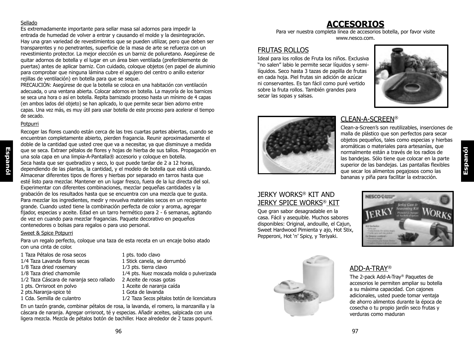#### Sellado

Es extremadamente importante para sellar masa sal adornos para impedir la entrada de humedad de volver a entrar y causando el molde y la desintegración. Hay una gran variedad de revestimientos que se pueden utilizar, pero que deben ser transparentes y no penetrantes, superficie de la masa de arte se refuerza con un revestimiento protector. La mejor elección es un barniz de poliuretano. Asegúrese de quitar adornos de botella y el lugar en un área bien ventilada (preferiblemente de puertas) antes de aplicar barniz. Con cuidado, coloque objetos (en papel de aluminio para comprobar que ninguna lámina cubre el agujero del centro o anillo exterior rejillas de ventilación) en botella para que se seque.

PRECAUCIÓN: Asegúrese de que la botella se coloca en una habitación con ventilación adecuada, o una ventana abierta. Colocar adornos en botella. La mayoría de los barnices se seca una hora o así en botella. Repita barnizado proceso hasta un mínimo de 4 capas (en ambos lados del objeto) se han aplicado, lo que permite secar bien adorno entre capas. Una vez más, es muy útil para usar botella de este proceso para acelerar el tiempo de secado.

#### Potpurri

**Espanól**

Recoger las flores cuando están cerca de las tres cuartas partes abiertas, cuando se encuentran completamente abierto, pierden fragancia. Reunir aproximadamente el doble de la cantidad que usted cree que va a necesitar, ya que disminuye a medida que se seca. Extraer pétalos de flores y hojas de hierba de sus tallos. Propagación en una sola capa en una limpia-A-Pantalla® accesorio y coloque en botella. Seca hasta que ser quebradizo y seco, lo que puede tardar de 2 a 12 horas, dependiendo de las plantas, la cantidad, y el modelo de botella que está utilizando. Almacenar diferentes tipos de flores y hierbas por separado en tarros hasta que esté listo para mezclar. Mantener en un lugar fresco, fuera de la luz directa del sol. Experimentar con diferentes combinaciones, mezclar pequeñas cantidades y la grabación de los resultados hasta que se encuentra con una mezcla que te gusta. Para mezclar los ingredientes, medir y revuelva materiales secos en un recipiente grande. Cuando usted tiene la combinación perfecta de color y aroma, agregar fijador, especias y aceite. Edad en un tarro hermético para 2 - 6 semanas, agitando de vez en cuando para mezclar fragancias. Paquete decorativo en pequeños contenedores o bolsas para regalos o para uso personal.

#### Sweet & Spice Potpurri

Para un regalo perfecto, coloque una taza de esta receta en un encaje bolso atado con una cinta de color.

- 1 Taza Pétalos de rosa secos 1 pts. todo clavo 1/4 Taza Lavanda flores secas 1 Stick canela, se derrumbó 1⁄8 Taza dried rosemary 1⁄3 pts. tierra clavo 1⁄2 Taza Cáscara de naranja seco rallado 2 Aceite de rosas gotas 1 pts. Orrisroot en polvo 1 Aceite de naranja caída<br>2 pts. Naranja spice té 1 1 Gota de Javanda 2 pts.Naranja-spice té<br>1 Cda. Semilla de culantro
- 1⁄8 Taza dried chamomile 1⁄4 pts. Nuez moscada molida o pulverizada 1/2 Taza Secos pétalos botón de licenciatura

En un tazón grande, combinar pétalos de rosa, la lavanda, el romero, la manzanilla y la cáscara de naranja. Agregar orrisroot, té y especias. Añadir aceites, salpicada con una ligera mezcla. Mezcla de pétalos botón de bachiller. Hace alrededor de 2 tazas popurrí.

# **ACCESORIOS**

Para ver nuestra completa línea de accesorios botella, por favor visite www.nesco.com.

## FRUTAS ROLLOS

Ideal para los rollos de Fruta los niños. Exclusiva "no salen" labio le permite secar líquidos y semilíquidos. Seco hasta 3 tazas de papilla de frutas en cada hoja. Piel frutas sin adición de azúcar ni conservantes. Es tan fácil como puré vertido sobre la fruta rollos. También grandes para secar las sopas y salsas.





## CLEAN-A-SCREEN®

Clean-a-Screen's son reutilizables, inserciones de malla de plástico que son perfectos para secar objetos pequeños, tales como especias y hierbas aromáticas o materiales para artesanías, que normalmente están a través de los radios de las bandejas. Sólo tiene que colocar en la parte superior de las bandejas. Las pantallas flexibles que secar los alimentos pegajosos como las bananas y piña para facilitar la extracción.

## JERKY WORKS® KIT AND JERKY SPICE WORKS® KIT

Que gran sabor desagradable en la casa. Fácil y asequible. Muchos sabores disponibles: Original, andouille, el Cajun, Sweet Hardwood Pimienta y ajo, Hot Stix, Pepperoni, Hot 'n' Spicy, y Teriyaki.





## ADD-A-TRAY®

The 2-pack Add-A-Tray® Paquetes de accesorios le permiten ampliar su botella a su máxima capacidad. Con cajones adicionales, usted puede tomar ventaja de ahorro alimentos durante la época de cosecha o tu propio jardín seco frutas y verduras como maduran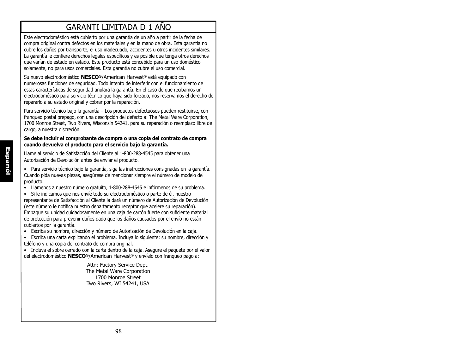# GARANTI LIMITADA D 1 AÑO

Este electrodoméstico está cubierto por una garantía de un año a partir de la fecha de compra original contra defectos en los materiales y en la mano de obra. Esta garantía no cubre los daños por transporte, el uso inadecuado, accidentes u otros incidentes similares. La garantía le confiere derechos legales específicos y es posible que tenga otros derechos que varían de estado en estado. Este producto está concebido para un uso doméstico solamente, no para usos comerciales. Esta garantía no cubre el uso comercial.

Su nuevo electrodoméstico **NESCO®**/American Harvest® está equipado con numerosas funciones de seguridad. Todo intento de interferir con el funcionamiento de estas características de seguridad anulará la garantía. En el caso de que recibamos un electrodoméstico para servicio técnico que haya sido forzado, nos reservamos el derecho de repararlo a su estado original y cobrar por la reparación.

Para servicio técnico bajo la garantía – Los productos defectuosos pueden restituirse, con franqueo postal prepago, con una descripción del defecto a: The Metal Ware Corporation, 1700 Monroe Street, Two Rivers, Wisconsin 54241, para su reparación o reemplazo libre de cargo, a nuestra discreción.

#### **Se debe incluir el comprobante de compra o una copia del contrato de compra cuando devuelva el producto para el servicio bajo la garantía.**

Llame al servicio de Satisfacción del Cliente al 1-800-288-4545 para obtener una Autorización de Devolución antes de enviar el producto.

• Para servicio técnico bajo la garantía, siga las instrucciones consignadas en la garantía. Cuando pida nuevas piezas, asegúrese de mencionar siempre el número de modelo del producto.

• Llámenos a nuestro número gratuito, 1-800-288-4545 e infórmenos de su problema.

• Si le indicamos que nos envíe todo su electrodoméstico o parte de él, nuestro representante de Satisfacción al Cliente la dará un número de Autorización de Devolución (este número le notifica nuestro departamento receptor que acelere su reparación). Empaque su unidad cuidadosamente en una caja de cartón fuerte con suficiente material de protección para prevenir daños dado que los daños causados por el envío no están cubiertos por la garantía.

• Escriba su nombre, dirección y número de Autorización de Devolución en la caja.

• Escriba una carta explicando el problema. Incluya lo siguiente: su nombre, dirección y teléfono y una copia del contrato de compra original.

• Incluya el sobre cerrado con la carta dentro de la caja. Asegure el paquete por el valor del electrodoméstico **NESCO®**/American Harvest® y envíelo con franqueo pago a:

> Attn: Factory Service Dept. The Metal Ware Corporation 1700 Monroe Street Two Rivers, WI 54241, USA